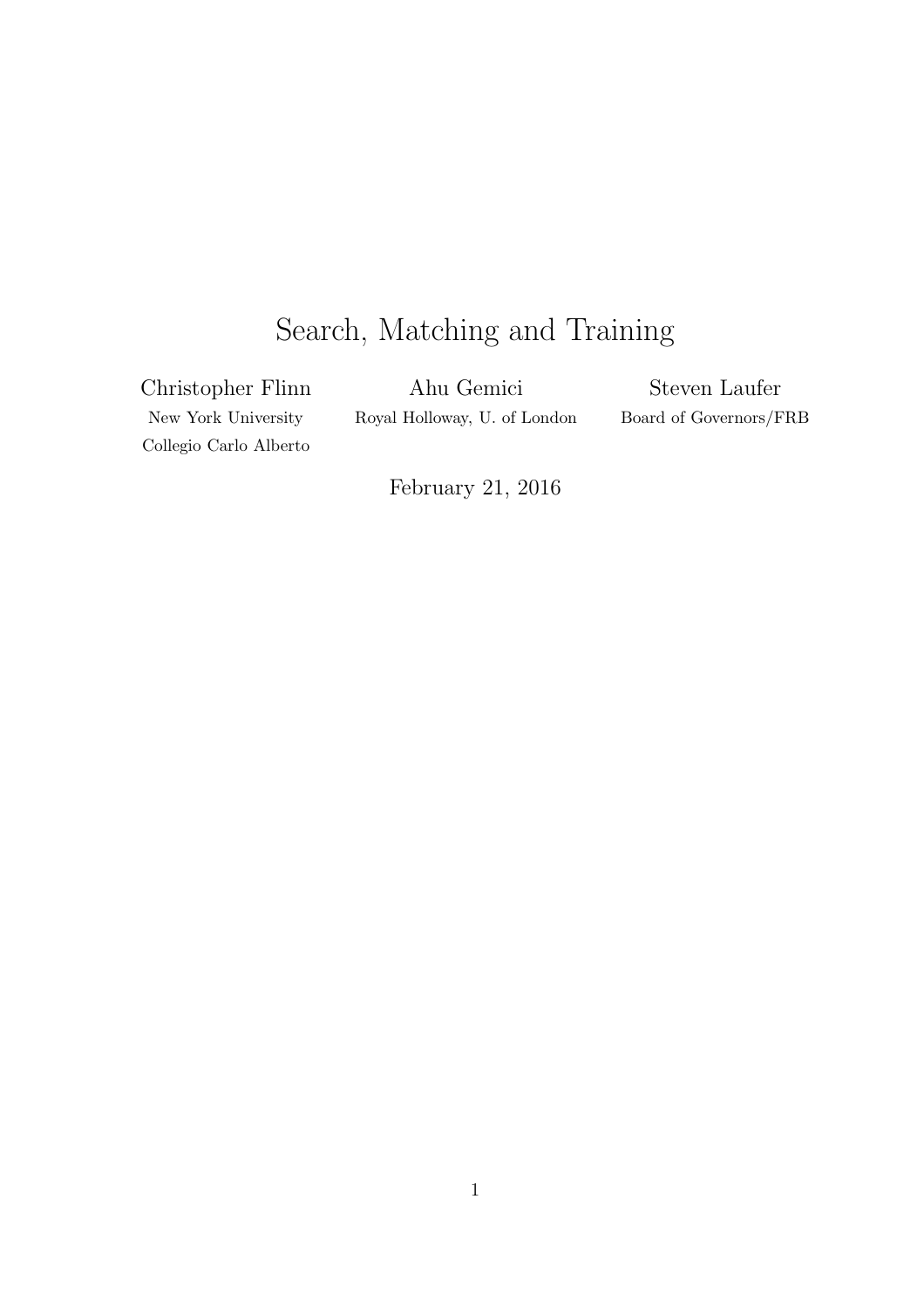# Search, Matching and Training

Christopher Flinn New York University Collegio Carlo Alberto

Ahu Gemici Royal Holloway, U. of London

Steven Laufer Board of Governors/FRB

February 21, 2016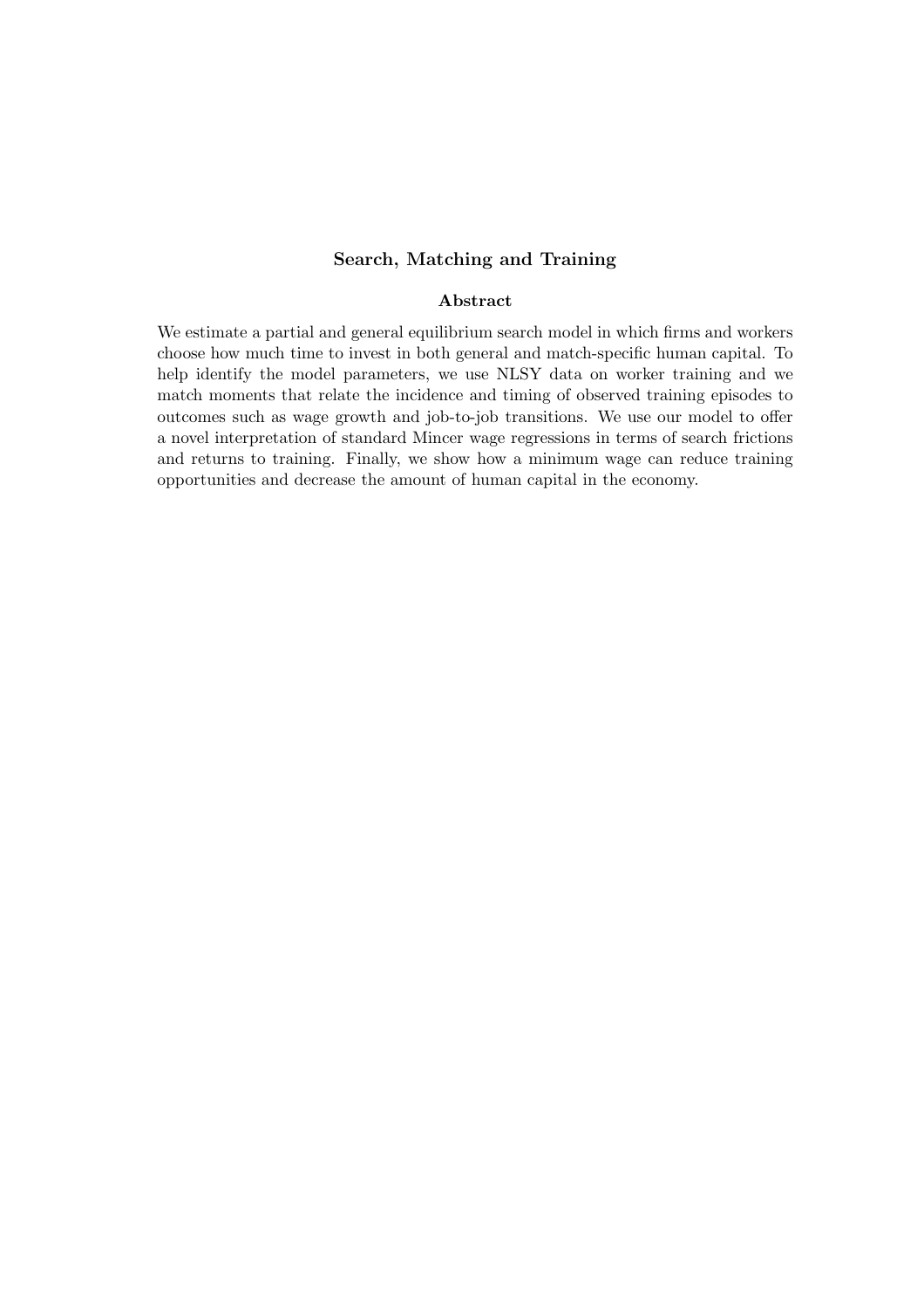#### Search, Matching and Training

#### Abstract

We estimate a partial and general equilibrium search model in which firms and workers choose how much time to invest in both general and match-specific human capital. To help identify the model parameters, we use NLSY data on worker training and we match moments that relate the incidence and timing of observed training episodes to outcomes such as wage growth and job-to-job transitions. We use our model to offer a novel interpretation of standard Mincer wage regressions in terms of search frictions and returns to training. Finally, we show how a minimum wage can reduce training opportunities and decrease the amount of human capital in the economy.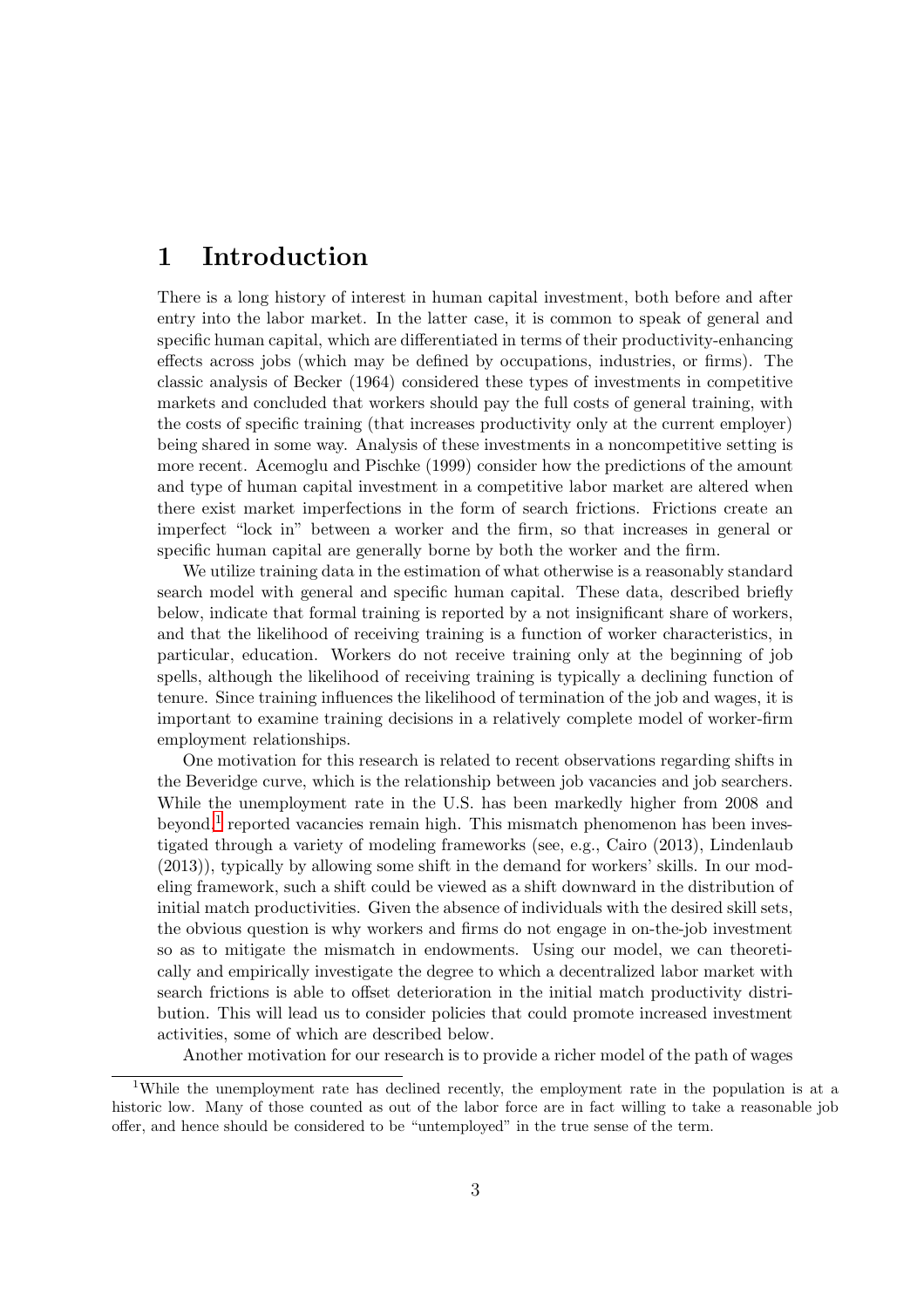## 1 Introduction

There is a long history of interest in human capital investment, both before and after entry into the labor market. In the latter case, it is common to speak of general and specific human capital, which are differentiated in terms of their productivity-enhancing effects across jobs (which may be defined by occupations, industries, or firms). The classic analysis of Becker (1964) considered these types of investments in competitive markets and concluded that workers should pay the full costs of general training, with the costs of specific training (that increases productivity only at the current employer) being shared in some way. Analysis of these investments in a noncompetitive setting is more recent. Acemoglu and Pischke (1999) consider how the predictions of the amount and type of human capital investment in a competitive labor market are altered when there exist market imperfections in the form of search frictions. Frictions create an imperfect "lock in" between a worker and the firm, so that increases in general or specific human capital are generally borne by both the worker and the firm.

We utilize training data in the estimation of what otherwise is a reasonably standard search model with general and specific human capital. These data, described briefly below, indicate that formal training is reported by a not insignificant share of workers, and that the likelihood of receiving training is a function of worker characteristics, in particular, education. Workers do not receive training only at the beginning of job spells, although the likelihood of receiving training is typically a declining function of tenure. Since training influences the likelihood of termination of the job and wages, it is important to examine training decisions in a relatively complete model of worker-firm employment relationships.

One motivation for this research is related to recent observations regarding shifts in the Beveridge curve, which is the relationship between job vacancies and job searchers. While the unemployment rate in the U.S. has been markedly higher from 2008 and beyond,<sup>[1](#page-2-0)</sup> reported vacancies remain high. This mismatch phenomenon has been investigated through a variety of modeling frameworks (see, e.g., Cairo (2013), Lindenlaub (2013)), typically by allowing some shift in the demand for workers' skills. In our modeling framework, such a shift could be viewed as a shift downward in the distribution of initial match productivities. Given the absence of individuals with the desired skill sets, the obvious question is why workers and firms do not engage in on-the-job investment so as to mitigate the mismatch in endowments. Using our model, we can theoretically and empirically investigate the degree to which a decentralized labor market with search frictions is able to offset deterioration in the initial match productivity distribution. This will lead us to consider policies that could promote increased investment activities, some of which are described below.

Another motivation for our research is to provide a richer model of the path of wages

<span id="page-2-0"></span><sup>&</sup>lt;sup>1</sup>While the unemployment rate has declined recently, the employment rate in the population is at a historic low. Many of those counted as out of the labor force are in fact willing to take a reasonable job offer, and hence should be considered to be "untemployed" in the true sense of the term.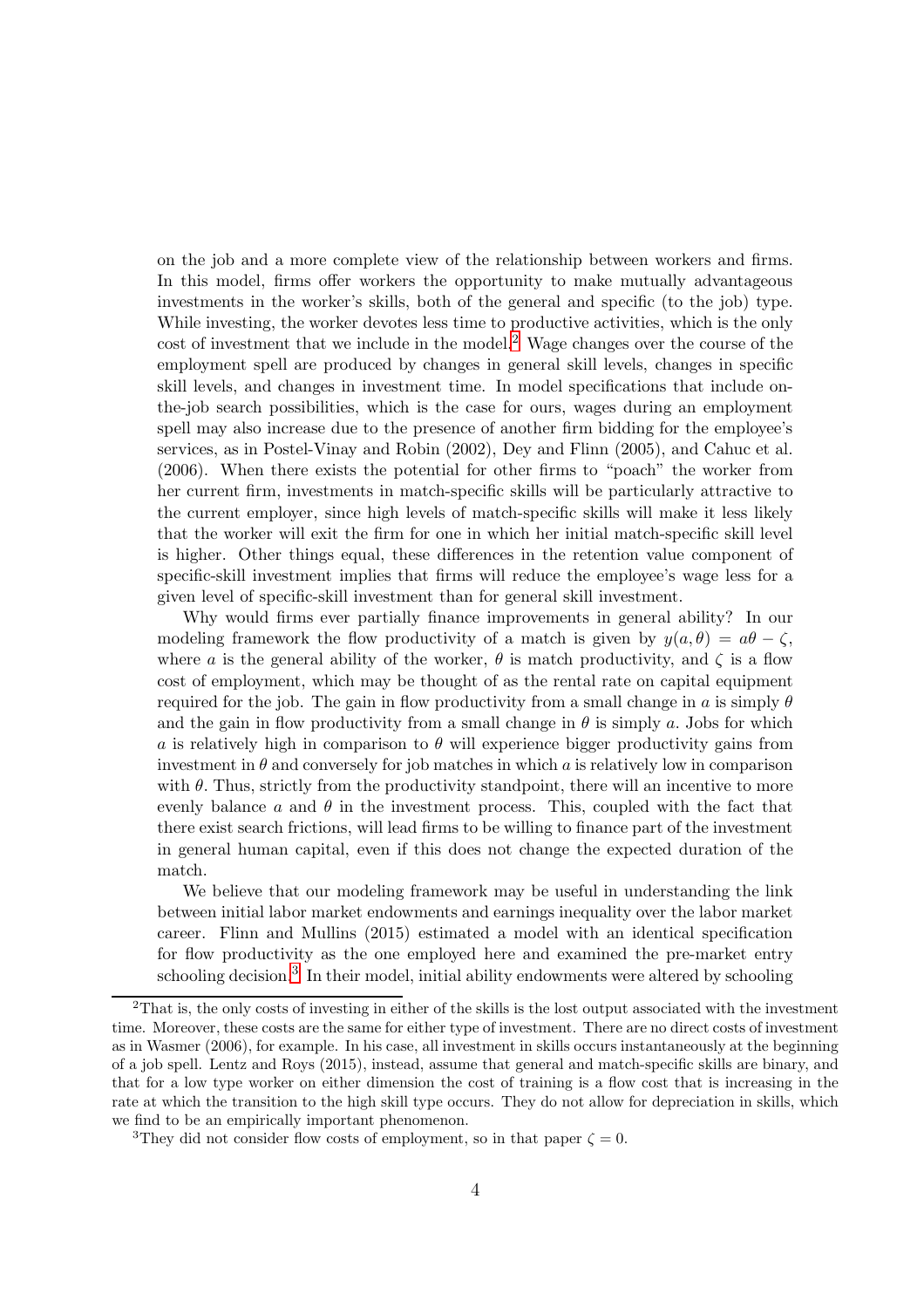on the job and a more complete view of the relationship between workers and firms. In this model, firms offer workers the opportunity to make mutually advantageous investments in the worker's skills, both of the general and specific (to the job) type. While investing, the worker devotes less time to productive activities, which is the only cost of investment that we include in the model.[2](#page-3-0) Wage changes over the course of the employment spell are produced by changes in general skill levels, changes in specific skill levels, and changes in investment time. In model specifications that include onthe-job search possibilities, which is the case for ours, wages during an employment spell may also increase due to the presence of another firm bidding for the employee's services, as in Postel-Vinay and Robin (2002), Dey and Flinn (2005), and Cahuc et al. (2006). When there exists the potential for other firms to "poach" the worker from her current firm, investments in match-specific skills will be particularly attractive to the current employer, since high levels of match-specific skills will make it less likely that the worker will exit the firm for one in which her initial match-specific skill level is higher. Other things equal, these differences in the retention value component of specific-skill investment implies that firms will reduce the employee's wage less for a given level of specific-skill investment than for general skill investment.

Why would firms ever partially finance improvements in general ability? In our modeling framework the flow productivity of a match is given by  $y(a, \theta) = a\theta - \zeta$ , where a is the general ability of the worker,  $\theta$  is match productivity, and  $\zeta$  is a flow cost of employment, which may be thought of as the rental rate on capital equipment required for the job. The gain in flow productivity from a small change in a is simply  $\theta$ and the gain in flow productivity from a small change in  $\theta$  is simply a. Jobs for which a is relatively high in comparison to  $\theta$  will experience bigger productivity gains from investment in  $\theta$  and conversely for job matches in which  $\alpha$  is relatively low in comparison with  $\theta$ . Thus, strictly from the productivity standpoint, there will an incentive to more evenly balance a and  $\theta$  in the investment process. This, coupled with the fact that there exist search frictions, will lead firms to be willing to finance part of the investment in general human capital, even if this does not change the expected duration of the match.

We believe that our modeling framework may be useful in understanding the link between initial labor market endowments and earnings inequality over the labor market career. Flinn and Mullins (2015) estimated a model with an identical specification for flow productivity as the one employed here and examined the pre-market entry schooling decision.<sup>[3](#page-3-1)</sup> In their model, initial ability endowments were altered by schooling

<span id="page-3-0"></span><sup>2</sup>That is, the only costs of investing in either of the skills is the lost output associated with the investment time. Moreover, these costs are the same for either type of investment. There are no direct costs of investment as in Wasmer (2006), for example. In his case, all investment in skills occurs instantaneously at the beginning of a job spell. Lentz and Roys (2015), instead, assume that general and match-specific skills are binary, and that for a low type worker on either dimension the cost of training is a flow cost that is increasing in the rate at which the transition to the high skill type occurs. They do not allow for depreciation in skills, which we find to be an empirically important phenomenon.

<span id="page-3-1"></span><sup>&</sup>lt;sup>3</sup>They did not consider flow costs of employment, so in that paper  $\zeta = 0$ .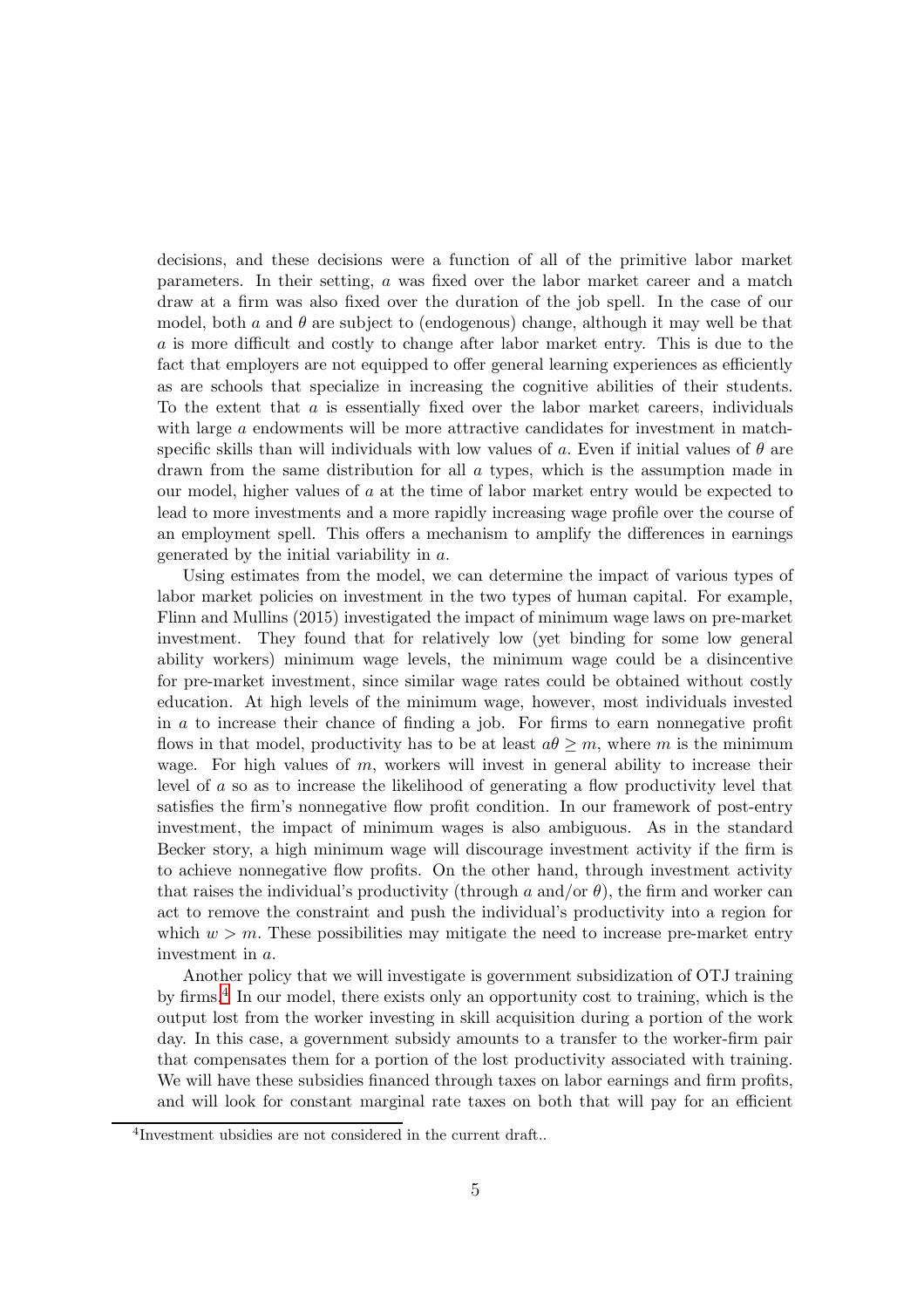decisions, and these decisions were a function of all of the primitive labor market parameters. In their setting, a was fixed over the labor market career and a match draw at a firm was also fixed over the duration of the job spell. In the case of our model, both a and  $\theta$  are subject to (endogenous) change, although it may well be that a is more difficult and costly to change after labor market entry. This is due to the fact that employers are not equipped to offer general learning experiences as efficiently as are schools that specialize in increasing the cognitive abilities of their students. To the extent that  $\alpha$  is essentially fixed over the labor market careers, individuals with large a endowments will be more attractive candidates for investment in matchspecific skills than will individuals with low values of a. Even if initial values of  $\theta$  are drawn from the same distribution for all a types, which is the assumption made in our model, higher values of a at the time of labor market entry would be expected to lead to more investments and a more rapidly increasing wage profile over the course of an employment spell. This offers a mechanism to amplify the differences in earnings generated by the initial variability in a.

Using estimates from the model, we can determine the impact of various types of labor market policies on investment in the two types of human capital. For example, Flinn and Mullins (2015) investigated the impact of minimum wage laws on pre-market investment. They found that for relatively low (yet binding for some low general ability workers) minimum wage levels, the minimum wage could be a disincentive for pre-market investment, since similar wage rates could be obtained without costly education. At high levels of the minimum wage, however, most individuals invested in a to increase their chance of finding a job. For firms to earn nonnegative profit flows in that model, productivity has to be at least  $a\theta \geq m$ , where m is the minimum wage. For high values of  $m$ , workers will invest in general ability to increase their level of a so as to increase the likelihood of generating a flow productivity level that satisfies the firm's nonnegative flow profit condition. In our framework of post-entry investment, the impact of minimum wages is also ambiguous. As in the standard Becker story, a high minimum wage will discourage investment activity if the firm is to achieve nonnegative flow profits. On the other hand, through investment activity that raises the individual's productivity (through a and/or  $\theta$ ), the firm and worker can act to remove the constraint and push the individual's productivity into a region for which  $w > m$ . These possibilities may mitigate the need to increase pre-market entry investment in a.

Another policy that we will investigate is government subsidization of OTJ training by firms.<sup>[4](#page-4-0)</sup> In our model, there exists only an opportunity cost to training, which is the output lost from the worker investing in skill acquisition during a portion of the work day. In this case, a government subsidy amounts to a transfer to the worker-firm pair that compensates them for a portion of the lost productivity associated with training. We will have these subsidies financed through taxes on labor earnings and firm profits, and will look for constant marginal rate taxes on both that will pay for an efficient

<span id="page-4-0"></span><sup>4</sup> Investment ubsidies are not considered in the current draft..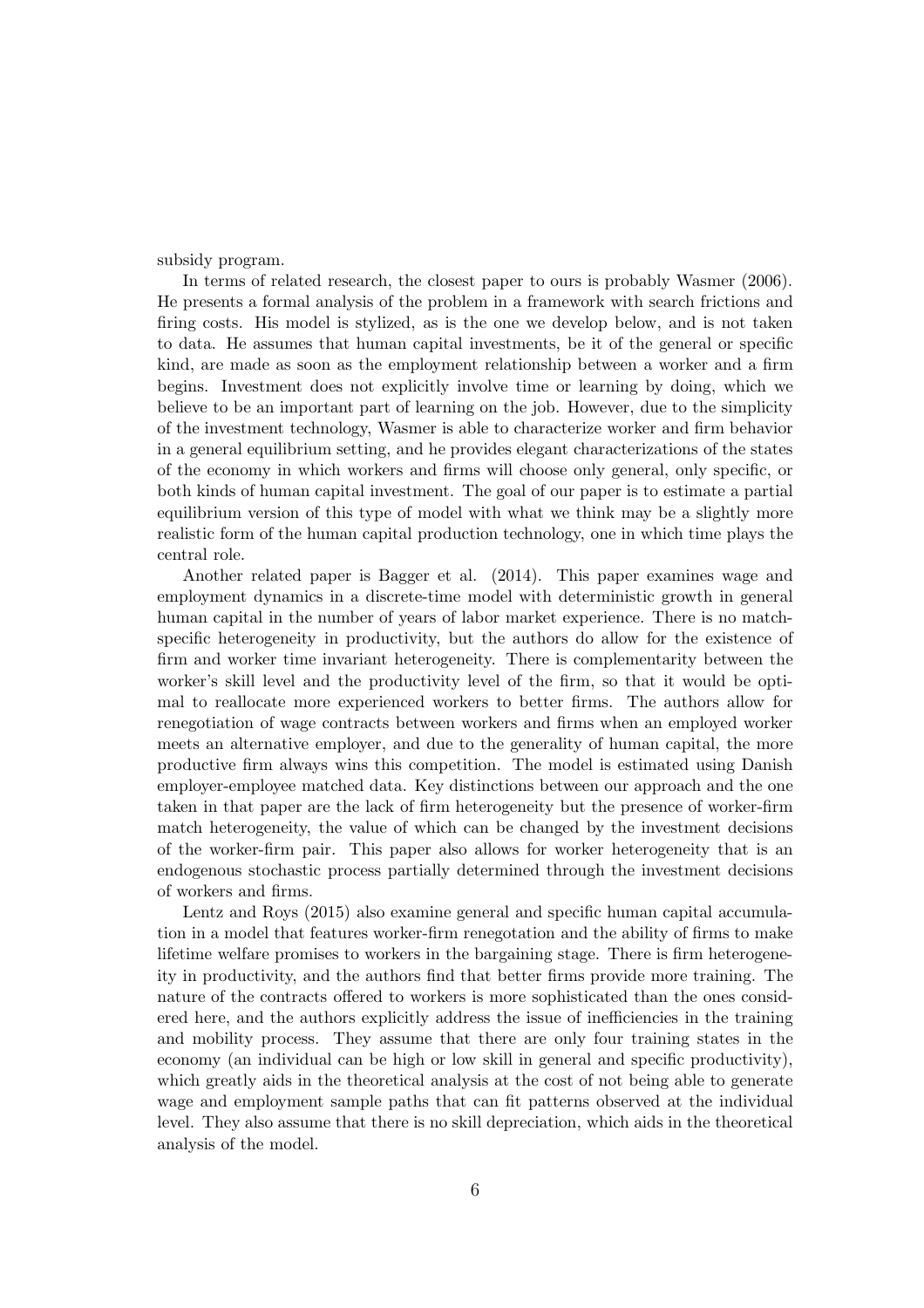subsidy program.

In terms of related research, the closest paper to ours is probably Wasmer (2006). He presents a formal analysis of the problem in a framework with search frictions and firing costs. His model is stylized, as is the one we develop below, and is not taken to data. He assumes that human capital investments, be it of the general or specific kind, are made as soon as the employment relationship between a worker and a firm begins. Investment does not explicitly involve time or learning by doing, which we believe to be an important part of learning on the job. However, due to the simplicity of the investment technology, Wasmer is able to characterize worker and firm behavior in a general equilibrium setting, and he provides elegant characterizations of the states of the economy in which workers and firms will choose only general, only specific, or both kinds of human capital investment. The goal of our paper is to estimate a partial equilibrium version of this type of model with what we think may be a slightly more realistic form of the human capital production technology, one in which time plays the central role.

Another related paper is Bagger et al. (2014). This paper examines wage and employment dynamics in a discrete-time model with deterministic growth in general human capital in the number of years of labor market experience. There is no matchspecific heterogeneity in productivity, but the authors do allow for the existence of firm and worker time invariant heterogeneity. There is complementarity between the worker's skill level and the productivity level of the firm, so that it would be optimal to reallocate more experienced workers to better firms. The authors allow for renegotiation of wage contracts between workers and firms when an employed worker meets an alternative employer, and due to the generality of human capital, the more productive firm always wins this competition. The model is estimated using Danish employer-employee matched data. Key distinctions between our approach and the one taken in that paper are the lack of firm heterogeneity but the presence of worker-firm match heterogeneity, the value of which can be changed by the investment decisions of the worker-firm pair. This paper also allows for worker heterogeneity that is an endogenous stochastic process partially determined through the investment decisions of workers and firms.

Lentz and Roys (2015) also examine general and specific human capital accumulation in a model that features worker-firm renegotation and the ability of firms to make lifetime welfare promises to workers in the bargaining stage. There is firm heterogeneity in productivity, and the authors find that better firms provide more training. The nature of the contracts offered to workers is more sophisticated than the ones considered here, and the authors explicitly address the issue of inefficiencies in the training and mobility process. They assume that there are only four training states in the economy (an individual can be high or low skill in general and specific productivity), which greatly aids in the theoretical analysis at the cost of not being able to generate wage and employment sample paths that can fit patterns observed at the individual level. They also assume that there is no skill depreciation, which aids in the theoretical analysis of the model.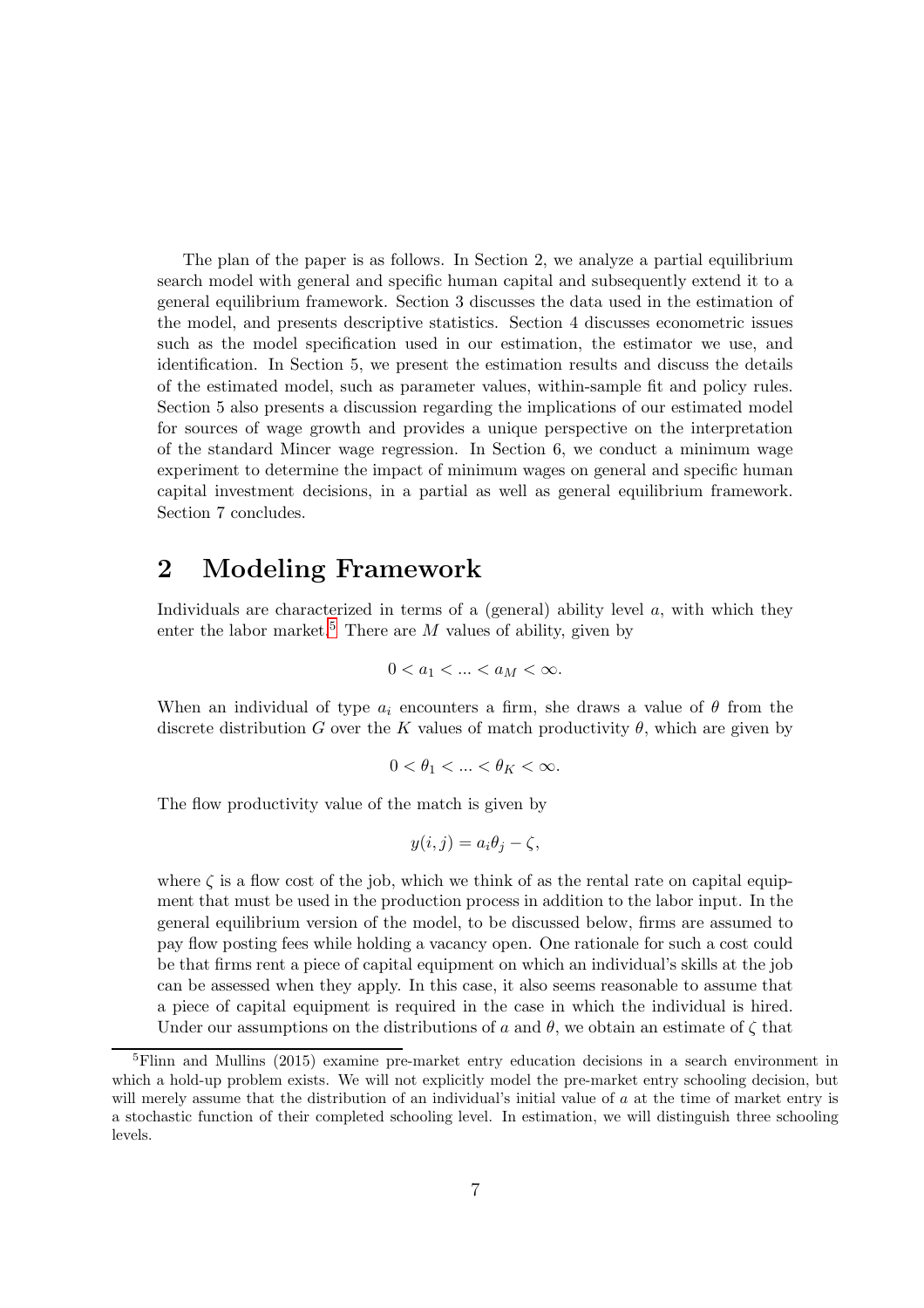The plan of the paper is as follows. In Section 2, we analyze a partial equilibrium search model with general and specific human capital and subsequently extend it to a general equilibrium framework. Section 3 discusses the data used in the estimation of the model, and presents descriptive statistics. Section 4 discusses econometric issues such as the model specification used in our estimation, the estimator we use, and identification. In Section 5, we present the estimation results and discuss the details of the estimated model, such as parameter values, within-sample fit and policy rules. Section 5 also presents a discussion regarding the implications of our estimated model for sources of wage growth and provides a unique perspective on the interpretation of the standard Mincer wage regression. In Section 6, we conduct a minimum wage experiment to determine the impact of minimum wages on general and specific human capital investment decisions, in a partial as well as general equilibrium framework. Section 7 concludes.

## 2 Modeling Framework

Individuals are characterized in terms of a (general) ability level  $a$ , with which they enter the labor market.<sup>[5](#page-6-0)</sup> There are M values of ability, given by

$$
0
$$

When an individual of type  $a_i$  encounters a firm, she draws a value of  $\theta$  from the discrete distribution G over the K values of match productivity  $\theta$ , which are given by

$$
0 < \theta_1 < \dots < \theta_K < \infty.
$$

The flow productivity value of the match is given by

$$
y(i,j) = a_i \theta_j - \zeta,
$$

where  $\zeta$  is a flow cost of the job, which we think of as the rental rate on capital equipment that must be used in the production process in addition to the labor input. In the general equilibrium version of the model, to be discussed below, firms are assumed to pay flow posting fees while holding a vacancy open. One rationale for such a cost could be that firms rent a piece of capital equipment on which an individual's skills at the job can be assessed when they apply. In this case, it also seems reasonable to assume that a piece of capital equipment is required in the case in which the individual is hired. Under our assumptions on the distributions of a and  $\theta$ , we obtain an estimate of  $\zeta$  that

<span id="page-6-0"></span><sup>5</sup>Flinn and Mullins (2015) examine pre-market entry education decisions in a search environment in which a hold-up problem exists. We will not explicitly model the pre-market entry schooling decision, but will merely assume that the distribution of an individual's initial value of a at the time of market entry is a stochastic function of their completed schooling level. In estimation, we will distinguish three schooling levels.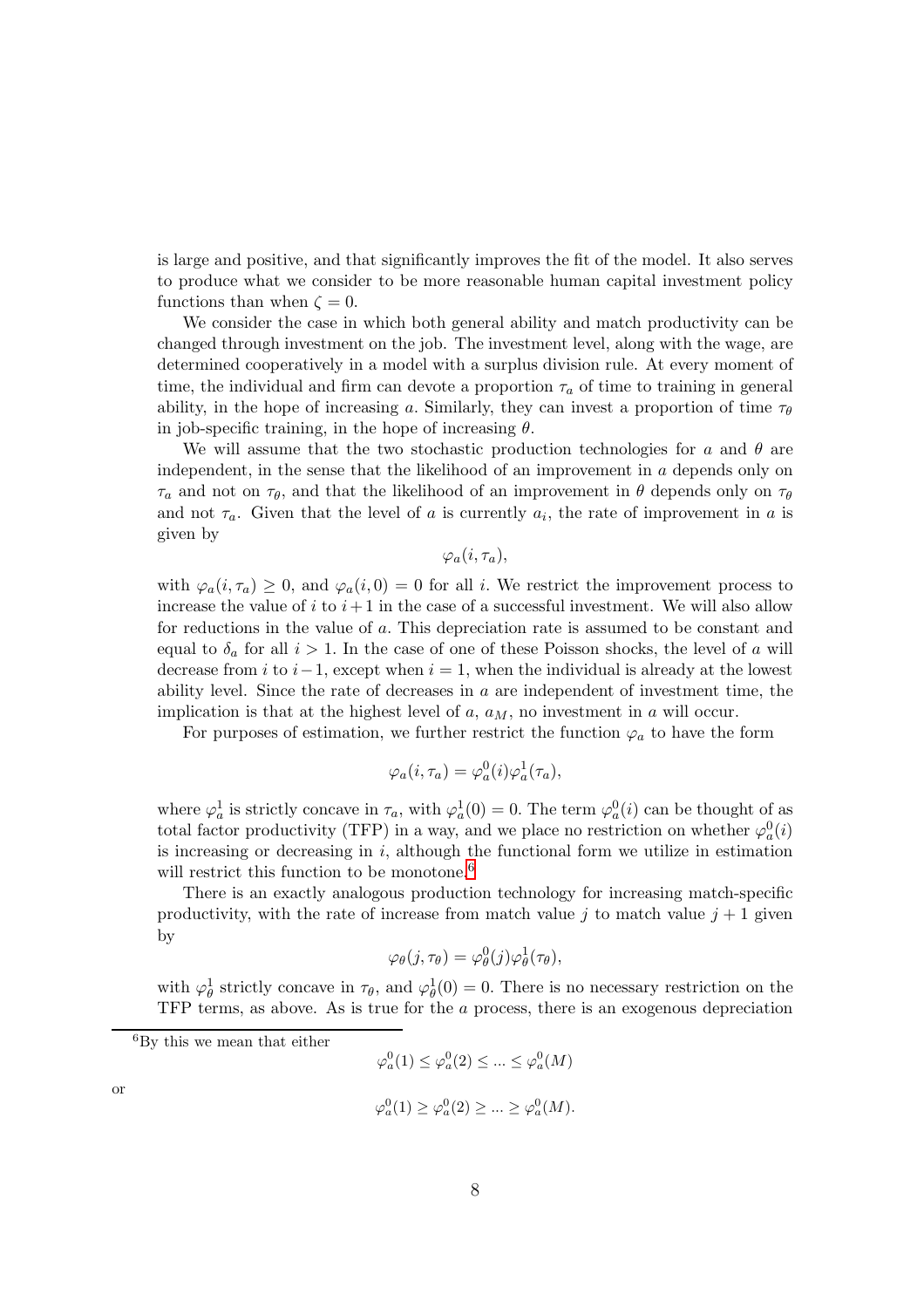is large and positive, and that significantly improves the fit of the model. It also serves to produce what we consider to be more reasonable human capital investment policy functions than when  $\zeta = 0$ .

We consider the case in which both general ability and match productivity can be changed through investment on the job. The investment level, along with the wage, are determined cooperatively in a model with a surplus division rule. At every moment of time, the individual and firm can devote a proportion  $\tau_a$  of time to training in general ability, in the hope of increasing a. Similarly, they can invest a proportion of time  $\tau_{\theta}$ in job-specific training, in the hope of increasing  $\theta$ .

We will assume that the two stochastic production technologies for a and  $\theta$  are independent, in the sense that the likelihood of an improvement in  $a$  depends only on  $\tau_a$  and not on  $\tau_{\theta}$ , and that the likelihood of an improvement in  $\theta$  depends only on  $\tau_{\theta}$ and not  $\tau_a$ . Given that the level of a is currently  $a_i$ , the rate of improvement in a is given by

 $\varphi_a(i, \tau_a),$ 

with  $\varphi_a(i, \tau_a) \geq 0$ , and  $\varphi_a(i, 0) = 0$  for all i. We restrict the improvement process to increase the value of i to  $i+1$  in the case of a successful investment. We will also allow for reductions in the value of a. This depreciation rate is assumed to be constant and equal to  $\delta_a$  for all  $i > 1$ . In the case of one of these Poisson shocks, the level of a will decrease from i to  $i-1$ , except when  $i = 1$ , when the individual is already at the lowest ability level. Since the rate of decreases in  $a$  are independent of investment time, the implication is that at the highest level of  $a$ ,  $a_M$ , no investment in  $a$  will occur.

For purposes of estimation, we further restrict the function  $\varphi_a$  to have the form

$$
\varphi_a(i, \tau_a) = \varphi_a^0(i)\varphi_a^1(\tau_a),
$$

where  $\varphi_a^1$  is strictly concave in  $\tau_a$ , with  $\varphi_a^1(0) = 0$ . The term  $\varphi_a^0(i)$  can be thought of as total factor productivity (TFP) in a way, and we place no restriction on whether  $\varphi_a^0(i)$ is increasing or decreasing in  $i$ , although the functional form we utilize in estimation will restrict this function to be monotone.<sup>[6](#page-7-0)</sup>

There is an exactly analogous production technology for increasing match-specific productivity, with the rate of increase from match value j to match value  $j + 1$  given by

$$
\varphi_{\theta}(j,\tau_{\theta}) = \varphi_{\theta}^{0}(j)\varphi_{\theta}^{1}(\tau_{\theta}),
$$

with  $\varphi_{\theta}^1$  strictly concave in  $\tau_{\theta}$ , and  $\varphi_{\theta}^1(0) = 0$ . There is no necessary restriction on the TFP terms, as above. As is true for the a process, there is an exogenous depreciation

<span id="page-7-0"></span><sup>6</sup>By this we mean that either

$$
\varphi_a^0(1) \le \varphi_a^0(2) \le \dots \le \varphi_a^0(M)
$$

or

 $\varphi_a^0(1) \geq \varphi_a^0(2) \geq \ldots \geq \varphi_a^0(M).$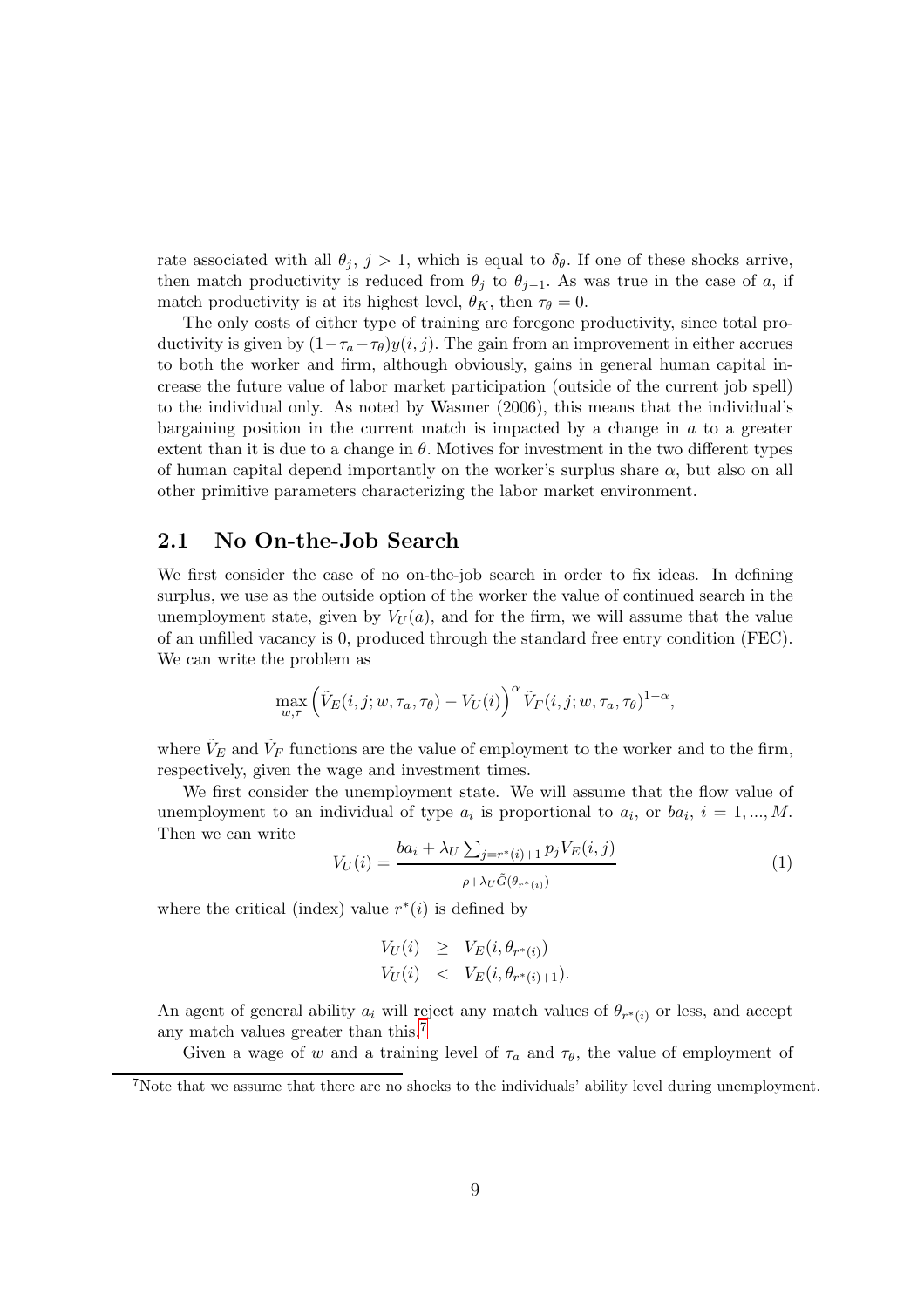rate associated with all  $\theta_j$ ,  $j > 1$ , which is equal to  $\delta_{\theta}$ . If one of these shocks arrive, then match productivity is reduced from  $\theta_j$  to  $\theta_{j-1}$ . As was true in the case of a, if match productivity is at its highest level,  $\theta_K$ , then  $\tau_{\theta} = 0$ .

The only costs of either type of training are foregone productivity, since total productivity is given by  $(1-\tau_a-\tau_{\theta})y(i,j)$ . The gain from an improvement in either accrues to both the worker and firm, although obviously, gains in general human capital increase the future value of labor market participation (outside of the current job spell) to the individual only. As noted by Wasmer (2006), this means that the individual's bargaining position in the current match is impacted by a change in  $a$  to a greater extent than it is due to a change in  $\theta$ . Motives for investment in the two different types of human capital depend importantly on the worker's surplus share  $\alpha$ , but also on all other primitive parameters characterizing the labor market environment.

#### 2.1 No On-the-Job Search

We first consider the case of no on-the-job search in order to fix ideas. In defining surplus, we use as the outside option of the worker the value of continued search in the unemployment state, given by  $V_U(a)$ , and for the firm, we will assume that the value of an unfilled vacancy is 0, produced through the standard free entry condition (FEC). We can write the problem as

$$
\max_{w,\tau} \left( \tilde{V}_E(i,j;w,\tau_a,\tau_\theta) - V_U(i) \right)^\alpha \tilde{V}_F(i,j;w,\tau_a,\tau_\theta)^{1-\alpha},
$$

where  $\tilde{V}_E$  and  $\tilde{V}_F$  functions are the value of employment to the worker and to the firm, respectively, given the wage and investment times.

We first consider the unemployment state. We will assume that the flow value of unemployment to an individual of type  $a_i$  is proportional to  $a_i$ , or  $ba_i$ ,  $i = 1, ..., M$ . Then we can write

$$
V_U(i) = \frac{ba_i + \lambda_U \sum_{j=r^*(i)+1} p_j V_E(i,j)}{\rho + \lambda_U \tilde{G}(\theta_{r^*(i)})}
$$
(1)

where the critical (index) value  $r^*(i)$  is defined by

$$
V_U(i) \geq V_E(i, \theta_{r^*(i)})
$$
  
\n
$$
V_U(i) < V_E(i, \theta_{r^*(i)+1}).
$$

An agent of general ability  $a_i$  will reject any match values of  $\theta_{r^*(i)}$  or less, and accept any match values greater than this.<sup>[7](#page-8-0)</sup>

Given a wage of w and a training level of  $\tau_a$  and  $\tau_{\theta}$ , the value of employment of

<span id="page-8-0"></span><sup>7</sup>Note that we assume that there are no shocks to the individuals' ability level during unemployment.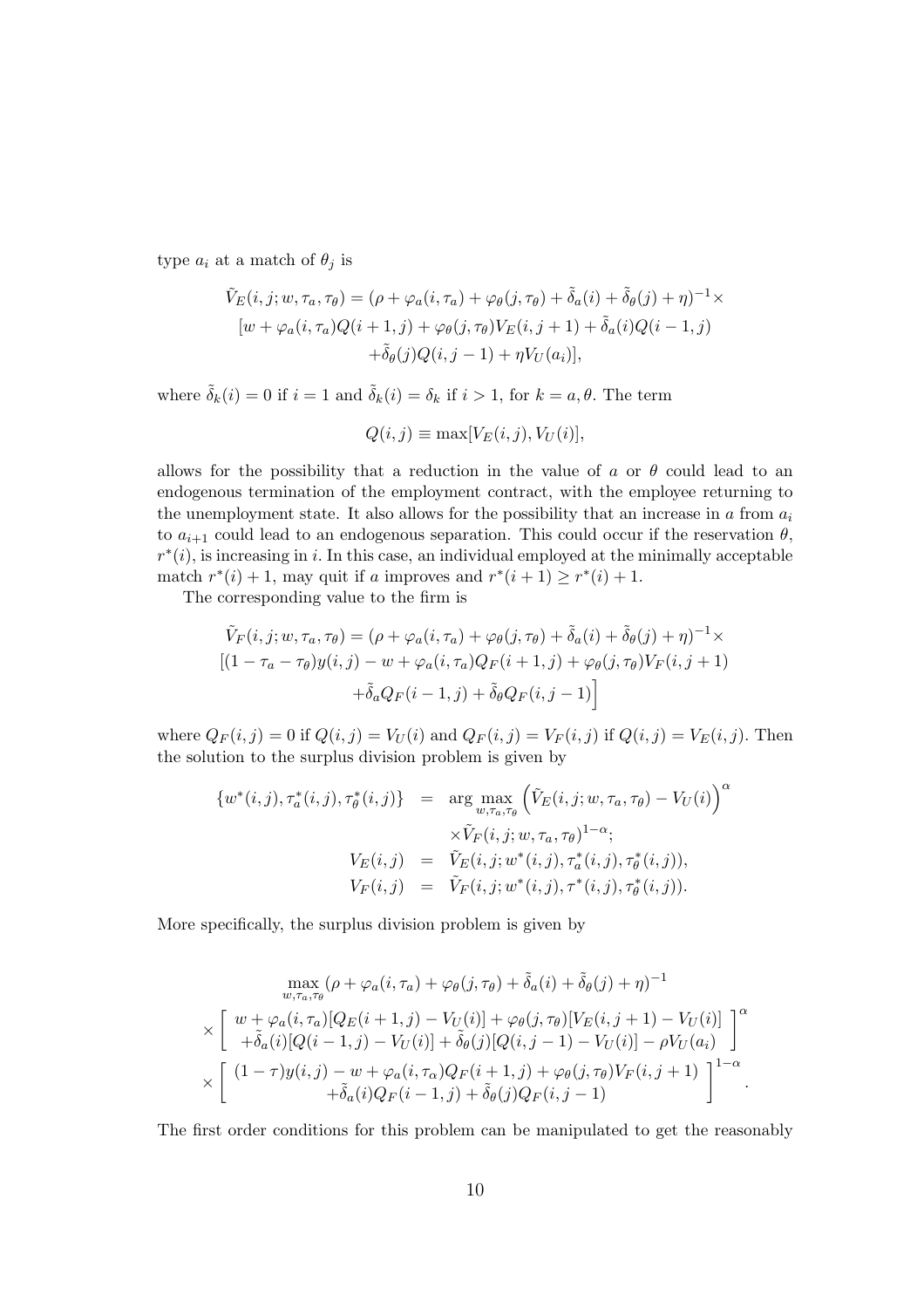type  $a_i$  at a match of  $\theta_j$  is

$$
\tilde{V}_E(i,j; w, \tau_a, \tau_\theta) = (\rho + \varphi_a(i, \tau_a) + \varphi_\theta(j, \tau_\theta) + \tilde{\delta}_a(i) + \tilde{\delta}_\theta(j) + \eta)^{-1} \times \n[w + \varphi_a(i, \tau_a)Q(i+1, j) + \varphi_\theta(j, \tau_\theta)V_E(i, j+1) + \tilde{\delta}_a(i)Q(i-1, j) \n+ \tilde{\delta}_\theta(j)Q(i, j-1) + \eta V_U(a_i)],
$$

where  $\tilde{\delta}_k(i) = 0$  if  $i = 1$  and  $\tilde{\delta}_k(i) = \delta_k$  if  $i > 1$ , for  $k = a, \theta$ . The term

$$
Q(i,j) \equiv \max[V_E(i,j), V_U(i)],
$$

allows for the possibility that a reduction in the value of a or  $\theta$  could lead to an endogenous termination of the employment contract, with the employee returning to the unemployment state. It also allows for the possibility that an increase in a from  $a_i$ to  $a_{i+1}$  could lead to an endogenous separation. This could occur if the reservation  $\theta$ ,  $r^*(i)$ , is increasing in i. In this case, an individual employed at the minimally acceptable match  $r^*(i) + 1$ , may quit if a improves and  $r^*(i+1) \geq r^*(i) + 1$ .

The corresponding value to the firm is

$$
\tilde{V}_F(i, j; w, \tau_a, \tau_\theta) = (\rho + \varphi_a(i, \tau_a) + \varphi_\theta(j, \tau_\theta) + \tilde{\delta}_a(i) + \tilde{\delta}_\theta(j) + \eta)^{-1} \times
$$
\n
$$
[(1 - \tau_a - \tau_\theta)y(i, j) - w + \varphi_a(i, \tau_a)Q_F(i + 1, j) + \varphi_\theta(j, \tau_\theta)V_F(i, j + 1) + \tilde{\delta}_aQ_F(i - 1, j) + \tilde{\delta}_\thetaQ_F(i, j - 1)]
$$

where  $Q_F(i, j) = 0$  if  $Q(i, j) = V_U(i)$  and  $Q_F(i, j) = V_F(i, j)$  if  $Q(i, j) = V_E(i, j)$ . Then the solution to the surplus division problem is given by

$$
\{w^*(i,j), \tau_a^*(i,j), \tau_{\theta}^*(i,j)\} = \arg \max_{w, \tau_a, \tau_{\theta}} \left(\tilde{V}_E(i,j; w, \tau_a, \tau_{\theta}) - V_U(i)\right)^{\alpha} \times \tilde{V}_F(i,j; w, \tau_a, \tau_{\theta})^{1-\alpha}; \nV_E(i,j) = \tilde{V}_E(i,j; w^*(i,j), \tau_a^*(i,j), \tau_{\theta}^*(i,j)), \nV_F(i,j) = \tilde{V}_F(i,j; w^*(i,j), \tau^*(i,j), \tau_{\theta}^*(i,j)).
$$

More specifically, the surplus division problem is given by

$$
\max_{w,\tau_a,\tau_\theta} (\rho + \varphi_a(i,\tau_a) + \varphi_\theta(j,\tau_\theta) + \tilde{\delta}_a(i) + \tilde{\delta}_\theta(j) + \eta)^{-1}
$$
  
\$\times \begin{bmatrix} w + \varphi\_a(i,\tau\_a)[Q\_E(i+1,j) - V\_U(i)] + \varphi\_\theta(j,\tau\_\theta)[V\_E(i,j+1) - V\_U(i)] \\ + \tilde{\delta}\_a(i)[Q(i-1,j) - V\_U(i)] + \tilde{\delta}\_\theta(j)[Q(i,j-1) - V\_U(i)] - \rho V\_U(a\_i) \end{bmatrix}^{\alpha}\$  
\$\times \begin{bmatrix} (1-\tau)y(i,j) - w + \varphi\_a(i,\tau\_\alpha)Q\_F(i+1,j) + \varphi\_\theta(j,\tau\_\theta)V\_F(i,j+1) \\ + \tilde{\delta}\_a(i)Q\_F(i-1,j) + \tilde{\delta}\_\theta(j)Q\_F(i,j-1) \end{bmatrix}^{1-\alpha}\$.

The first order conditions for this problem can be manipulated to get the reasonably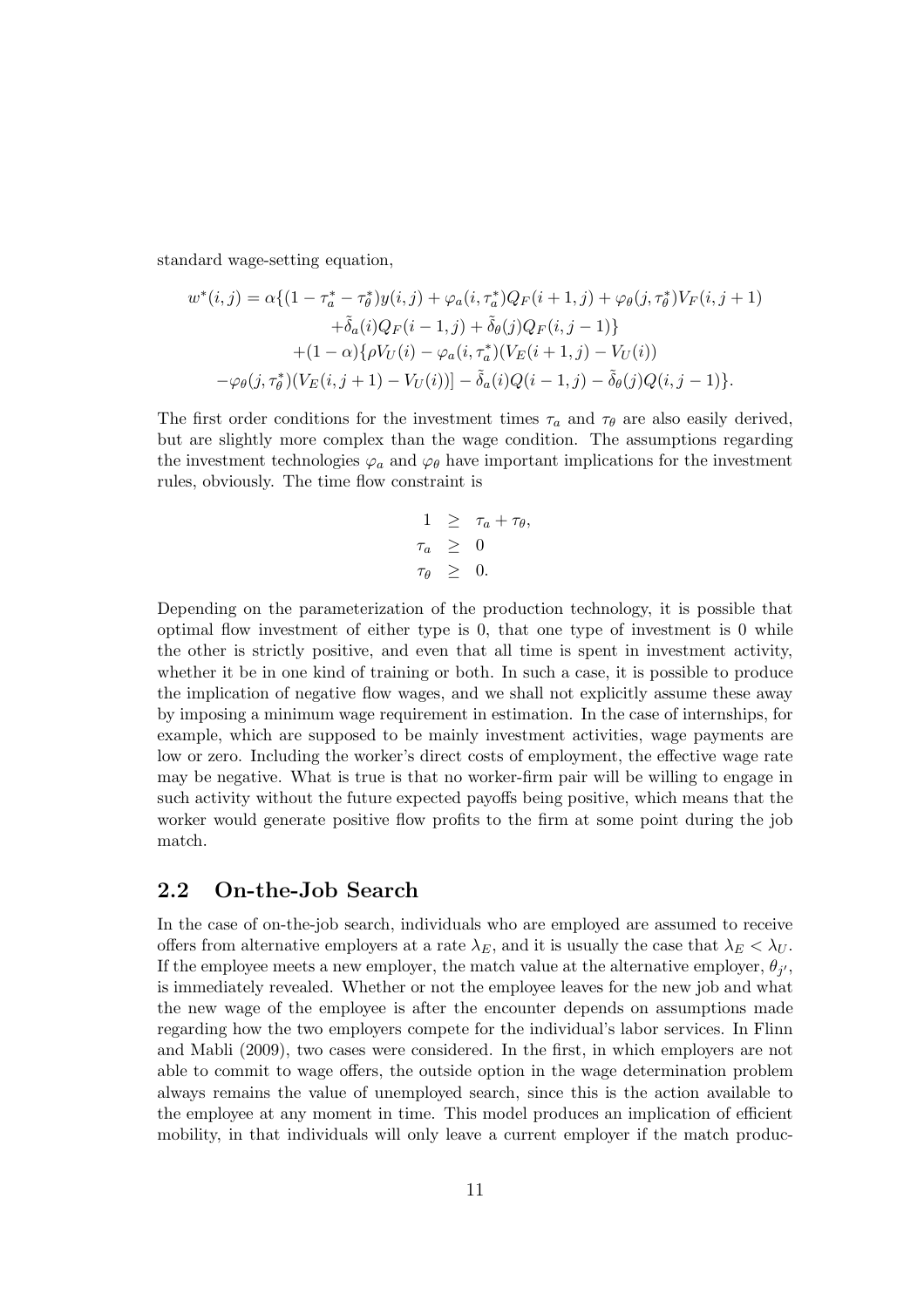standard wage-setting equation,

$$
w^*(i,j) = \alpha \{ (1 - \tau_a^* - \tau_\theta^*) y(i,j) + \varphi_a(i, \tau_a^*) Q_F(i+1,j) + \varphi_\theta(j, \tau_\theta^*) V_F(i,j+1) + \tilde{\delta}_a(i) Q_F(i-1,j) + \tilde{\delta}_\theta(j) Q_F(i,j-1) \} + (1 - \alpha) \{ \rho V_U(i) - \varphi_a(i, \tau_a^*) (V_E(i+1,j) - V_U(i)) - \varphi_\theta(j, \tau_\theta^*) (V_E(i,j+1) - V_U(i)) \} - \tilde{\delta}_a(i) Q(i-1,j) - \tilde{\delta}_\theta(j) Q(i,j-1) \}.
$$

The first order conditions for the investment times  $\tau_a$  and  $\tau_\theta$  are also easily derived, but are slightly more complex than the wage condition. The assumptions regarding the investment technologies  $\varphi_a$  and  $\varphi_\theta$  have important implications for the investment rules, obviously. The time flow constraint is

$$
1 \geq \tau_a + \tau_{\theta},
$$
  
\n
$$
\tau_a \geq 0
$$
  
\n
$$
\tau_{\theta} \geq 0.
$$

Depending on the parameterization of the production technology, it is possible that optimal flow investment of either type is 0, that one type of investment is 0 while the other is strictly positive, and even that all time is spent in investment activity, whether it be in one kind of training or both. In such a case, it is possible to produce the implication of negative flow wages, and we shall not explicitly assume these away by imposing a minimum wage requirement in estimation. In the case of internships, for example, which are supposed to be mainly investment activities, wage payments are low or zero. Including the worker's direct costs of employment, the effective wage rate may be negative. What is true is that no worker-firm pair will be willing to engage in such activity without the future expected payoffs being positive, which means that the worker would generate positive flow profits to the firm at some point during the job match.

### 2.2 On-the-Job Search

In the case of on-the-job search, individuals who are employed are assumed to receive offers from alternative employers at a rate  $\lambda_E$ , and it is usually the case that  $\lambda_E < \lambda_U$ . If the employee meets a new employer, the match value at the alternative employer,  $\theta_{j'}$ , is immediately revealed. Whether or not the employee leaves for the new job and what the new wage of the employee is after the encounter depends on assumptions made regarding how the two employers compete for the individual's labor services. In Flinn and Mabli (2009), two cases were considered. In the first, in which employers are not able to commit to wage offers, the outside option in the wage determination problem always remains the value of unemployed search, since this is the action available to the employee at any moment in time. This model produces an implication of efficient mobility, in that individuals will only leave a current employer if the match produc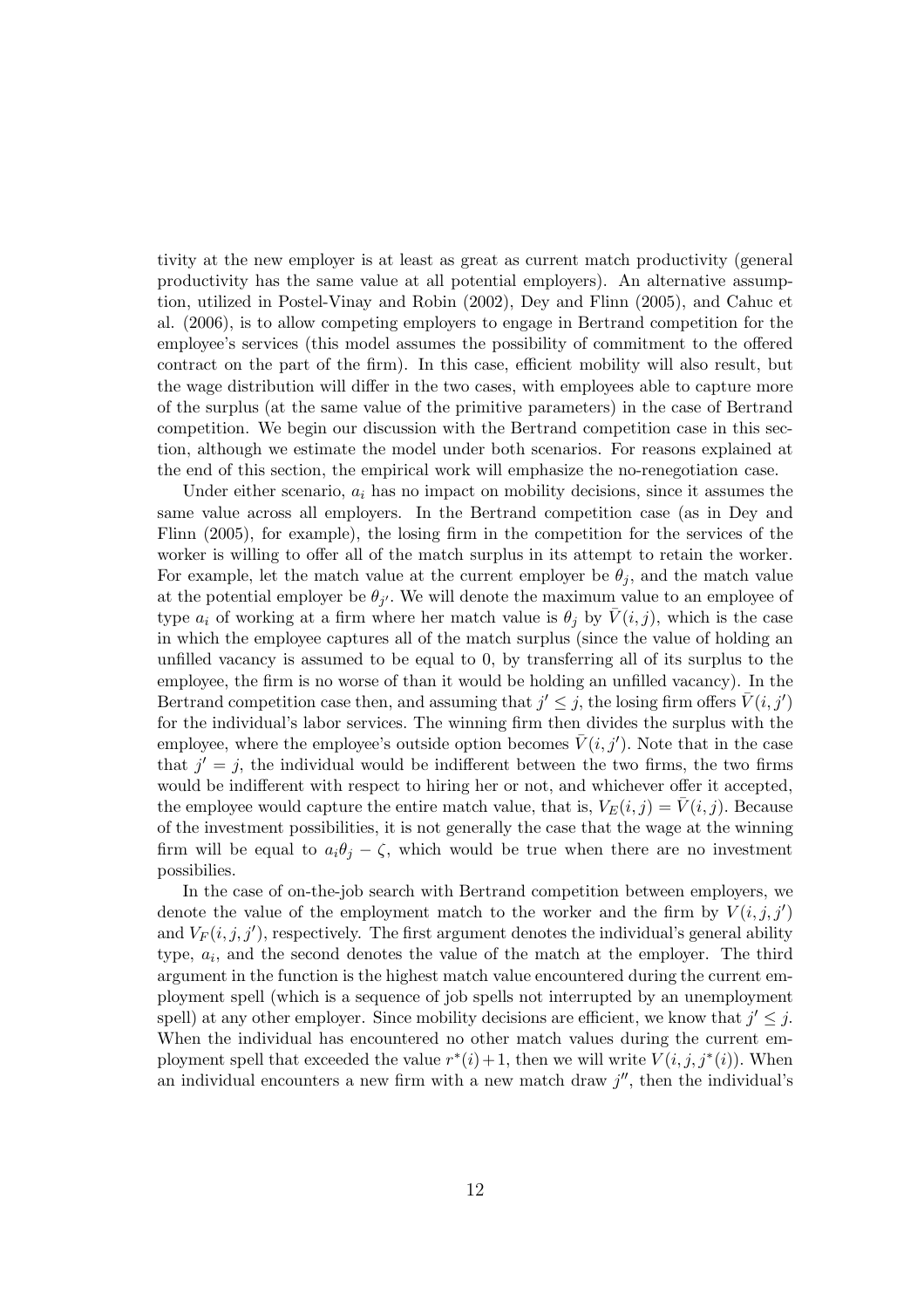tivity at the new employer is at least as great as current match productivity (general productivity has the same value at all potential employers). An alternative assumption, utilized in Postel-Vinay and Robin (2002), Dey and Flinn (2005), and Cahuc et al. (2006), is to allow competing employers to engage in Bertrand competition for the employee's services (this model assumes the possibility of commitment to the offered contract on the part of the firm). In this case, efficient mobility will also result, but the wage distribution will differ in the two cases, with employees able to capture more of the surplus (at the same value of the primitive parameters) in the case of Bertrand competition. We begin our discussion with the Bertrand competition case in this section, although we estimate the model under both scenarios. For reasons explained at the end of this section, the empirical work will emphasize the no-renegotiation case.

Under either scenario,  $a_i$  has no impact on mobility decisions, since it assumes the same value across all employers. In the Bertrand competition case (as in Dey and Flinn (2005), for example), the losing firm in the competition for the services of the worker is willing to offer all of the match surplus in its attempt to retain the worker. For example, let the match value at the current employer be  $\theta_j$ , and the match value at the potential employer be  $\theta_{j'}$ . We will denote the maximum value to an employee of type  $a_i$  of working at a firm where her match value is  $\theta_j$  by  $V(i, j)$ , which is the case in which the employee captures all of the match surplus (since the value of holding an unfilled vacancy is assumed to be equal to 0, by transferring all of its surplus to the employee, the firm is no worse of than it would be holding an unfilled vacancy). In the Bertrand competition case then, and assuming that  $j' \leq j$ , the losing firm offers  $\bar{V}(i, j')$ for the individual's labor services. The winning firm then divides the surplus with the employee, where the employee's outside option becomes  $\bar{V}(i, j')$ . Note that in the case that  $j' = j$ , the individual would be indifferent between the two firms, the two firms would be indifferent with respect to hiring her or not, and whichever offer it accepted, the employee would capture the entire match value, that is,  $V_E(i, j) = \overline{V}(i, j)$ . Because of the investment possibilities, it is not generally the case that the wage at the winning firm will be equal to  $a_i\theta_j - \zeta$ , which would be true when there are no investment possibilies.

In the case of on-the-job search with Bertrand competition between employers, we denote the value of the employment match to the worker and the firm by  $V(i, j, j')$ and  $V_F(i,j,j')$ , respectively. The first argument denotes the individual's general ability type,  $a_i$ , and the second denotes the value of the match at the employer. The third argument in the function is the highest match value encountered during the current employment spell (which is a sequence of job spells not interrupted by an unemployment spell) at any other employer. Since mobility decisions are efficient, we know that  $j' \leq j$ . When the individual has encountered no other match values during the current employment spell that exceeded the value  $r^*(i) + 1$ , then we will write  $V(i, j, j^*(i))$ . When an individual encounters a new firm with a new match draw  $j''$ , then the individual's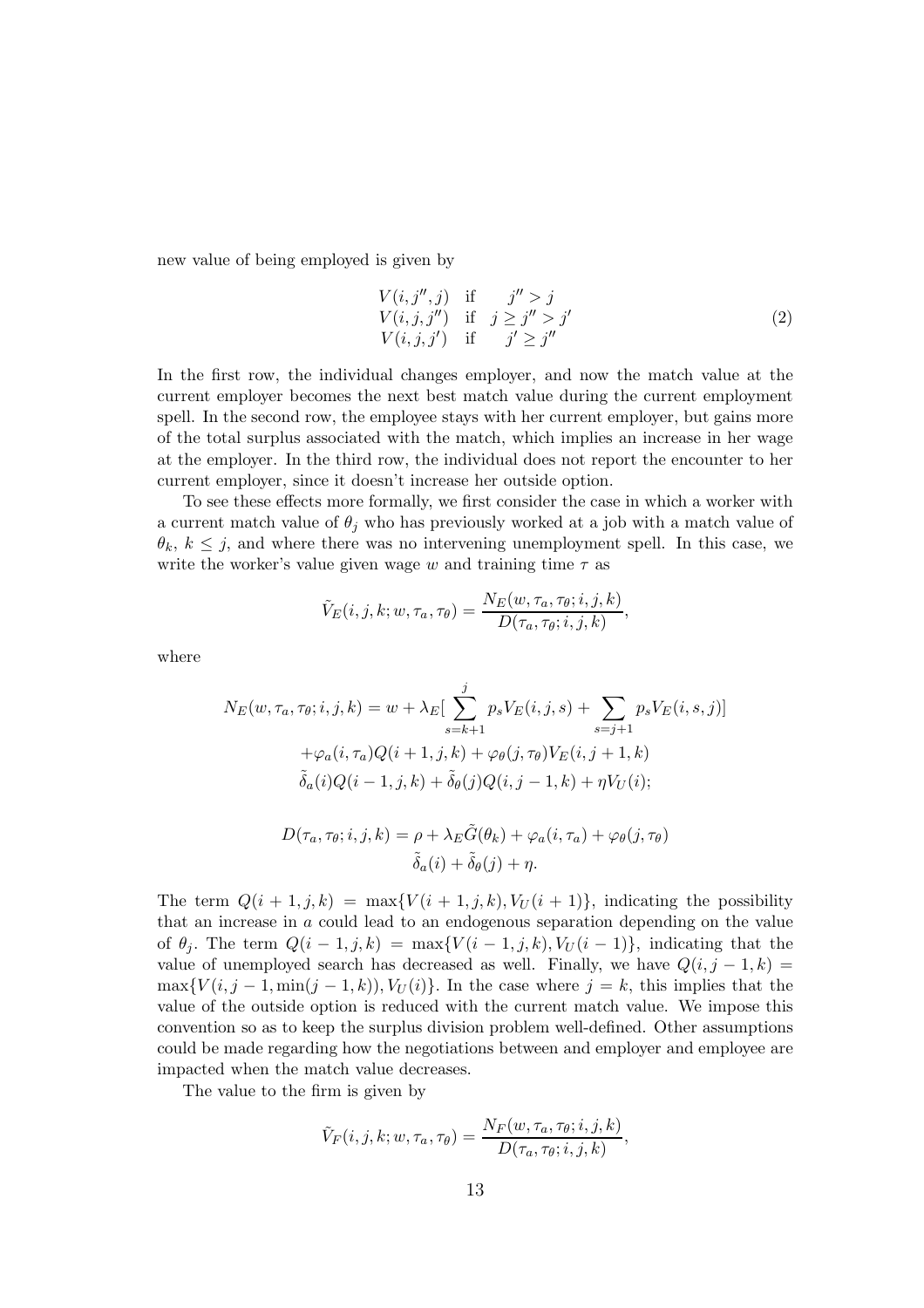new value of being employed is given by

$$
V(i, j'', j) \quad \text{if} \quad j'' > j
$$
\n
$$
V(i, j, j'') \quad \text{if} \quad j \geq j'' > j'
$$
\n
$$
V(i, j, j') \quad \text{if} \quad j' \geq j''
$$
\n
$$
(2)
$$

In the first row, the individual changes employer, and now the match value at the current employer becomes the next best match value during the current employment spell. In the second row, the employee stays with her current employer, but gains more of the total surplus associated with the match, which implies an increase in her wage at the employer. In the third row, the individual does not report the encounter to her current employer, since it doesn't increase her outside option.

To see these effects more formally, we first consider the case in which a worker with a current match value of  $\theta_j$  who has previously worked at a job with a match value of  $\theta_k, k \leq j$ , and where there was no intervening unemployment spell. In this case, we write the worker's value given wage w and training time  $\tau$  as

$$
\tilde{V}_E(i,j,k;w,\tau_a,\tau_\theta) = \frac{N_E(w,\tau_a,\tau_\theta;i,j,k)}{D(\tau_a,\tau_\theta;i,j,k)},
$$

where

$$
N_E(w, \tau_a, \tau_\theta; i, j, k) = w + \lambda_E \left[ \sum_{s=k+1}^j p_s V_E(i, j, s) + \sum_{s=j+1} p_s V_E(i, s, j) \right] + \varphi_a(i, \tau_a) Q(i+1, j, k) + \varphi_\theta(j, \tau_\theta) V_E(i, j+1, k) \tilde{\delta}_a(i) Q(i-1, j, k) + \tilde{\delta}_\theta(j) Q(i, j-1, k) + \eta V_U(i);
$$

$$
D(\tau_a, \tau_\theta; i, j, k) = \rho + \lambda_E \tilde{G}(\theta_k) + \varphi_a(i, \tau_a) + \varphi_\theta(j, \tau_\theta)
$$

$$
\tilde{\delta}_a(i) + \tilde{\delta}_\theta(j) + \eta.
$$

The term  $Q(i + 1, j, k) = \max\{V(i + 1, j, k), V_U(i + 1)\}\$ , indicating the possibility that an increase in a could lead to an endogenous separation depending on the value of  $\theta_i$ . The term  $Q(i-1,j,k) = \max\{V(i-1,j,k), V_U(i-1)\}\$ , indicating that the value of unemployed search has decreased as well. Finally, we have  $Q(i, j - 1, k)$  $\max\{V(i, j-1, \min(j-1, k)), V_U(i)\}.$  In the case where  $j = k$ , this implies that the value of the outside option is reduced with the current match value. We impose this convention so as to keep the surplus division problem well-defined. Other assumptions could be made regarding how the negotiations between and employer and employee are impacted when the match value decreases.

The value to the firm is given by

$$
\tilde{V}_F(i,j,k;w,\tau_a,\tau_\theta) = \frac{N_F(w,\tau_a,\tau_\theta;i,j,k)}{D(\tau_a,\tau_\theta;i,j,k)},
$$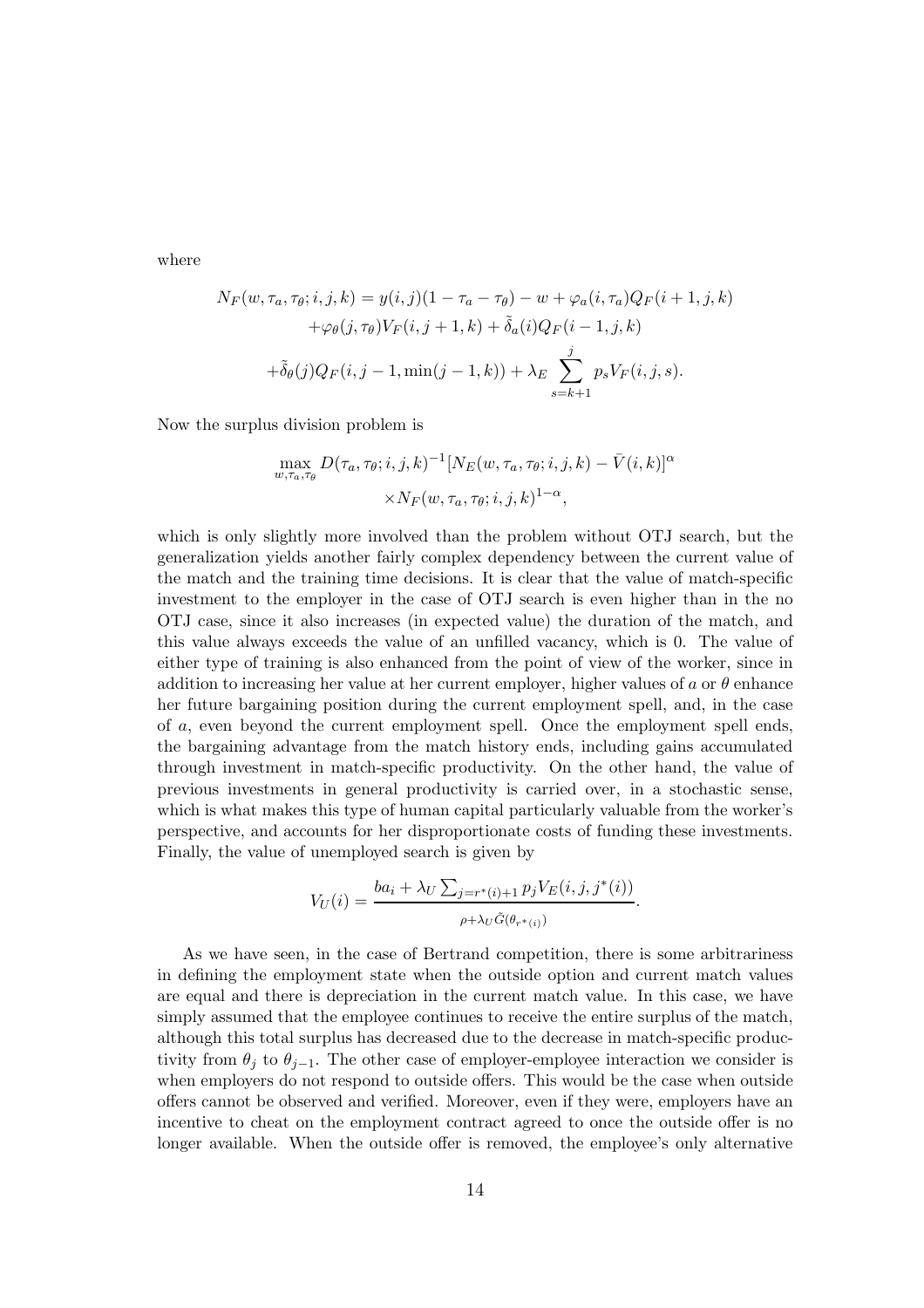where

$$
N_F(w, \tau_a, \tau_\theta; i, j, k) = y(i, j)(1 - \tau_a - \tau_\theta) - w + \varphi_a(i, \tau_a)Q_F(i + 1, j, k) + \varphi_\theta(j, \tau_\theta)V_F(i, j + 1, k) + \tilde{\delta}_a(i)Q_F(i - 1, j, k) + \tilde{\delta}_\theta(j)Q_F(i, j - 1, \min(j - 1, k)) + \lambda_E \sum_{s = k + 1}^j p_s V_F(i, j, s).
$$

Now the surplus division problem is

$$
\max_{w,\tau_a,\tau_\theta} D(\tau_a, \tau_\theta; i, j, k)^{-1} [N_E(w, \tau_a, \tau_\theta; i, j, k) - \bar{V}(i, k)]^{\alpha} \times N_F(w, \tau_a, \tau_\theta; i, j, k)^{1-\alpha},
$$

which is only slightly more involved than the problem without OTJ search, but the generalization yields another fairly complex dependency between the current value of the match and the training time decisions. It is clear that the value of match-specific investment to the employer in the case of OTJ search is even higher than in the no OTJ case, since it also increases (in expected value) the duration of the match, and this value always exceeds the value of an unfilled vacancy, which is 0. The value of either type of training is also enhanced from the point of view of the worker, since in addition to increasing her value at her current employer, higher values of a or  $\theta$  enhance her future bargaining position during the current employment spell, and, in the case of a, even beyond the current employment spell. Once the employment spell ends, the bargaining advantage from the match history ends, including gains accumulated through investment in match-specific productivity. On the other hand, the value of previous investments in general productivity is carried over, in a stochastic sense, which is what makes this type of human capital particularly valuable from the worker's perspective, and accounts for her disproportionate costs of funding these investments. Finally, the value of unemployed search is given by

$$
V_U(i) = \frac{ba_i + \lambda_U \sum_{j=r^*(i)+1} p_j V_E(i, j, j^*(i))}{\rho + \lambda_U \tilde{G}(\theta_{r^*(i)})}.
$$

As we have seen, in the case of Bertrand competition, there is some arbitrariness in defining the employment state when the outside option and current match values are equal and there is depreciation in the current match value. In this case, we have simply assumed that the employee continues to receive the entire surplus of the match, although this total surplus has decreased due to the decrease in match-specific productivity from  $\theta_j$  to  $\theta_{j-1}$ . The other case of employer-employee interaction we consider is when employers do not respond to outside offers. This would be the case when outside offers cannot be observed and verified. Moreover, even if they were, employers have an incentive to cheat on the employment contract agreed to once the outside offer is no longer available. When the outside offer is removed, the employee's only alternative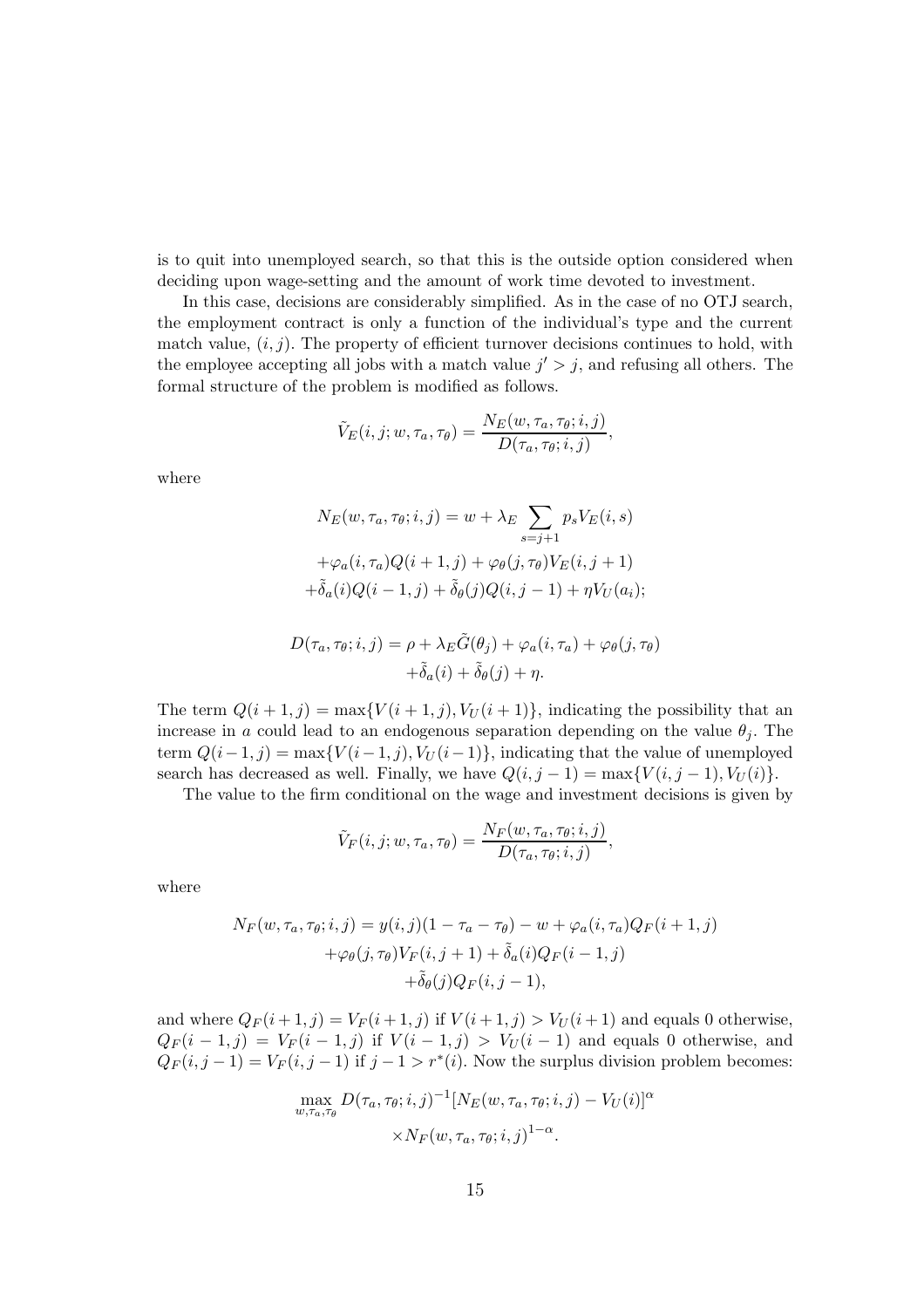is to quit into unemployed search, so that this is the outside option considered when deciding upon wage-setting and the amount of work time devoted to investment.

In this case, decisions are considerably simplified. As in the case of no OTJ search, the employment contract is only a function of the individual's type and the current match value,  $(i, j)$ . The property of efficient turnover decisions continues to hold, with the employee accepting all jobs with a match value  $j' > j$ , and refusing all others. The formal structure of the problem is modified as follows.

$$
\tilde{V}_E(i, j; w, \tau_a, \tau_\theta) = \frac{N_E(w, \tau_a, \tau_\theta; i, j)}{D(\tau_a, \tau_\theta; i, j)},
$$

where

$$
N_E(w, \tau_a, \tau_\theta; i, j) = w + \lambda_E \sum_{s=j+1} p_s V_E(i, s)
$$

$$
+ \varphi_a(i, \tau_a) Q(i+1, j) + \varphi_\theta(j, \tau_\theta) V_E(i, j+1)
$$

$$
+ \tilde{\delta}_a(i) Q(i-1, j) + \tilde{\delta}_\theta(j) Q(i, j-1) + \eta V_U(a_i);
$$

$$
D(\tau_a, \tau_{\theta}; i, j) = \rho + \lambda_E \tilde{G}(\theta_j) + \varphi_a(i, \tau_a) + \varphi_{\theta}(j, \tau_{\theta})
$$

$$
+ \tilde{\delta}_a(i) + \tilde{\delta}_{\theta}(j) + \eta.
$$

The term  $Q(i + 1, j) = \max\{V(i + 1, j), V_U(i + 1)\}\$ , indicating the possibility that an increase in a could lead to an endogenous separation depending on the value  $\theta_j$ . The term  $Q(i-1, j) = \max\{V(i-1, j), V_U(i-1)\}\$ , indicating that the value of unemployed search has decreased as well. Finally, we have  $Q(i, j - 1) = \max\{V(i, j - 1), V_U(i)\}.$ 

The value to the firm conditional on the wage and investment decisions is given by

$$
\tilde{V}_F(i,j;w,\tau_a,\tau_\theta)=\frac{N_F(w,\tau_a,\tau_\theta;i,j)}{D(\tau_a,\tau_\theta;i,j)},
$$

where

$$
N_F(w, \tau_a, \tau_\theta; i, j) = y(i, j)(1 - \tau_a - \tau_\theta) - w + \varphi_a(i, \tau_a)Q_F(i + 1, j)
$$
  
+
$$
\varphi_\theta(j, \tau_\theta)V_F(i, j + 1) + \tilde{\delta}_a(i)Q_F(i - 1, j)
$$
  
+
$$
\tilde{\delta}_\theta(j)Q_F(i, j - 1),
$$

and where  $Q_F(i+1, j) = V_F(i+1, j)$  if  $V(i+1, j) > V_U(i+1)$  and equals 0 otherwise,  $Q_F(i-1,j) = V_F(i-1,j)$  if  $V(i-1,j) > V_U(i-1)$  and equals 0 otherwise, and  $Q_F(i, j-1) = V_F(i, j-1)$  if  $j-1 > r^*(i)$ . Now the surplus division problem becomes:

$$
\max_{w,\tau_a,\tau_\theta} D(\tau_a,\tau_\theta;i,j)^{-1} [N_E(w,\tau_a,\tau_\theta;i,j) - V_U(i)]^{\alpha} \times N_F(w,\tau_a,\tau_\theta;i,j)^{1-\alpha}.
$$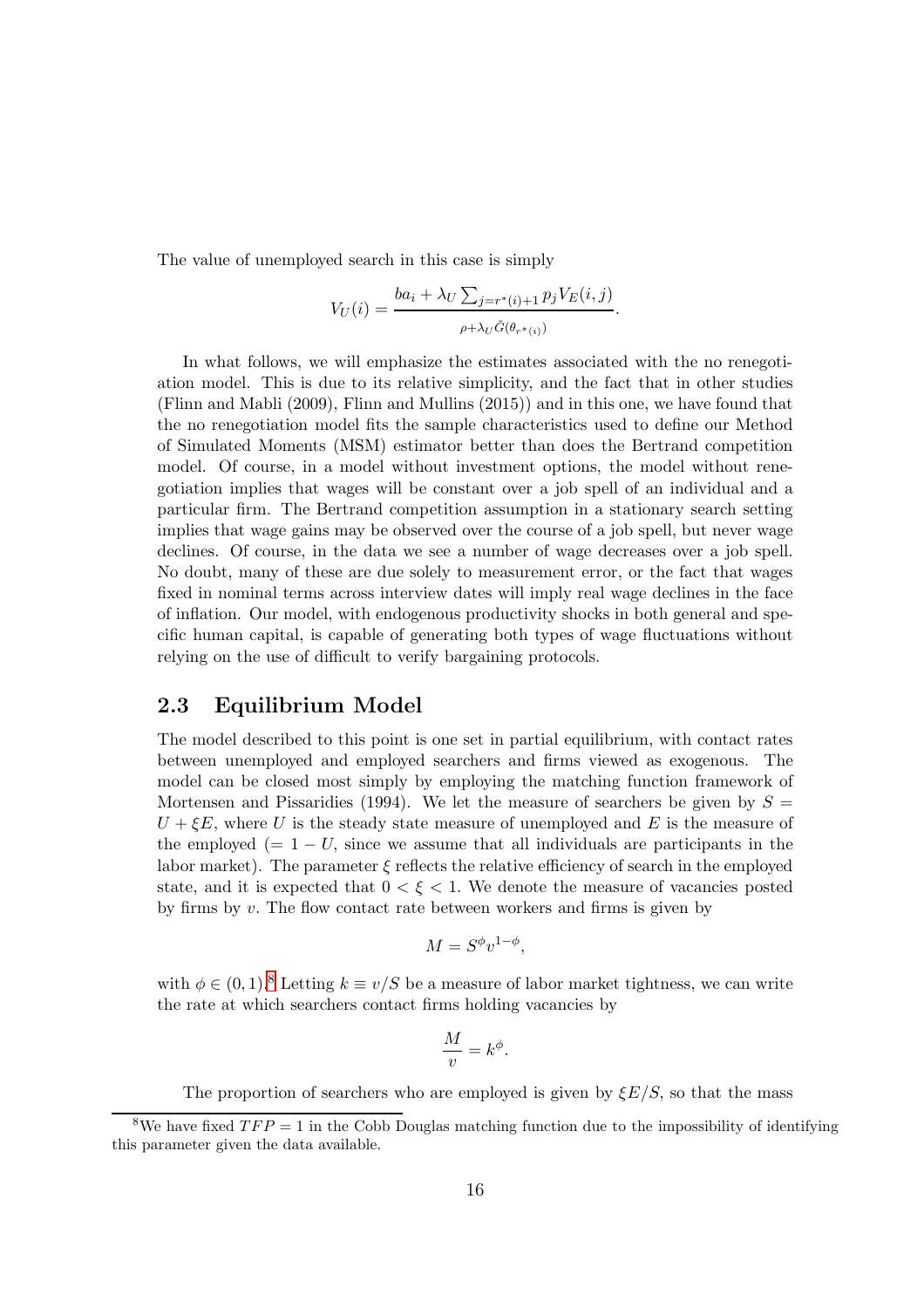The value of unemployed search in this case is simply

$$
V_U(i) = \frac{ba_i + \lambda_U \sum_{j=r^*(i)+1} p_j V_E(i,j)}{\rho + \lambda_U \tilde{G}(\theta_{r^*(i)})}.
$$

In what follows, we will emphasize the estimates associated with the no renegotiation model. This is due to its relative simplicity, and the fact that in other studies (Flinn and Mabli (2009), Flinn and Mullins (2015)) and in this one, we have found that the no renegotiation model fits the sample characteristics used to define our Method of Simulated Moments (MSM) estimator better than does the Bertrand competition model. Of course, in a model without investment options, the model without renegotiation implies that wages will be constant over a job spell of an individual and a particular firm. The Bertrand competition assumption in a stationary search setting implies that wage gains may be observed over the course of a job spell, but never wage declines. Of course, in the data we see a number of wage decreases over a job spell. No doubt, many of these are due solely to measurement error, or the fact that wages fixed in nominal terms across interview dates will imply real wage declines in the face of inflation. Our model, with endogenous productivity shocks in both general and specific human capital, is capable of generating both types of wage fluctuations without relying on the use of difficult to verify bargaining protocols.

## 2.3 Equilibrium Model

The model described to this point is one set in partial equilibrium, with contact rates between unemployed and employed searchers and firms viewed as exogenous. The model can be closed most simply by employing the matching function framework of Mortensen and Pissaridies (1994). We let the measure of searchers be given by  $S =$  $U + \xi E$ , where U is the steady state measure of unemployed and E is the measure of the employed (=  $1 - U$ , since we assume that all individuals are participants in the labor market). The parameter  $\xi$  reflects the relative efficiency of search in the employed state, and it is expected that  $0 < \xi < 1$ . We denote the measure of vacancies posted by firms by  $v$ . The flow contact rate between workers and firms is given by

$$
M = S^{\phi} v^{1-\phi},
$$

with  $\phi \in (0,1)$ .<sup>[8](#page-15-0)</sup> Letting  $k \equiv v/S$  be a measure of labor market tightness, we can write the rate at which searchers contact firms holding vacancies by

$$
\frac{M}{v} = k^{\phi}.
$$

The proportion of searchers who are employed is given by  $\mathcal{E}E/S$ , so that the mass

<span id="page-15-0"></span><sup>&</sup>lt;sup>8</sup>We have fixed  $TFP = 1$  in the Cobb Douglas matching function due to the impossibility of identifying this parameter given the data available.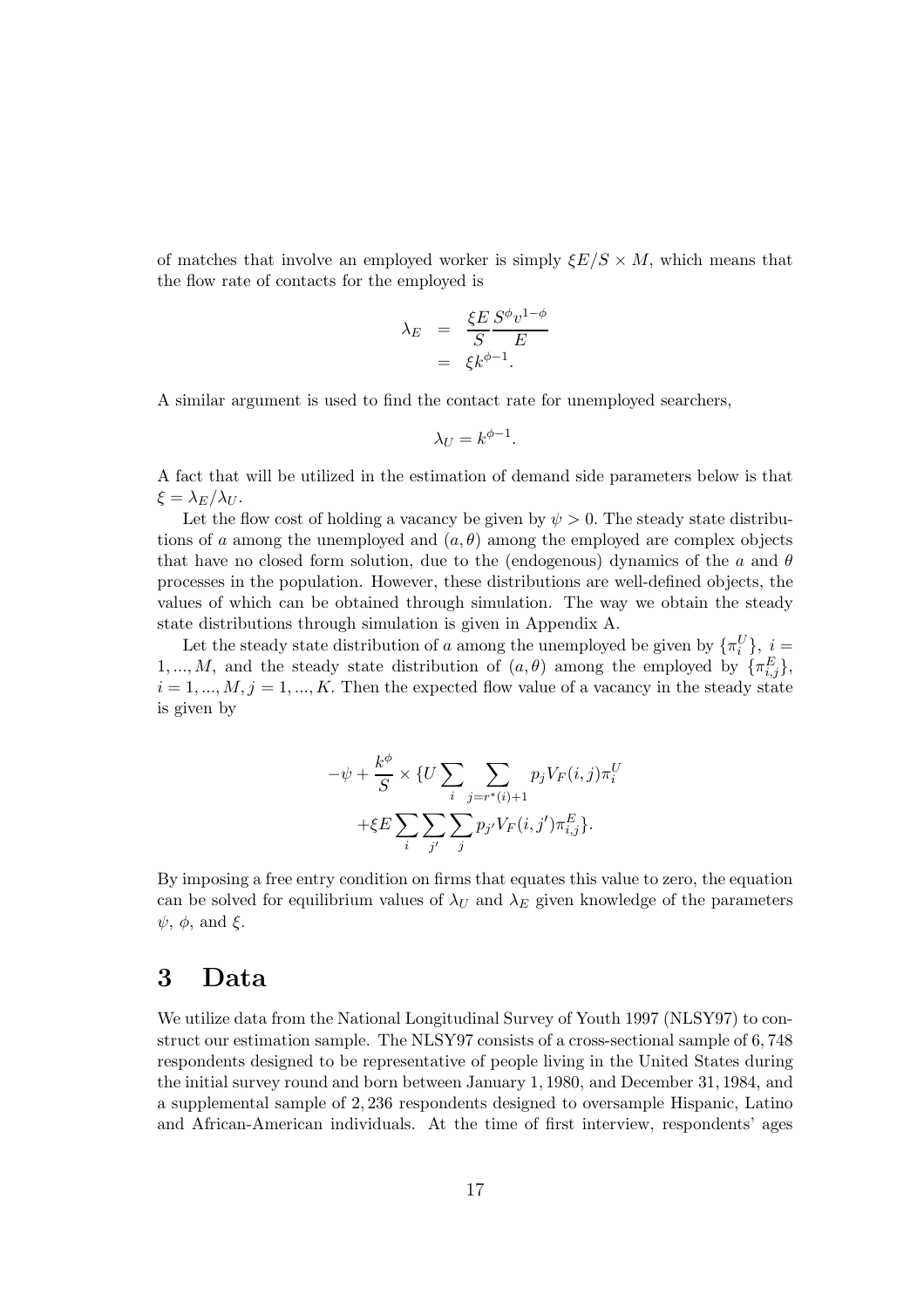of matches that involve an employed worker is simply  $\mathcal{E}E/S \times M$ , which means that the flow rate of contacts for the employed is

$$
\lambda_E = \frac{\xi E}{S} \frac{S^{\phi} v^{1-\phi}}{E}
$$

$$
= \xi k^{\phi - 1}.
$$

A similar argument is used to find the contact rate for unemployed searchers,

$$
\lambda_U = k^{\phi-1}.
$$

A fact that will be utilized in the estimation of demand side parameters below is that  $\xi = \lambda_E/\lambda_U$ .

Let the flow cost of holding a vacancy be given by  $\psi > 0$ . The steady state distributions of a among the unemployed and  $(a, \theta)$  among the employed are complex objects that have no closed form solution, due to the (endogenous) dynamics of the a and  $\theta$ processes in the population. However, these distributions are well-defined objects, the values of which can be obtained through simulation. The way we obtain the steady state distributions through simulation is given in Appendix A.

Let the steady state distribution of a among the unemployed be given by  $\{\pi_i^U\}$ ,  $i =$ 1, ..., M, and the steady state distribution of  $(a, \theta)$  among the employed by  $\{\pi_{i,j}^E\}$ ,  $i = 1, ..., M, j = 1, ..., K$ . Then the expected flow value of a vacancy in the steady state is given by

$$
-\psi + \frac{k^{\phi}}{S} \times \{U \sum_{i} \sum_{j=r^*(i)+1} p_j V_F(i,j)\pi_i^U
$$

$$
+\xi E \sum_{i} \sum_{j'} \sum_{j} p_{j'} V_F(i,j')\pi_{i,j}^E\}.
$$

By imposing a free entry condition on firms that equates this value to zero, the equation can be solved for equilibrium values of  $\lambda_U$  and  $\lambda_E$  given knowledge of the parameters  $\psi$ ,  $\phi$ , and  $\xi$ .

## 3 Data

We utilize data from the National Longitudinal Survey of Youth 1997 (NLSY97) to construct our estimation sample. The NLSY97 consists of a cross-sectional sample of 6, 748 respondents designed to be representative of people living in the United States during the initial survey round and born between January 1, 1980, and December 31, 1984, and a supplemental sample of 2, 236 respondents designed to oversample Hispanic, Latino and African-American individuals. At the time of first interview, respondents' ages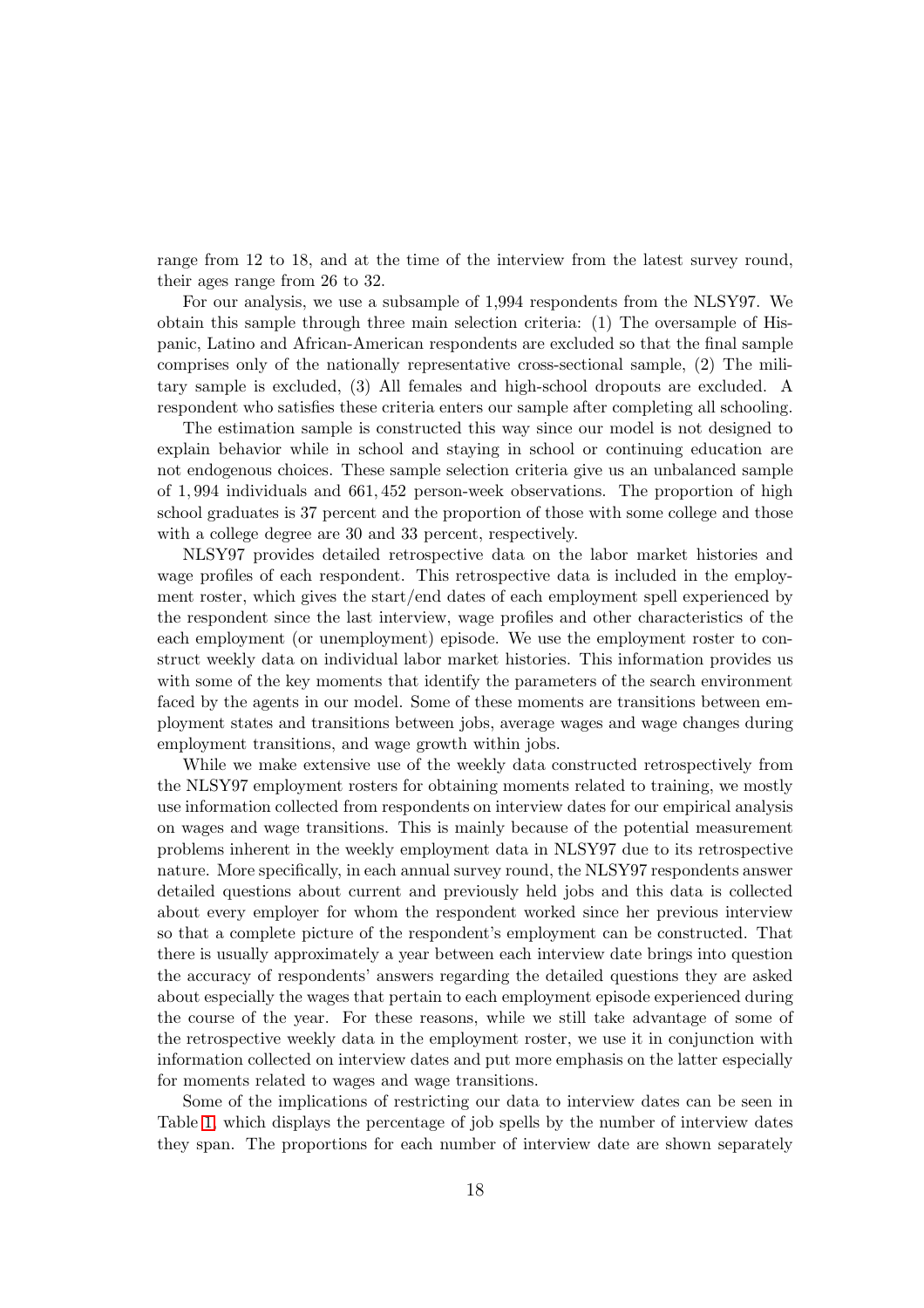range from 12 to 18, and at the time of the interview from the latest survey round, their ages range from 26 to 32.

For our analysis, we use a subsample of 1,994 respondents from the NLSY97. We obtain this sample through three main selection criteria: (1) The oversample of Hispanic, Latino and African-American respondents are excluded so that the final sample comprises only of the nationally representative cross-sectional sample, (2) The military sample is excluded, (3) All females and high-school dropouts are excluded. A respondent who satisfies these criteria enters our sample after completing all schooling.

The estimation sample is constructed this way since our model is not designed to explain behavior while in school and staying in school or continuing education are not endogenous choices. These sample selection criteria give us an unbalanced sample of 1, 994 individuals and 661, 452 person-week observations. The proportion of high school graduates is 37 percent and the proportion of those with some college and those with a college degree are 30 and 33 percent, respectively.

NLSY97 provides detailed retrospective data on the labor market histories and wage profiles of each respondent. This retrospective data is included in the employment roster, which gives the start/end dates of each employment spell experienced by the respondent since the last interview, wage profiles and other characteristics of the each employment (or unemployment) episode. We use the employment roster to construct weekly data on individual labor market histories. This information provides us with some of the key moments that identify the parameters of the search environment faced by the agents in our model. Some of these moments are transitions between employment states and transitions between jobs, average wages and wage changes during employment transitions, and wage growth within jobs.

While we make extensive use of the weekly data constructed retrospectively from the NLSY97 employment rosters for obtaining moments related to training, we mostly use information collected from respondents on interview dates for our empirical analysis on wages and wage transitions. This is mainly because of the potential measurement problems inherent in the weekly employment data in NLSY97 due to its retrospective nature. More specifically, in each annual survey round, the NLSY97 respondents answer detailed questions about current and previously held jobs and this data is collected about every employer for whom the respondent worked since her previous interview so that a complete picture of the respondent's employment can be constructed. That there is usually approximately a year between each interview date brings into question the accuracy of respondents' answers regarding the detailed questions they are asked about especially the wages that pertain to each employment episode experienced during the course of the year. For these reasons, while we still take advantage of some of the retrospective weekly data in the employment roster, we use it in conjunction with information collected on interview dates and put more emphasis on the latter especially for moments related to wages and wage transitions.

Some of the implications of restricting our data to interview dates can be seen in Table [1,](#page-49-0) which displays the percentage of job spells by the number of interview dates they span. The proportions for each number of interview date are shown separately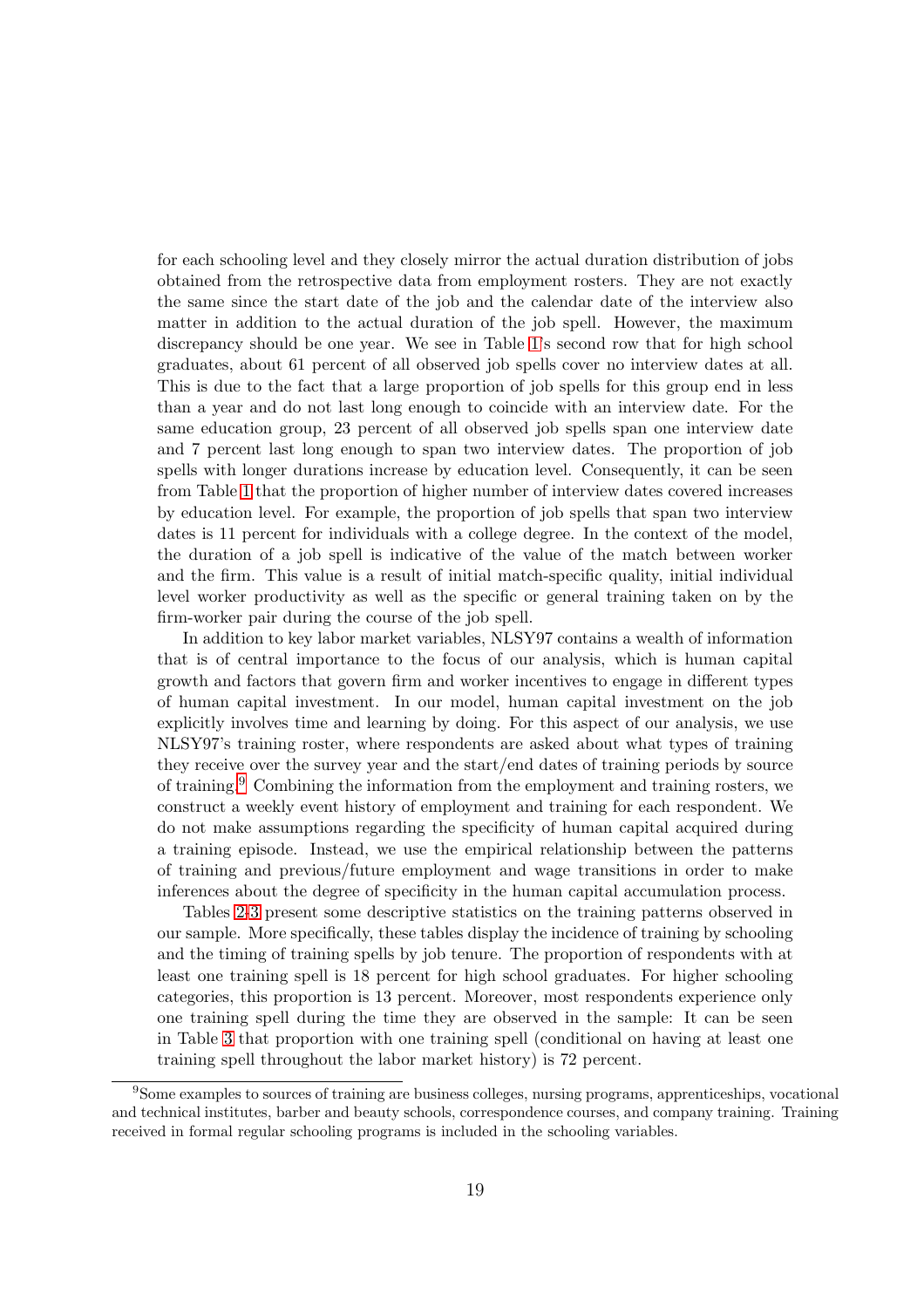for each schooling level and they closely mirror the actual duration distribution of jobs obtained from the retrospective data from employment rosters. They are not exactly the same since the start date of the job and the calendar date of the interview also matter in addition to the actual duration of the job spell. However, the maximum discrepancy should be one year. We see in Table [1'](#page-49-0)s second row that for high school graduates, about 61 percent of all observed job spells cover no interview dates at all. This is due to the fact that a large proportion of job spells for this group end in less than a year and do not last long enough to coincide with an interview date. For the same education group, 23 percent of all observed job spells span one interview date and 7 percent last long enough to span two interview dates. The proportion of job spells with longer durations increase by education level. Consequently, it can be seen from Table [1](#page-49-0) that the proportion of higher number of interview dates covered increases by education level. For example, the proportion of job spells that span two interview dates is 11 percent for individuals with a college degree. In the context of the model, the duration of a job spell is indicative of the value of the match between worker and the firm. This value is a result of initial match-specific quality, initial individual level worker productivity as well as the specific or general training taken on by the firm-worker pair during the course of the job spell.

In addition to key labor market variables, NLSY97 contains a wealth of information that is of central importance to the focus of our analysis, which is human capital growth and factors that govern firm and worker incentives to engage in different types of human capital investment. In our model, human capital investment on the job explicitly involves time and learning by doing. For this aspect of our analysis, we use NLSY97's training roster, where respondents are asked about what types of training they receive over the survey year and the start/end dates of training periods by source of training.[9](#page-18-0) Combining the information from the employment and training rosters, we construct a weekly event history of employment and training for each respondent. We do not make assumptions regarding the specificity of human capital acquired during a training episode. Instead, we use the empirical relationship between the patterns of training and previous/future employment and wage transitions in order to make inferences about the degree of specificity in the human capital accumulation process.

Tables [2-](#page-50-0)[3](#page-50-1) present some descriptive statistics on the training patterns observed in our sample. More specifically, these tables display the incidence of training by schooling and the timing of training spells by job tenure. The proportion of respondents with at least one training spell is 18 percent for high school graduates. For higher schooling categories, this proportion is 13 percent. Moreover, most respondents experience only one training spell during the time they are observed in the sample: It can be seen in Table [3](#page-50-1) that proportion with one training spell (conditional on having at least one training spell throughout the labor market history) is 72 percent.

<span id="page-18-0"></span><sup>9</sup>Some examples to sources of training are business colleges, nursing programs, apprenticeships, vocational and technical institutes, barber and beauty schools, correspondence courses, and company training. Training received in formal regular schooling programs is included in the schooling variables.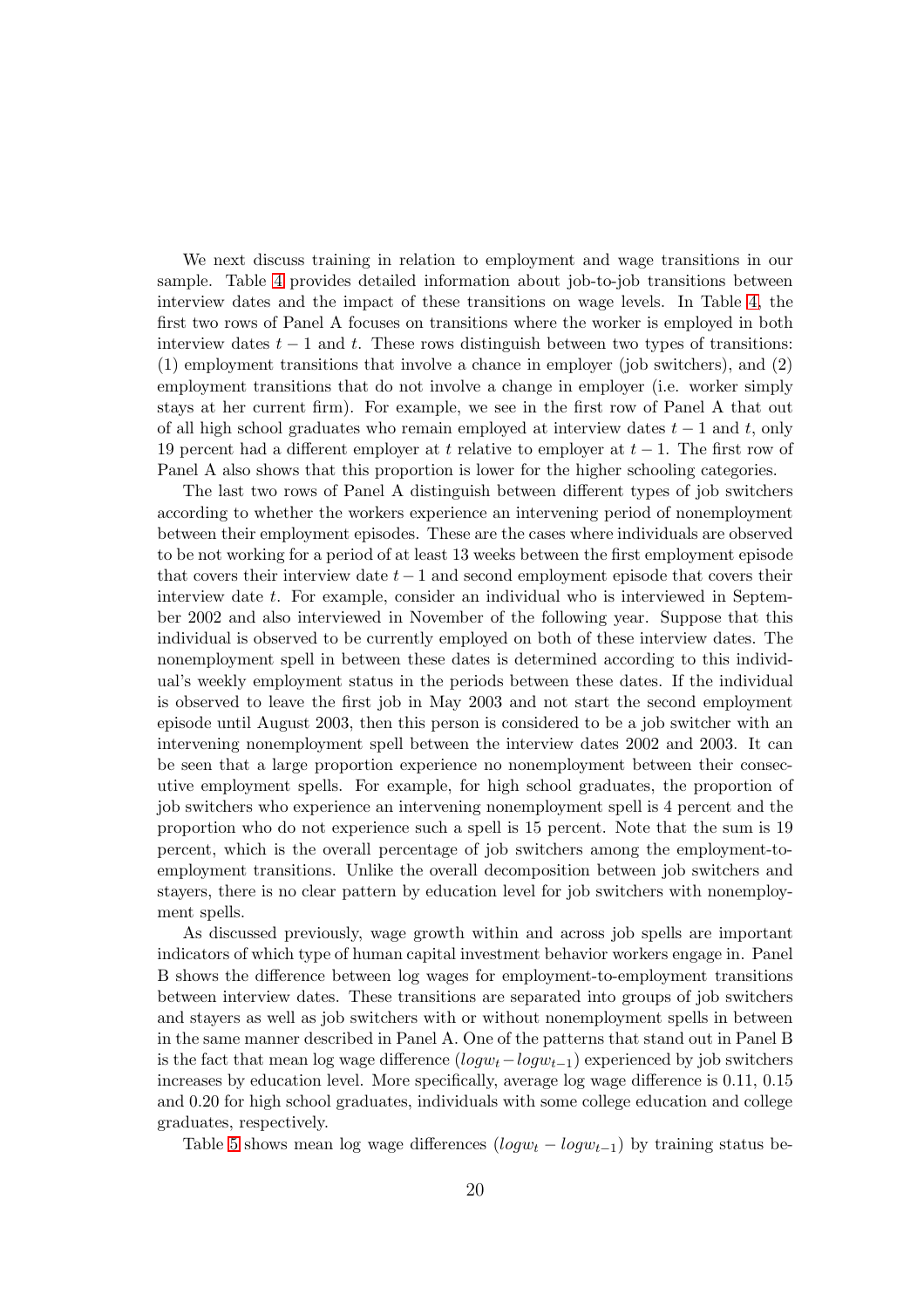We next discuss training in relation to employment and wage transitions in our sample. Table [4](#page-51-0) provides detailed information about job-to-job transitions between interview dates and the impact of these transitions on wage levels. In Table [4,](#page-51-0) the first two rows of Panel A focuses on transitions where the worker is employed in both interview dates  $t - 1$  and t. These rows distinguish between two types of transitions: (1) employment transitions that involve a chance in employer (job switchers), and (2) employment transitions that do not involve a change in employer (i.e. worker simply stays at her current firm). For example, we see in the first row of Panel A that out of all high school graduates who remain employed at interview dates  $t - 1$  and t, only 19 percent had a different employer at t relative to employer at  $t-1$ . The first row of Panel A also shows that this proportion is lower for the higher schooling categories.

The last two rows of Panel A distinguish between different types of job switchers according to whether the workers experience an intervening period of nonemployment between their employment episodes. These are the cases where individuals are observed to be not working for a period of at least 13 weeks between the first employment episode that covers their interview date  $t - 1$  and second employment episode that covers their interview date t. For example, consider an individual who is interviewed in September 2002 and also interviewed in November of the following year. Suppose that this individual is observed to be currently employed on both of these interview dates. The nonemployment spell in between these dates is determined according to this individual's weekly employment status in the periods between these dates. If the individual is observed to leave the first job in May 2003 and not start the second employment episode until August 2003, then this person is considered to be a job switcher with an intervening nonemployment spell between the interview dates 2002 and 2003. It can be seen that a large proportion experience no nonemployment between their consecutive employment spells. For example, for high school graduates, the proportion of job switchers who experience an intervening nonemployment spell is 4 percent and the proportion who do not experience such a spell is 15 percent. Note that the sum is 19 percent, which is the overall percentage of job switchers among the employment-toemployment transitions. Unlike the overall decomposition between job switchers and stayers, there is no clear pattern by education level for job switchers with nonemployment spells.

As discussed previously, wage growth within and across job spells are important indicators of which type of human capital investment behavior workers engage in. Panel B shows the difference between log wages for employment-to-employment transitions between interview dates. These transitions are separated into groups of job switchers and stayers as well as job switchers with or without nonemployment spells in between in the same manner described in Panel A. One of the patterns that stand out in Panel B is the fact that mean log wage difference  $(log w_t - log w_{t-1})$  experienced by job switchers increases by education level. More specifically, average log wage difference is 0.11, 0.15 and 0.20 for high school graduates, individuals with some college education and college graduates, respectively.

Table [5](#page-52-0) shows mean log wage differences  $(log_{w_t} - log_{w_{t-1}})$  by training status be-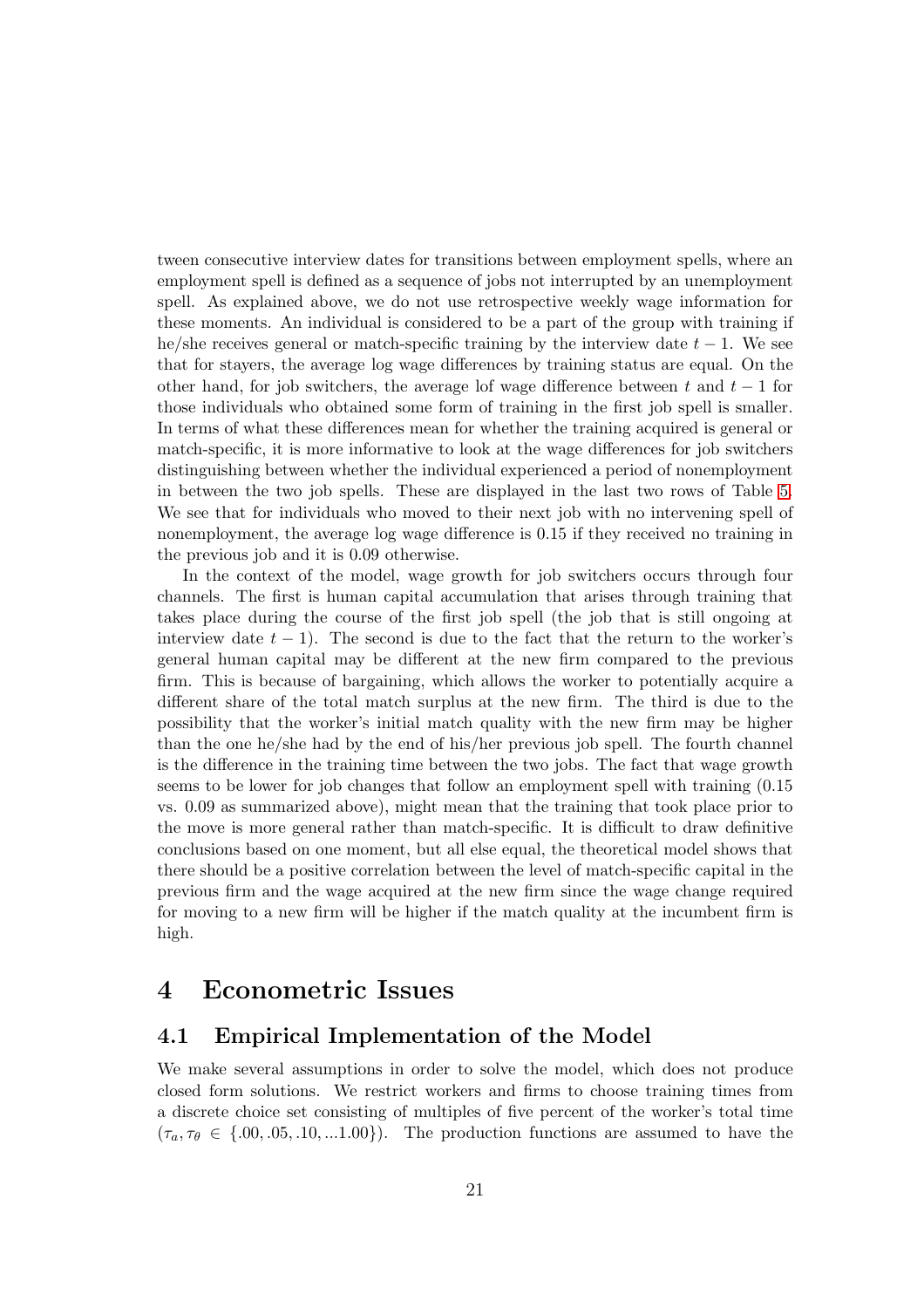tween consecutive interview dates for transitions between employment spells, where an employment spell is defined as a sequence of jobs not interrupted by an unemployment spell. As explained above, we do not use retrospective weekly wage information for these moments. An individual is considered to be a part of the group with training if he/she receives general or match-specific training by the interview date  $t - 1$ . We see that for stayers, the average log wage differences by training status are equal. On the other hand, for job switchers, the average lof wage difference between t and  $t-1$  for those individuals who obtained some form of training in the first job spell is smaller. In terms of what these differences mean for whether the training acquired is general or match-specific, it is more informative to look at the wage differences for job switchers distinguishing between whether the individual experienced a period of nonemployment in between the two job spells. These are displayed in the last two rows of Table [5.](#page-52-0) We see that for individuals who moved to their next job with no intervening spell of nonemployment, the average log wage difference is 0.15 if they received no training in the previous job and it is 0.09 otherwise.

In the context of the model, wage growth for job switchers occurs through four channels. The first is human capital accumulation that arises through training that takes place during the course of the first job spell (the job that is still ongoing at interview date  $t - 1$ ). The second is due to the fact that the return to the worker's general human capital may be different at the new firm compared to the previous firm. This is because of bargaining, which allows the worker to potentially acquire a different share of the total match surplus at the new firm. The third is due to the possibility that the worker's initial match quality with the new firm may be higher than the one he/she had by the end of his/her previous job spell. The fourth channel is the difference in the training time between the two jobs. The fact that wage growth seems to be lower for job changes that follow an employment spell with training (0.15 vs. 0.09 as summarized above), might mean that the training that took place prior to the move is more general rather than match-specific. It is difficult to draw definitive conclusions based on one moment, but all else equal, the theoretical model shows that there should be a positive correlation between the level of match-specific capital in the previous firm and the wage acquired at the new firm since the wage change required for moving to a new firm will be higher if the match quality at the incumbent firm is high.

## <span id="page-20-0"></span>4 Econometric Issues

## 4.1 Empirical Implementation of the Model

We make several assumptions in order to solve the model, which does not produce closed form solutions. We restrict workers and firms to choose training times from a discrete choice set consisting of multiples of five percent of the worker's total time  $(\tau_a, \tau_\theta \in \{.00, .05, .10, .1.00\})$ . The production functions are assumed to have the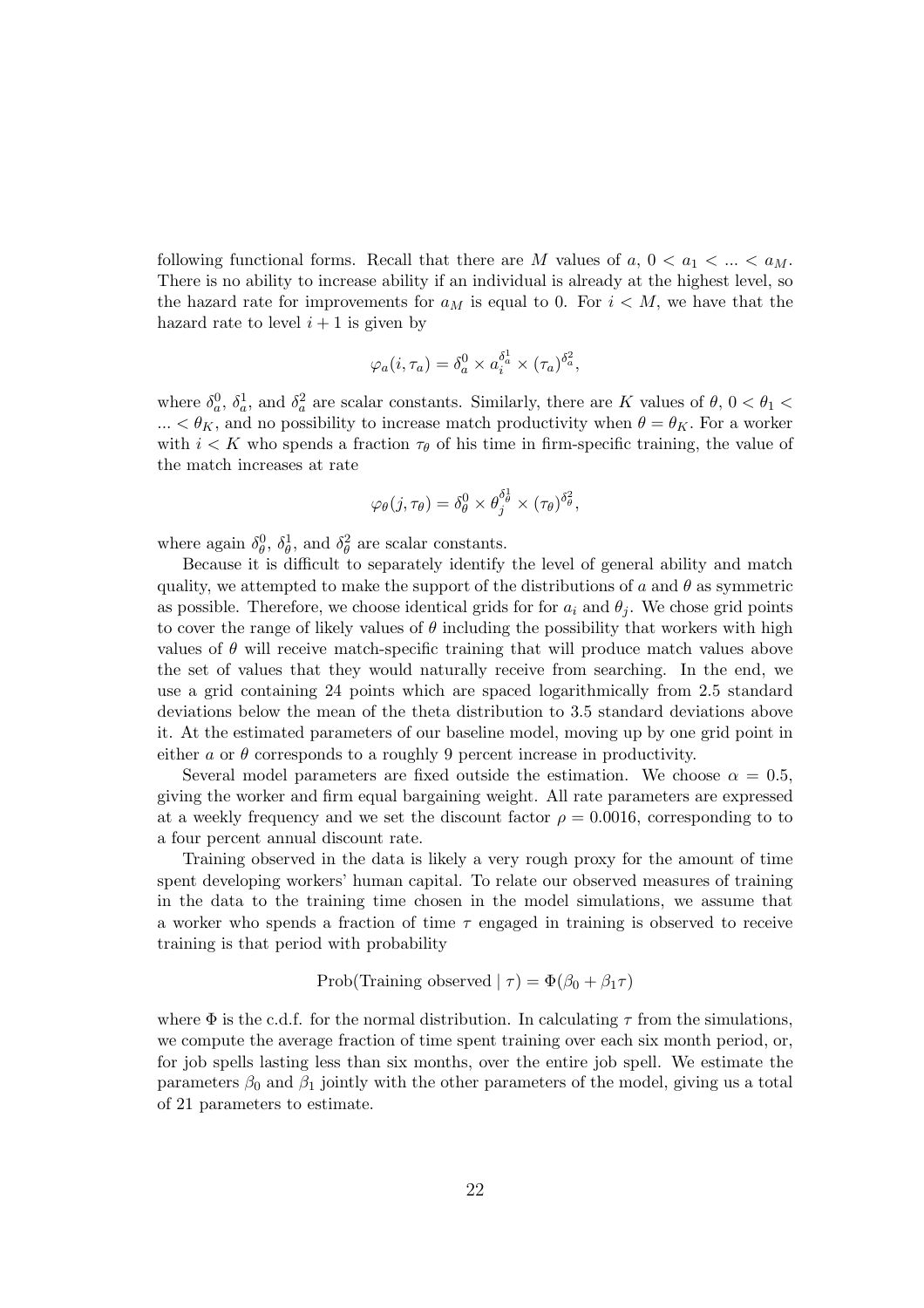following functional forms. Recall that there are M values of  $a, 0 < a_1 < ... < a_M$ . There is no ability to increase ability if an individual is already at the highest level, so the hazard rate for improvements for  $a_M$  is equal to 0. For  $i < M$ , we have that the hazard rate to level  $i + 1$  is given by

$$
\varphi_a(i, \tau_a) = \delta_a^0 \times a_i^{\delta_a^1} \times (\tau_a)^{\delta_a^2},
$$

where  $\delta_a^0$ ,  $\delta_a^1$ , and  $\delta_a^2$  are scalar constants. Similarly, there are K values of  $\theta$ ,  $0 < \theta_1 <$  $... < \theta_K$ , and no possibility to increase match productivity when  $\theta = \theta_K$ . For a worker with  $i < K$  who spends a fraction  $\tau_{\theta}$  of his time in firm-specific training, the value of the match increases at rate

$$
\varphi_{\theta}(j, \tau_{\theta}) = \delta_{\theta}^{0} \times \theta_{j}^{\delta_{\theta}^{1}} \times (\tau_{\theta})^{\delta_{\theta}^{2}},
$$

where again  $\delta_{\theta}^0$ ,  $\delta_{\theta}^1$ , and  $\delta_{\theta}^2$  are scalar constants.

Because it is difficult to separately identify the level of general ability and match quality, we attempted to make the support of the distributions of a and  $\theta$  as symmetric as possible. Therefore, we choose identical grids for for  $a_i$  and  $\theta_i$ . We chose grid points to cover the range of likely values of  $\theta$  including the possibility that workers with high values of  $\theta$  will receive match-specific training that will produce match values above the set of values that they would naturally receive from searching. In the end, we use a grid containing 24 points which are spaced logarithmically from 2.5 standard deviations below the mean of the theta distribution to 3.5 standard deviations above it. At the estimated parameters of our baseline model, moving up by one grid point in either a or  $\theta$  corresponds to a roughly 9 percent increase in productivity.

Several model parameters are fixed outside the estimation. We choose  $\alpha = 0.5$ , giving the worker and firm equal bargaining weight. All rate parameters are expressed at a weekly frequency and we set the discount factor  $\rho = 0.0016$ , corresponding to to a four percent annual discount rate.

Training observed in the data is likely a very rough proxy for the amount of time spent developing workers' human capital. To relate our observed measures of training in the data to the training time chosen in the model simulations, we assume that a worker who spends a fraction of time  $\tau$  engaged in training is observed to receive training is that period with probability

$$
Prob(Training observed | \tau) = \Phi(\beta_0 + \beta_1 \tau)
$$

where  $\Phi$  is the c.d.f. for the normal distribution. In calculating  $\tau$  from the simulations, we compute the average fraction of time spent training over each six month period, or, for job spells lasting less than six months, over the entire job spell. We estimate the parameters  $\beta_0$  and  $\beta_1$  jointly with the other parameters of the model, giving us a total of 21 parameters to estimate.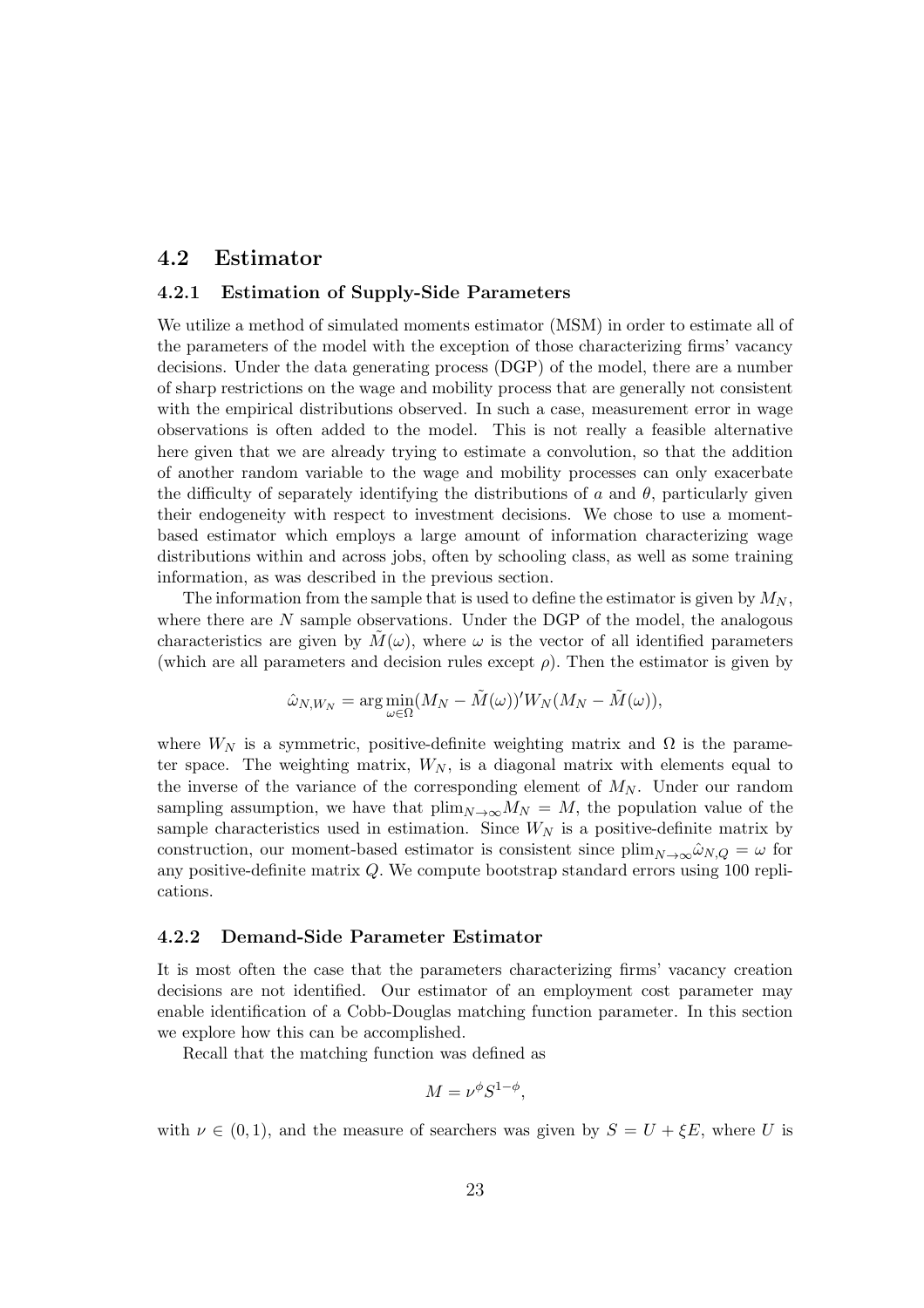#### 4.2 Estimator

#### 4.2.1 Estimation of Supply-Side Parameters

We utilize a method of simulated moments estimator (MSM) in order to estimate all of the parameters of the model with the exception of those characterizing firms' vacancy decisions. Under the data generating process (DGP) of the model, there are a number of sharp restrictions on the wage and mobility process that are generally not consistent with the empirical distributions observed. In such a case, measurement error in wage observations is often added to the model. This is not really a feasible alternative here given that we are already trying to estimate a convolution, so that the addition of another random variable to the wage and mobility processes can only exacerbate the difficulty of separately identifying the distributions of a and  $\theta$ , particularly given their endogeneity with respect to investment decisions. We chose to use a momentbased estimator which employs a large amount of information characterizing wage distributions within and across jobs, often by schooling class, as well as some training information, as was described in the previous section.

The information from the sample that is used to define the estimator is given by  $M_N$ , where there are  $N$  sample observations. Under the DGP of the model, the analogous characteristics are given by  $M(\omega)$ , where  $\omega$  is the vector of all identified parameters (which are all parameters and decision rules except  $\rho$ ). Then the estimator is given by

$$
\hat{\omega}_{N,W_N} = \arg\min_{\omega \in \Omega} (M_N - \tilde{M}(\omega))^{\prime} W_N(M_N - \tilde{M}(\omega)),
$$

where  $W_N$  is a symmetric, positive-definite weighting matrix and  $\Omega$  is the parameter space. The weighting matrix,  $W_N$ , is a diagonal matrix with elements equal to the inverse of the variance of the corresponding element of  $M_N$ . Under our random sampling assumption, we have that  $\lim_{N\to\infty}M_N = M$ , the population value of the sample characteristics used in estimation. Since  $W_N$  is a positive-definite matrix by construction, our moment-based estimator is consistent since  $\lim_{N\to\infty}\hat{\omega}_{N,Q}=\omega$  for any positive-definite matrix Q. We compute bootstrap standard errors using 100 replications.

#### 4.2.2 Demand-Side Parameter Estimator

It is most often the case that the parameters characterizing firms' vacancy creation decisions are not identified. Our estimator of an employment cost parameter may enable identification of a Cobb-Douglas matching function parameter. In this section we explore how this can be accomplished.

Recall that the matching function was defined as

$$
M=\nu^{\phi}S^{1-\phi},
$$

with  $\nu \in (0,1)$ , and the measure of searchers was given by  $S = U + \xi E$ , where U is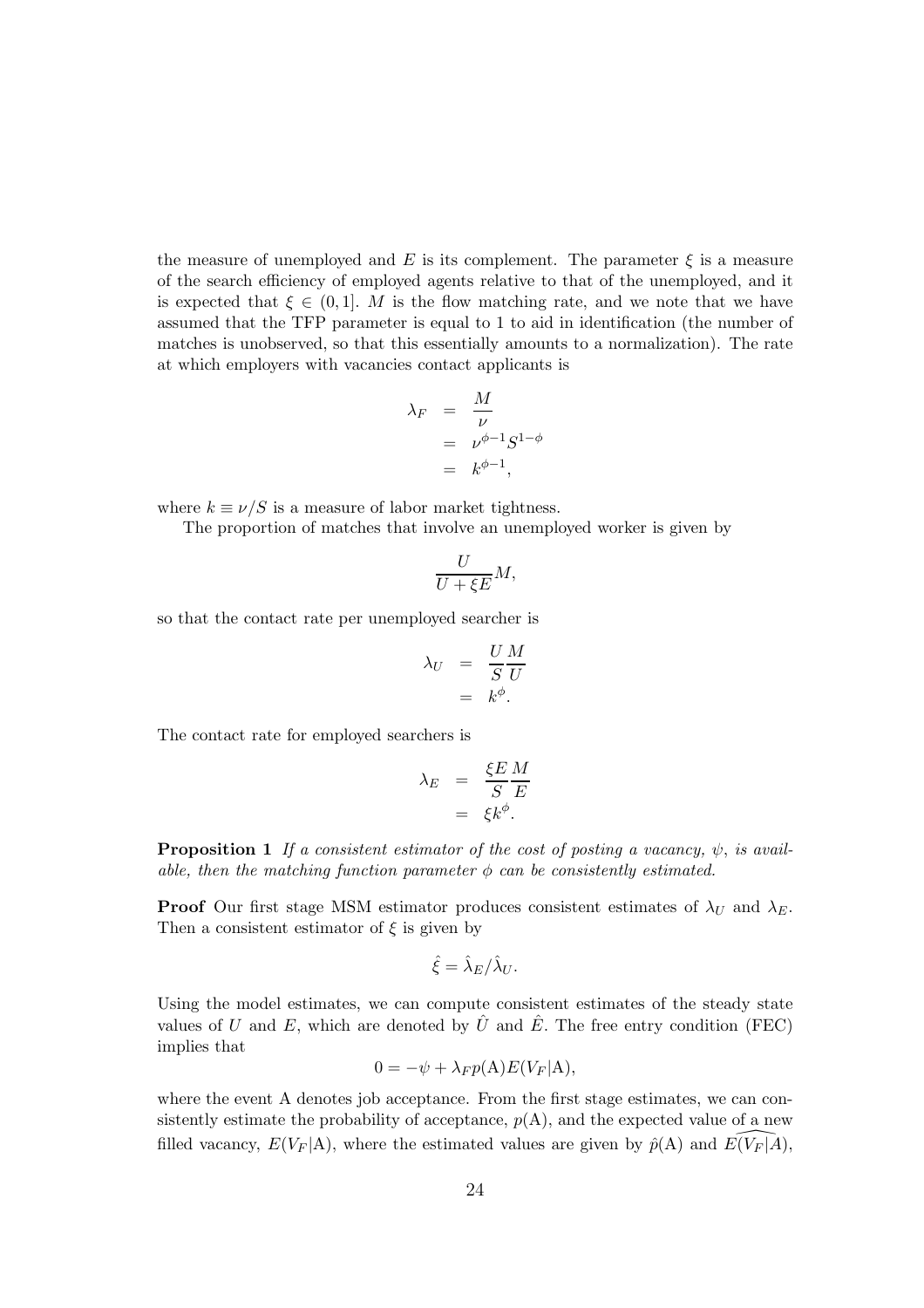the measure of unemployed and E is its complement. The parameter  $\xi$  is a measure of the search efficiency of employed agents relative to that of the unemployed, and it is expected that  $\xi \in (0,1]$ . M is the flow matching rate, and we note that we have assumed that the TFP parameter is equal to 1 to aid in identification (the number of matches is unobserved, so that this essentially amounts to a normalization). The rate at which employers with vacancies contact applicants is

$$
\lambda_F = \frac{M}{\nu}
$$
  
=  $\nu^{\phi-1} S^{1-\phi}$   
=  $k^{\phi-1}$ ,

where  $k \equiv \nu/S$  is a measure of labor market tightness.

The proportion of matches that involve an unemployed worker is given by

$$
\frac{U}{U+\xi E}M,
$$

so that the contact rate per unemployed searcher is

$$
\lambda_U = \frac{U M}{S U}
$$
  
=  $k^{\phi}$ .

The contact rate for employed searchers is

$$
\begin{array}{rcl} \lambda_E & = & \frac{\xi E}{S} \frac{M}{E} \\ & = & \xi k^{\phi}. \end{array}
$$

**Proposition 1** If a consistent estimator of the cost of posting a vacancy,  $\psi$ , is available, then the matching function parameter  $\phi$  can be consistently estimated.

**Proof** Our first stage MSM estimator produces consistent estimates of  $\lambda_U$  and  $\lambda_E$ . Then a consistent estimator of  $\xi$  is given by

$$
\hat{\xi} = \hat{\lambda}_E / \hat{\lambda}_U.
$$

Using the model estimates, we can compute consistent estimates of the steady state values of U and E, which are denoted by  $\hat{U}$  and  $\hat{E}$ . The free entry condition (FEC) implies that

$$
0 = -\psi + \lambda_F p(\mathbf{A}) E(V_F|\mathbf{A}),
$$

where the event A denotes job acceptance. From the first stage estimates, we can consistently estimate the probability of acceptance,  $p(A)$ , and the expected value of a new filled vacancy,  $E(V_F | A)$ , where the estimated values are given by  $\hat{p}(A)$  and  $E(V_F | A)$ ,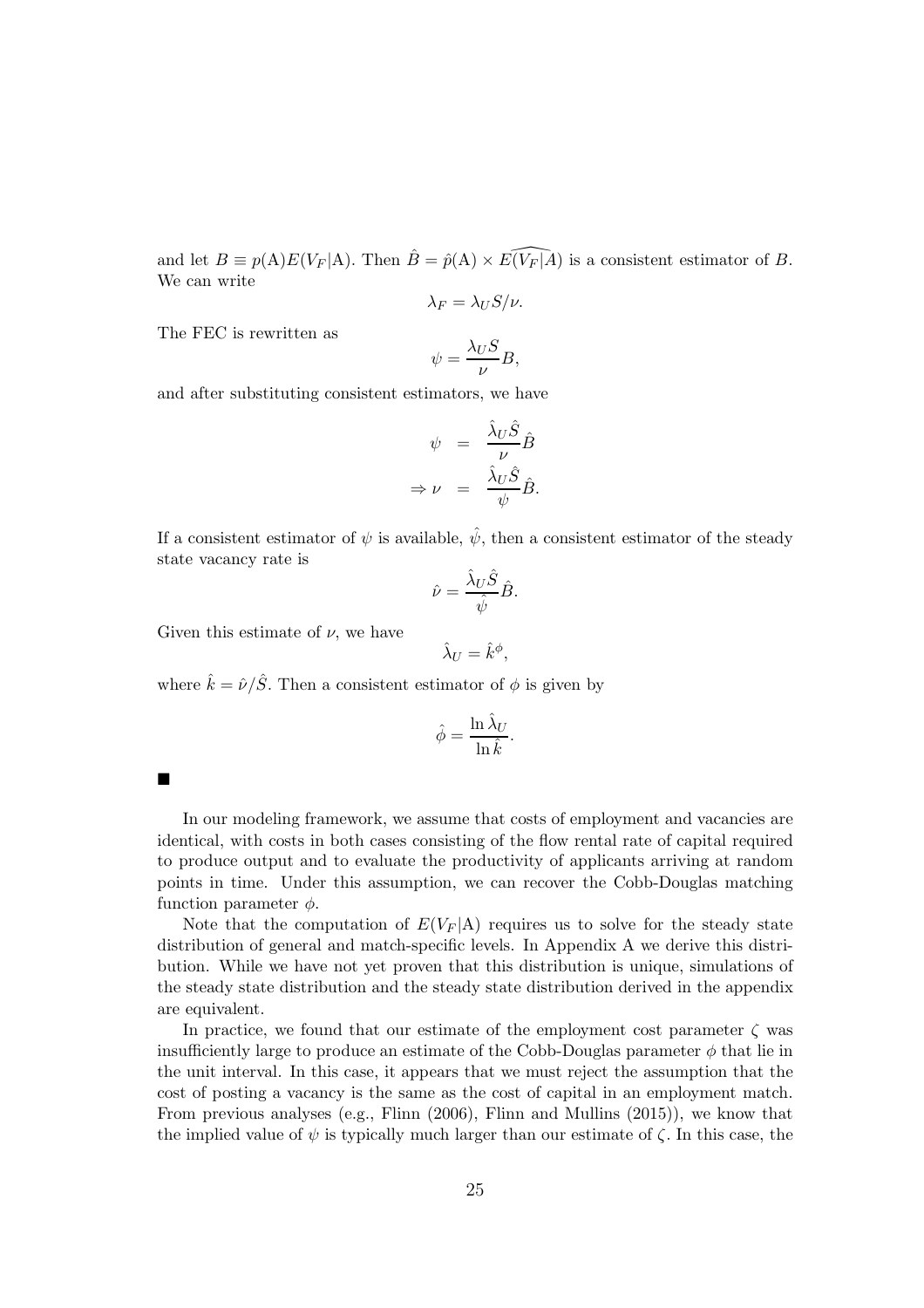and let  $B \equiv p(A)E(V_F | A)$ . Then  $\hat{B} = \hat{p}(A) \times E(\widehat{V_F | A})$  is a consistent estimator of B. We can write

$$
\lambda_F = \lambda_U S / \nu.
$$

The FEC is rewritten as

$$
\psi = \frac{\lambda_U S}{\nu} B,
$$

and after substituting consistent estimators, we have

$$
\psi = \frac{\hat{\lambda}_U \hat{S}}{\nu} \hat{B}
$$

$$
\Rightarrow \nu = \frac{\hat{\lambda}_U \hat{S}}{\psi} \hat{B}.
$$

If a consistent estimator of  $\psi$  is available,  $\hat{\psi}$ , then a consistent estimator of the steady state vacancy rate is

$$
\hat{\nu} = \frac{\hat{\lambda}_U \hat{S}}{\hat{\psi}} \hat{B}.
$$

Given this estimate of  $\nu$ , we have

$$
\hat{\lambda}_U = \hat{k}^{\phi},
$$

where  $\hat{k} = \hat{\nu}/\hat{S}$ . Then a consistent estimator of  $\phi$  is given by

$$
\hat{\phi} = \frac{\ln \hat{\lambda}_U}{\ln \hat{k}}.
$$

п

In our modeling framework, we assume that costs of employment and vacancies are identical, with costs in both cases consisting of the flow rental rate of capital required to produce output and to evaluate the productivity of applicants arriving at random points in time. Under this assumption, we can recover the Cobb-Douglas matching function parameter  $\phi$ .

Note that the computation of  $E(V_F | A)$  requires us to solve for the steady state distribution of general and match-specific levels. In Appendix A we derive this distribution. While we have not yet proven that this distribution is unique, simulations of the steady state distribution and the steady state distribution derived in the appendix are equivalent.

In practice, we found that our estimate of the employment cost parameter  $\zeta$  was insufficiently large to produce an estimate of the Cobb-Douglas parameter  $\phi$  that lie in the unit interval. In this case, it appears that we must reject the assumption that the cost of posting a vacancy is the same as the cost of capital in an employment match. From previous analyses (e.g., Flinn (2006), Flinn and Mullins (2015)), we know that the implied value of  $\psi$  is typically much larger than our estimate of  $\zeta$ . In this case, the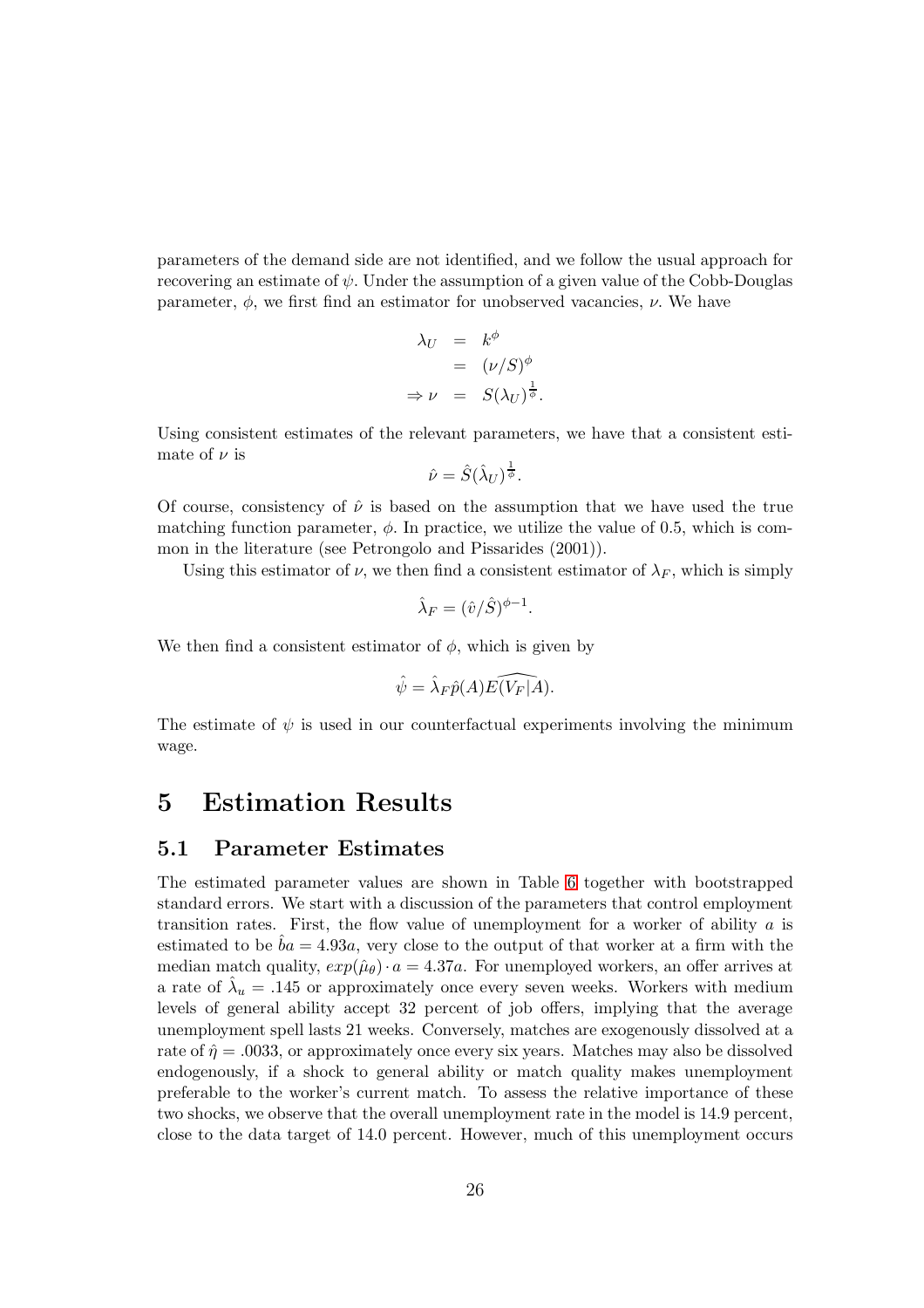parameters of the demand side are not identified, and we follow the usual approach for recovering an estimate of  $\psi$ . Under the assumption of a given value of the Cobb-Douglas parameter,  $\phi$ , we first find an estimator for unobserved vacancies,  $\nu$ . We have

$$
\lambda_U = k^{\phi}
$$
  
=  $(\nu/S)^{\phi}$   
 $\Rightarrow \nu = S(\lambda_U)^{\frac{1}{\phi}}$ .

Using consistent estimates of the relevant parameters, we have that a consistent estimate of  $\nu$  is

$$
\hat{\nu} = \hat{S}(\hat{\lambda}_U)^{\frac{1}{\phi}}.
$$

Of course, consistency of  $\hat{\nu}$  is based on the assumption that we have used the true matching function parameter,  $\phi$ . In practice, we utilize the value of 0.5, which is common in the literature (see Petrongolo and Pissarides (2001)).

Using this estimator of  $\nu$ , we then find a consistent estimator of  $\lambda_F$ , which is simply

$$
\hat{\lambda}_F = (\hat{v}/\hat{S})^{\phi - 1}.
$$

We then find a consistent estimator of  $\phi$ , which is given by

$$
\hat{\psi} = \hat{\lambda}_F \hat{p}(A) \widehat{E(V_F|A)}.
$$

The estimate of  $\psi$  is used in our counterfactual experiments involving the minimum wage.

## 5 Estimation Results

## 5.1 Parameter Estimates

The estimated parameter values are shown in Table [6](#page-53-0) together with bootstrapped standard errors. We start with a discussion of the parameters that control employment transition rates. First, the flow value of unemployment for a worker of ability  $a$  is estimated to be  $ba = 4.93a$ , very close to the output of that worker at a firm with the median match quality,  $exp(\hat{\mu}_{\theta}) \cdot a = 4.37a$ . For unemployed workers, an offer arrives at a rate of  $\hat{\lambda}_u = .145$  or approximately once every seven weeks. Workers with medium levels of general ability accept 32 percent of job offers, implying that the average unemployment spell lasts 21 weeks. Conversely, matches are exogenously dissolved at a rate of  $\hat{\eta} = .0033$ , or approximately once every six years. Matches may also be dissolved endogenously, if a shock to general ability or match quality makes unemployment preferable to the worker's current match. To assess the relative importance of these two shocks, we observe that the overall unemployment rate in the model is 14.9 percent, close to the data target of 14.0 percent. However, much of this unemployment occurs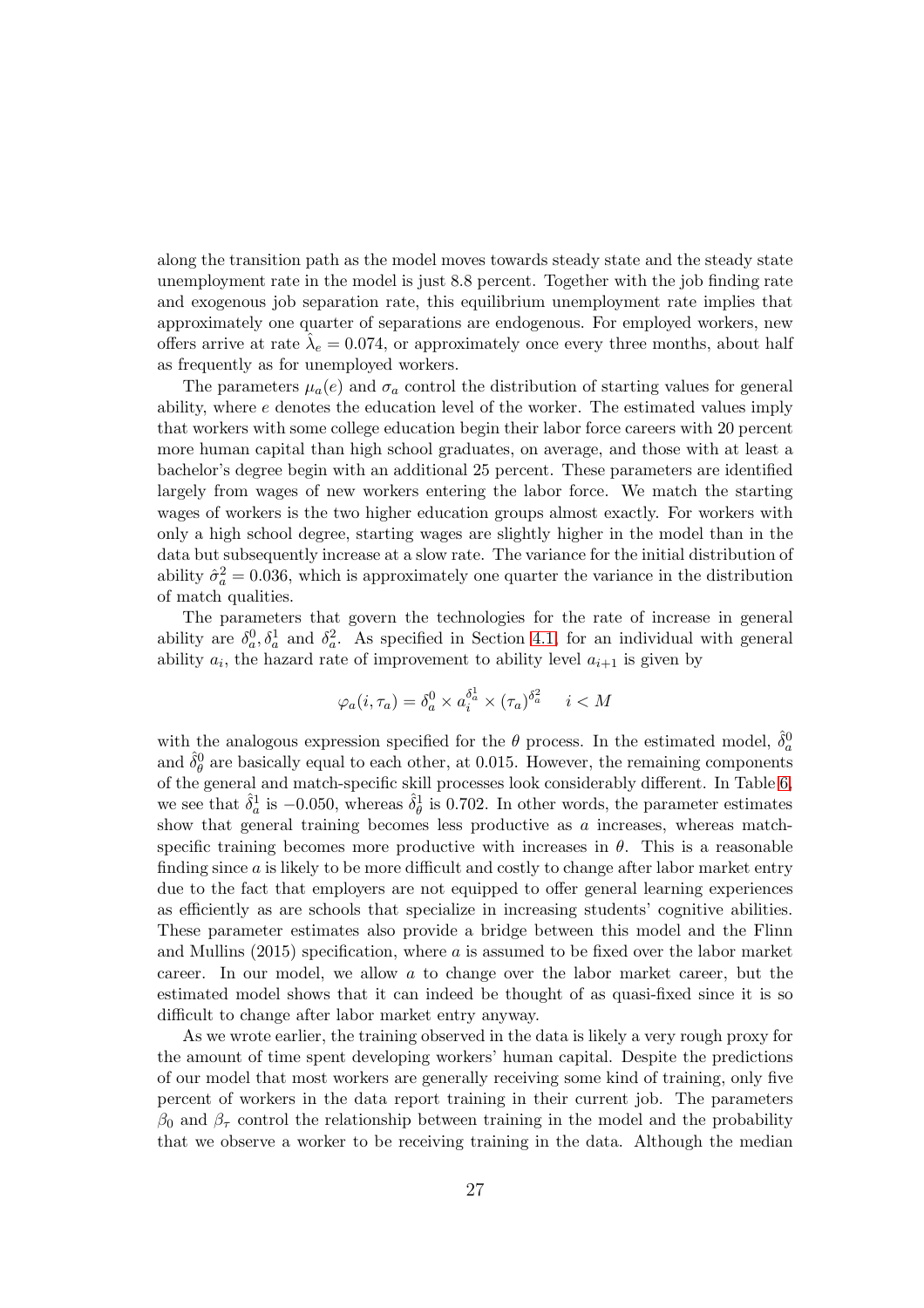along the transition path as the model moves towards steady state and the steady state unemployment rate in the model is just 8.8 percent. Together with the job finding rate and exogenous job separation rate, this equilibrium unemployment rate implies that approximately one quarter of separations are endogenous. For employed workers, new offers arrive at rate  $\hat{\lambda}_e = 0.074$ , or approximately once every three months, about half as frequently as for unemployed workers.

The parameters  $\mu_a(e)$  and  $\sigma_a$  control the distribution of starting values for general ability, where e denotes the education level of the worker. The estimated values imply that workers with some college education begin their labor force careers with 20 percent more human capital than high school graduates, on average, and those with at least a bachelor's degree begin with an additional 25 percent. These parameters are identified largely from wages of new workers entering the labor force. We match the starting wages of workers is the two higher education groups almost exactly. For workers with only a high school degree, starting wages are slightly higher in the model than in the data but subsequently increase at a slow rate. The variance for the initial distribution of ability  $\hat{\sigma}_a^2 = 0.036$ , which is approximately one quarter the variance in the distribution of match qualities.

The parameters that govern the technologies for the rate of increase in general ability are  $\delta_a^0$ ,  $\delta_a^1$  and  $\delta_a^2$ . As specified in Section [4.1,](#page-20-0) for an individual with general ability  $a_i$ , the hazard rate of improvement to ability level  $a_{i+1}$  is given by

$$
\varphi_a(i, \tau_a) = \delta_a^0 \times a_i^{\delta_a^1} \times (\tau_a)^{\delta_a^2} \quad i < M
$$

with the analogous expression specified for the  $\theta$  process. In the estimated model,  $\hat{\delta}_a^0$ and  $\hat{\delta}_{\theta}^{0}$  are basically equal to each other, at 0.015. However, the remaining components of the general and match-specific skill processes look considerably different. In Table [6,](#page-53-0) we see that  $\hat{\delta}_a^1$  is  $-0.050$ , whereas  $\hat{\delta}_{\theta}^1$  is 0.702. In other words, the parameter estimates show that general training becomes less productive as  $a$  increases, whereas matchspecific training becomes more productive with increases in  $\theta$ . This is a reasonable finding since  $a$  is likely to be more difficult and costly to change after labor market entry due to the fact that employers are not equipped to offer general learning experiences as efficiently as are schools that specialize in increasing students' cognitive abilities. These parameter estimates also provide a bridge between this model and the Flinn and Mullins (2015) specification, where a is assumed to be fixed over the labor market career. In our model, we allow a to change over the labor market career, but the estimated model shows that it can indeed be thought of as quasi-fixed since it is so difficult to change after labor market entry anyway.

As we wrote earlier, the training observed in the data is likely a very rough proxy for the amount of time spent developing workers' human capital. Despite the predictions of our model that most workers are generally receiving some kind of training, only five percent of workers in the data report training in their current job. The parameters  $\beta_0$  and  $\beta_\tau$  control the relationship between training in the model and the probability that we observe a worker to be receiving training in the data. Although the median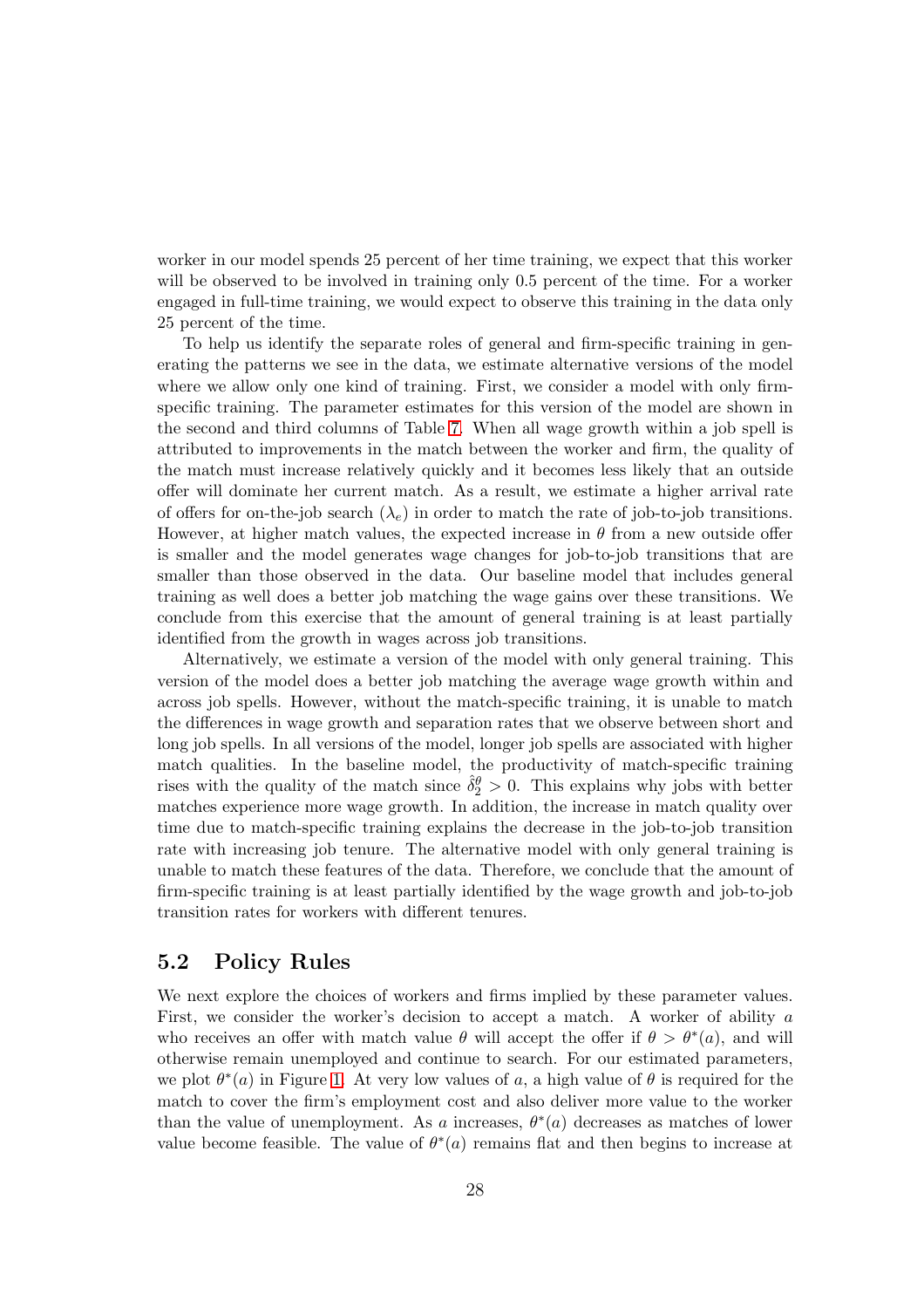worker in our model spends 25 percent of her time training, we expect that this worker will be observed to be involved in training only 0.5 percent of the time. For a worker engaged in full-time training, we would expect to observe this training in the data only 25 percent of the time.

To help us identify the separate roles of general and firm-specific training in generating the patterns we see in the data, we estimate alternative versions of the model where we allow only one kind of training. First, we consider a model with only firmspecific training. The parameter estimates for this version of the model are shown in the second and third columns of Table [7.](#page-54-0) When all wage growth within a job spell is attributed to improvements in the match between the worker and firm, the quality of the match must increase relatively quickly and it becomes less likely that an outside offer will dominate her current match. As a result, we estimate a higher arrival rate of offers for on-the-job search  $(\lambda_e)$  in order to match the rate of job-to-job transitions. However, at higher match values, the expected increase in  $\theta$  from a new outside offer is smaller and the model generates wage changes for job-to-job transitions that are smaller than those observed in the data. Our baseline model that includes general training as well does a better job matching the wage gains over these transitions. We conclude from this exercise that the amount of general training is at least partially identified from the growth in wages across job transitions.

Alternatively, we estimate a version of the model with only general training. This version of the model does a better job matching the average wage growth within and across job spells. However, without the match-specific training, it is unable to match the differences in wage growth and separation rates that we observe between short and long job spells. In all versions of the model, longer job spells are associated with higher match qualities. In the baseline model, the productivity of match-specific training rises with the quality of the match since  $\hat{\delta}_2^{\theta} > 0$ . This explains why jobs with better matches experience more wage growth. In addition, the increase in match quality over time due to match-specific training explains the decrease in the job-to-job transition rate with increasing job tenure. The alternative model with only general training is unable to match these features of the data. Therefore, we conclude that the amount of firm-specific training is at least partially identified by the wage growth and job-to-job transition rates for workers with different tenures.

## <span id="page-27-0"></span>5.2 Policy Rules

We next explore the choices of workers and firms implied by these parameter values. First, we consider the worker's decision to accept a match. A worker of ability a who receives an offer with match value  $\theta$  will accept the offer if  $\theta > \theta^*(a)$ , and will otherwise remain unemployed and continue to search. For our estimated parameters, we plot  $\theta^*(a)$  in Figure [1.](#page-55-0) At very low values of a, a high value of  $\theta$  is required for the match to cover the firm's employment cost and also deliver more value to the worker than the value of unemployment. As a increases,  $\theta^*(a)$  decreases as matches of lower value become feasible. The value of  $\theta^*(a)$  remains flat and then begins to increase at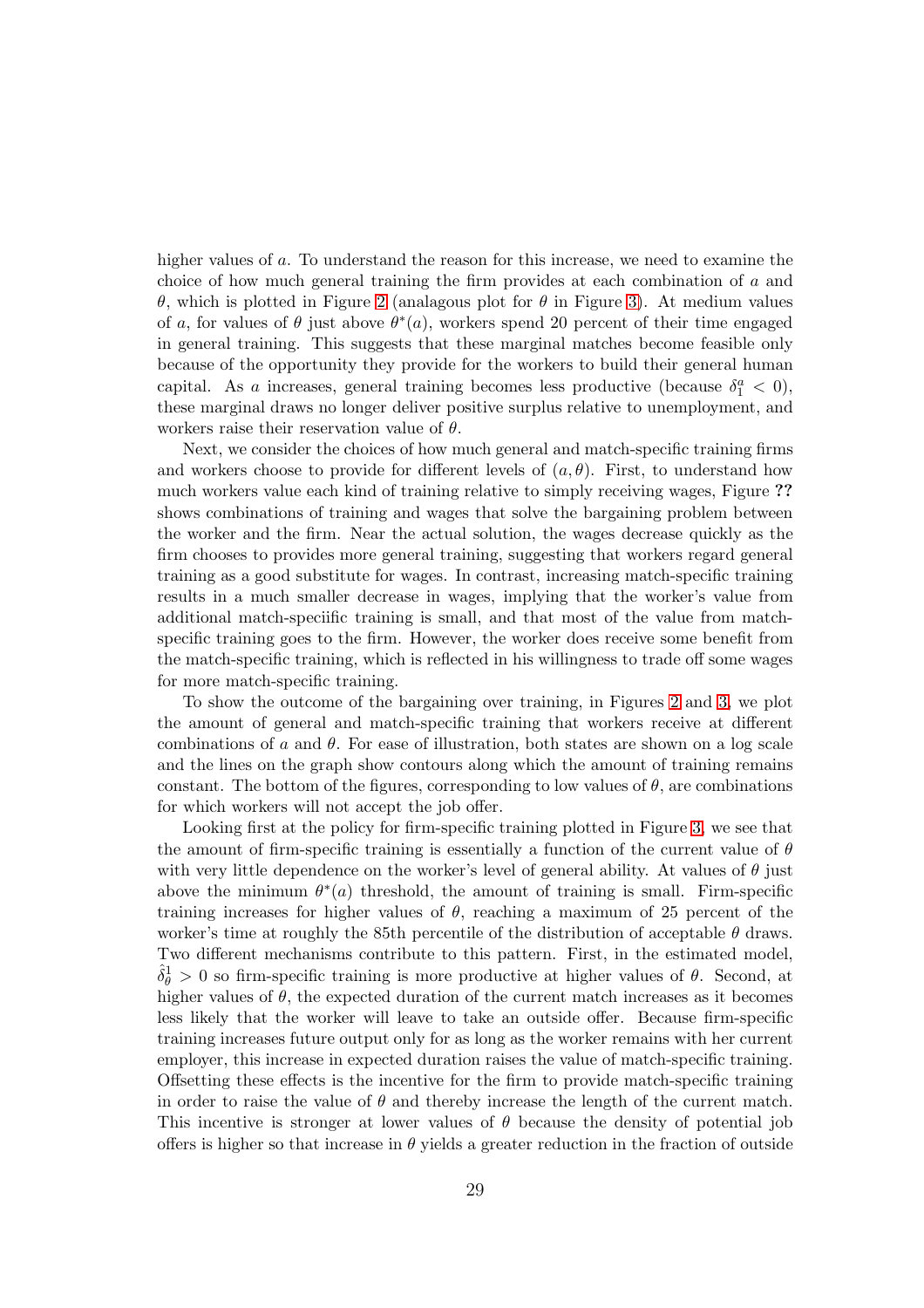higher values of a. To understand the reason for this increase, we need to examine the choice of how much general training the firm provides at each combination of a and θ, which is plotted in Figure [2](#page-56-0) (analagous plot for θ in Figure [3\)](#page-57-0). At medium values of a, for values of  $\theta$  just above  $\theta^*(a)$ , workers spend 20 percent of their time engaged in general training. This suggests that these marginal matches become feasible only because of the opportunity they provide for the workers to build their general human capital. As a increases, general training becomes less productive (because  $\delta_1^a < 0$ ), these marginal draws no longer deliver positive surplus relative to unemployment, and workers raise their reservation value of  $\theta$ .

Next, we consider the choices of how much general and match-specific training firms and workers choose to provide for different levels of  $(a, \theta)$ . First, to understand how much workers value each kind of training relative to simply receiving wages, Figure ?? shows combinations of training and wages that solve the bargaining problem between the worker and the firm. Near the actual solution, the wages decrease quickly as the firm chooses to provides more general training, suggesting that workers regard general training as a good substitute for wages. In contrast, increasing match-specific training results in a much smaller decrease in wages, implying that the worker's value from additional match-speciific training is small, and that most of the value from matchspecific training goes to the firm. However, the worker does receive some benefit from the match-specific training, which is reflected in his willingness to trade off some wages for more match-specific training.

To show the outcome of the bargaining over training, in Figures [2](#page-56-0) and [3,](#page-57-0) we plot the amount of general and match-specific training that workers receive at different combinations of a and  $\theta$ . For ease of illustration, both states are shown on a log scale and the lines on the graph show contours along which the amount of training remains constant. The bottom of the figures, corresponding to low values of  $\theta$ , are combinations for which workers will not accept the job offer.

Looking first at the policy for firm-specific training plotted in Figure [3,](#page-57-0) we see that the amount of firm-specific training is essentially a function of the current value of  $\theta$ with very little dependence on the worker's level of general ability. At values of  $\theta$  just above the minimum  $\theta^*(a)$  threshold, the amount of training is small. Firm-specific training increases for higher values of  $\theta$ , reaching a maximum of 25 percent of the worker's time at roughly the 85th percentile of the distribution of acceptable  $\theta$  draws. Two different mechanisms contribute to this pattern. First, in the estimated model,  $\hat{\delta}_{\theta}^{1} > 0$  so firm-specific training is more productive at higher values of  $\theta$ . Second, at higher values of  $\theta$ , the expected duration of the current match increases as it becomes less likely that the worker will leave to take an outside offer. Because firm-specific training increases future output only for as long as the worker remains with her current employer, this increase in expected duration raises the value of match-specific training. Offsetting these effects is the incentive for the firm to provide match-specific training in order to raise the value of  $\theta$  and thereby increase the length of the current match. This incentive is stronger at lower values of  $\theta$  because the density of potential job offers is higher so that increase in  $\theta$  yields a greater reduction in the fraction of outside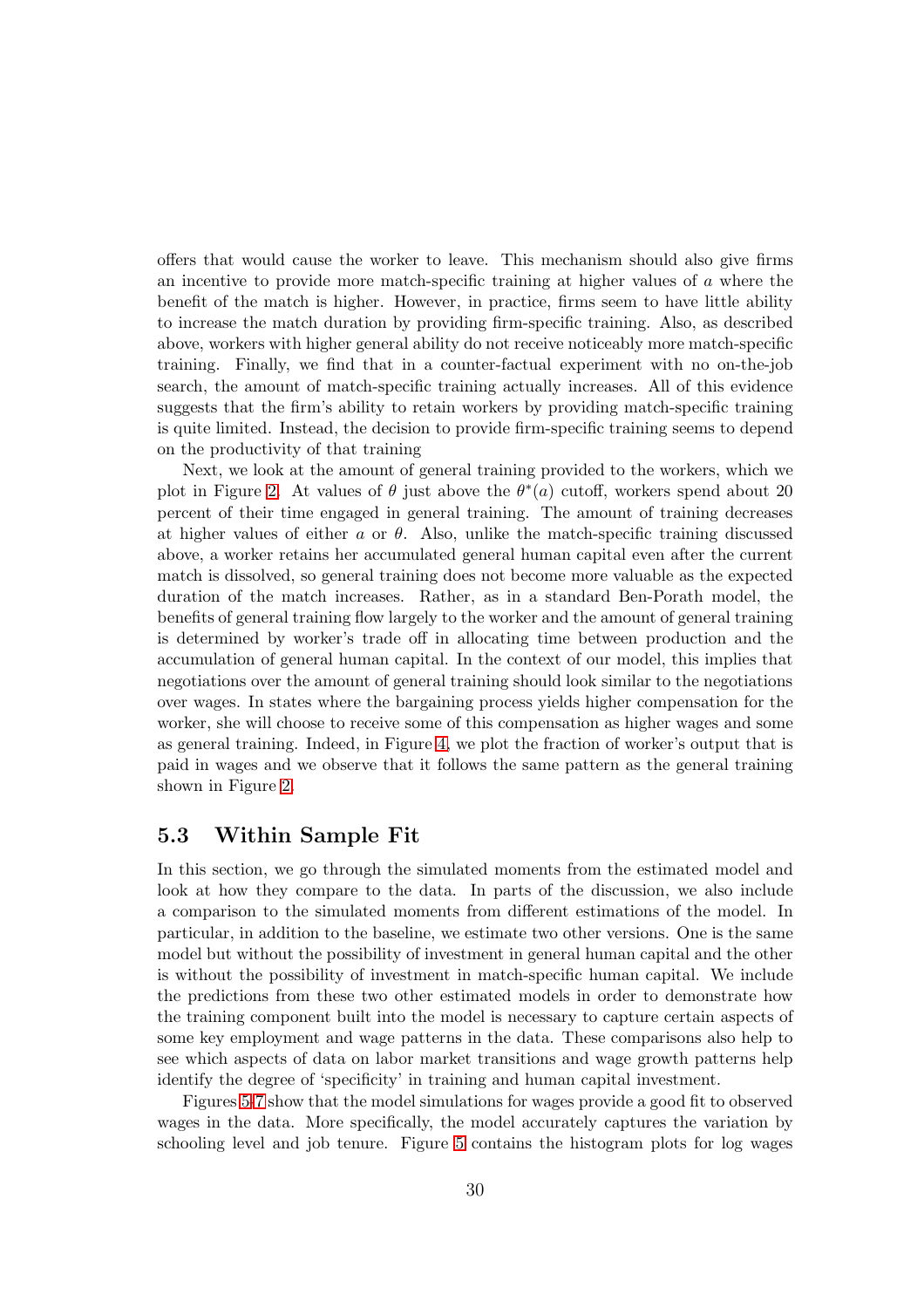offers that would cause the worker to leave. This mechanism should also give firms an incentive to provide more match-specific training at higher values of a where the benefit of the match is higher. However, in practice, firms seem to have little ability to increase the match duration by providing firm-specific training. Also, as described above, workers with higher general ability do not receive noticeably more match-specific training. Finally, we find that in a counter-factual experiment with no on-the-job search, the amount of match-specific training actually increases. All of this evidence suggests that the firm's ability to retain workers by providing match-specific training is quite limited. Instead, the decision to provide firm-specific training seems to depend on the productivity of that training

Next, we look at the amount of general training provided to the workers, which we plot in Figure [2.](#page-56-0) At values of  $\theta$  just above the  $\theta^*(a)$  cutoff, workers spend about 20 percent of their time engaged in general training. The amount of training decreases at higher values of either  $a$  or  $\theta$ . Also, unlike the match-specific training discussed above, a worker retains her accumulated general human capital even after the current match is dissolved, so general training does not become more valuable as the expected duration of the match increases. Rather, as in a standard Ben-Porath model, the benefits of general training flow largely to the worker and the amount of general training is determined by worker's trade off in allocating time between production and the accumulation of general human capital. In the context of our model, this implies that negotiations over the amount of general training should look similar to the negotiations over wages. In states where the bargaining process yields higher compensation for the worker, she will choose to receive some of this compensation as higher wages and some as general training. Indeed, in Figure [4,](#page-58-0) we plot the fraction of worker's output that is paid in wages and we observe that it follows the same pattern as the general training shown in Figure [2.](#page-56-0)

### 5.3 Within Sample Fit

In this section, we go through the simulated moments from the estimated model and look at how they compare to the data. In parts of the discussion, we also include a comparison to the simulated moments from different estimations of the model. In particular, in addition to the baseline, we estimate two other versions. One is the same model but without the possibility of investment in general human capital and the other is without the possibility of investment in match-specific human capital. We include the predictions from these two other estimated models in order to demonstrate how the training component built into the model is necessary to capture certain aspects of some key employment and wage patterns in the data. These comparisons also help to see which aspects of data on labor market transitions and wage growth patterns help identify the degree of 'specificity' in training and human capital investment.

Figures [5](#page-59-0)[-7](#page-61-0) show that the model simulations for wages provide a good fit to observed wages in the data. More specifically, the model accurately captures the variation by schooling level and job tenure. Figure [5](#page-59-0) contains the histogram plots for log wages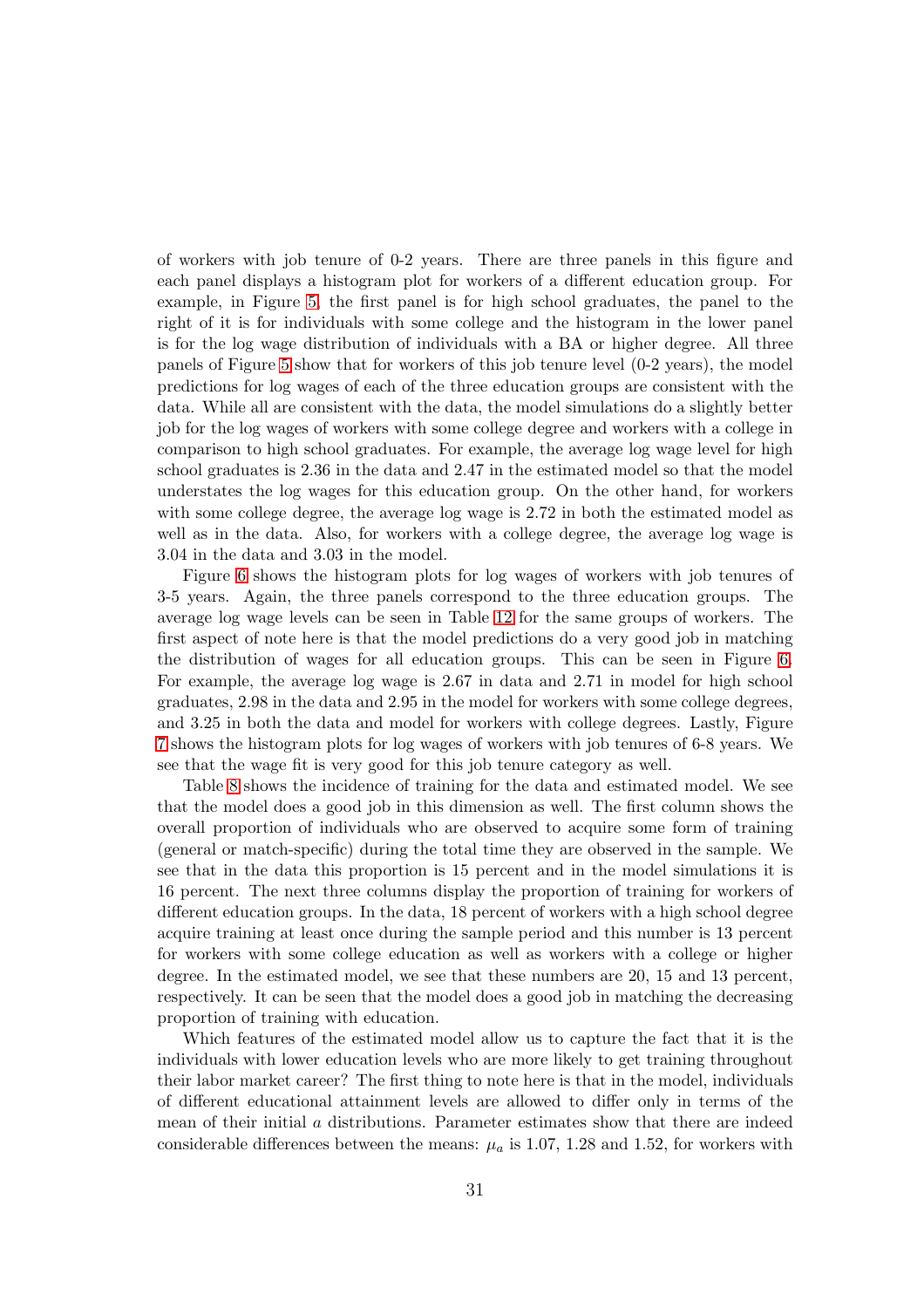of workers with job tenure of 0-2 years. There are three panels in this figure and each panel displays a histogram plot for workers of a different education group. For example, in Figure [5,](#page-59-0) the first panel is for high school graduates, the panel to the right of it is for individuals with some college and the histogram in the lower panel is for the log wage distribution of individuals with a BA or higher degree. All three panels of Figure [5](#page-59-0) show that for workers of this job tenure level (0-2 years), the model predictions for log wages of each of the three education groups are consistent with the data. While all are consistent with the data, the model simulations do a slightly better job for the log wages of workers with some college degree and workers with a college in comparison to high school graduates. For example, the average log wage level for high school graduates is 2.36 in the data and 2.47 in the estimated model so that the model understates the log wages for this education group. On the other hand, for workers with some college degree, the average log wage is 2.72 in both the estimated model as well as in the data. Also, for workers with a college degree, the average log wage is 3.04 in the data and 3.03 in the model.

Figure [6](#page-60-0) shows the histogram plots for log wages of workers with job tenures of 3-5 years. Again, the three panels correspond to the three education groups. The average log wage levels can be seen in Table [12](#page-68-0) for the same groups of workers. The first aspect of note here is that the model predictions do a very good job in matching the distribution of wages for all education groups. This can be seen in Figure [6.](#page-60-0) For example, the average log wage is 2.67 in data and 2.71 in model for high school graduates, 2.98 in the data and 2.95 in the model for workers with some college degrees, and 3.25 in both the data and model for workers with college degrees. Lastly, Figure [7](#page-61-0) shows the histogram plots for log wages of workers with job tenures of 6-8 years. We see that the wage fit is very good for this job tenure category as well.

Table [8](#page-62-0) shows the incidence of training for the data and estimated model. We see that the model does a good job in this dimension as well. The first column shows the overall proportion of individuals who are observed to acquire some form of training (general or match-specific) during the total time they are observed in the sample. We see that in the data this proportion is 15 percent and in the model simulations it is 16 percent. The next three columns display the proportion of training for workers of different education groups. In the data, 18 percent of workers with a high school degree acquire training at least once during the sample period and this number is 13 percent for workers with some college education as well as workers with a college or higher degree. In the estimated model, we see that these numbers are 20, 15 and 13 percent, respectively. It can be seen that the model does a good job in matching the decreasing proportion of training with education.

Which features of the estimated model allow us to capture the fact that it is the individuals with lower education levels who are more likely to get training throughout their labor market career? The first thing to note here is that in the model, individuals of different educational attainment levels are allowed to differ only in terms of the mean of their initial a distributions. Parameter estimates show that there are indeed considerable differences between the means:  $\mu_a$  is 1.07, 1.28 and 1.52, for workers with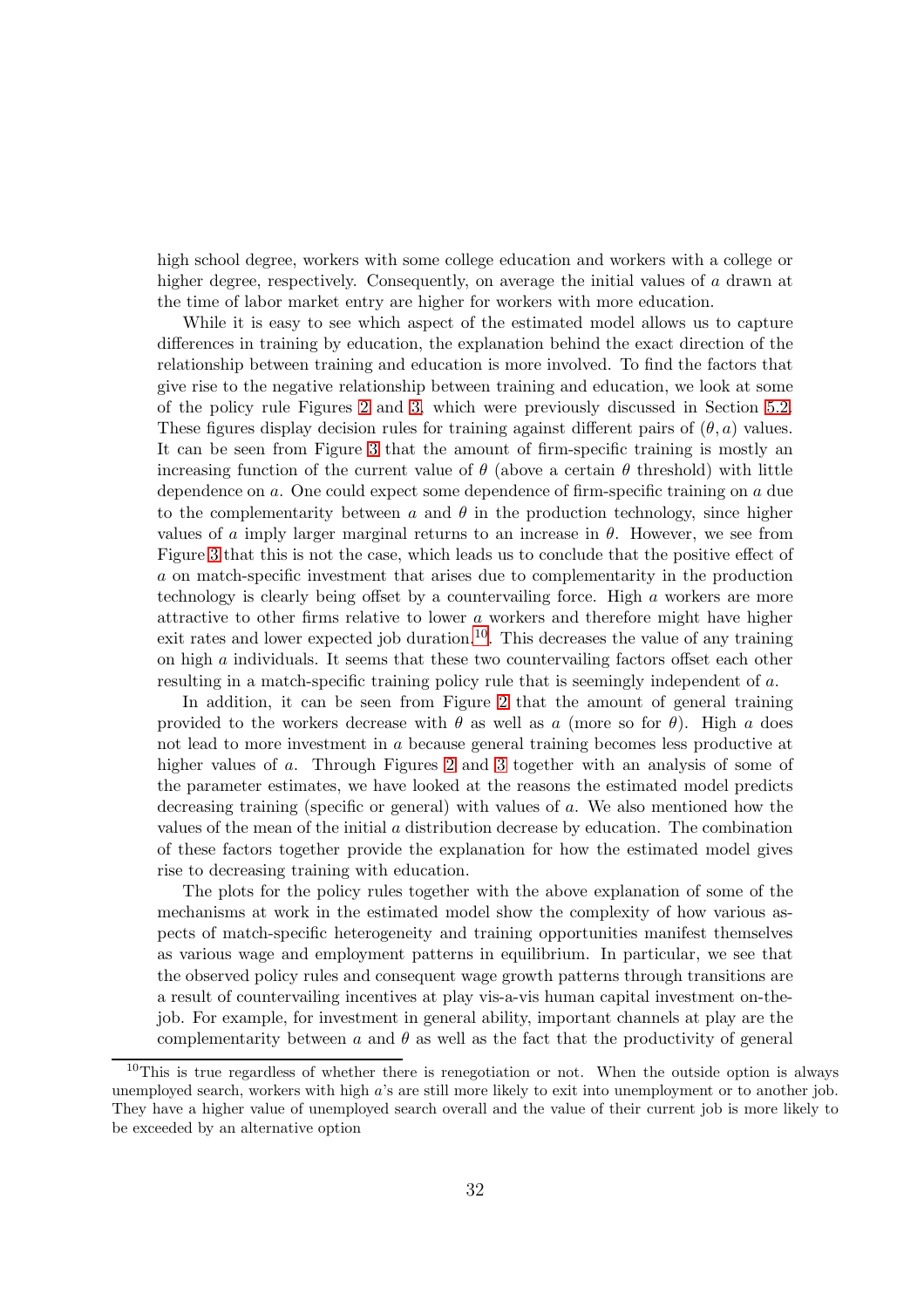high school degree, workers with some college education and workers with a college or higher degree, respectively. Consequently, on average the initial values of a drawn at the time of labor market entry are higher for workers with more education.

While it is easy to see which aspect of the estimated model allows us to capture differences in training by education, the explanation behind the exact direction of the relationship between training and education is more involved. To find the factors that give rise to the negative relationship between training and education, we look at some of the policy rule Figures [2](#page-56-0) and [3,](#page-57-0) which were previously discussed in Section [5.2.](#page-27-0) These figures display decision rules for training against different pairs of  $(\theta, a)$  values. It can be seen from Figure [3](#page-57-0) that the amount of firm-specific training is mostly an increasing function of the current value of  $\theta$  (above a certain  $\theta$  threshold) with little dependence on a. One could expect some dependence of firm-specific training on a due to the complementarity between a and  $\theta$  in the production technology, since higher values of a imply larger marginal returns to an increase in  $\theta$ . However, we see from Figure [3](#page-57-0) that this is not the case, which leads us to conclude that the positive effect of a on match-specific investment that arises due to complementarity in the production technology is clearly being offset by a countervailing force. High a workers are more attractive to other firms relative to lower a workers and therefore might have higher exit rates and lower expected job duration.<sup>[10](#page-31-0)</sup>. This decreases the value of any training on high a individuals. It seems that these two countervailing factors offset each other resulting in a match-specific training policy rule that is seemingly independent of a.

In addition, it can be seen from Figure [2](#page-56-0) that the amount of general training provided to the workers decrease with  $\theta$  as well as a (more so for  $\theta$ ). High a does not lead to more investment in a because general training becomes less productive at higher values of a. Through Figures [2](#page-56-0) and [3](#page-57-0) together with an analysis of some of the parameter estimates, we have looked at the reasons the estimated model predicts decreasing training (specific or general) with values of a. We also mentioned how the values of the mean of the initial a distribution decrease by education. The combination of these factors together provide the explanation for how the estimated model gives rise to decreasing training with education.

The plots for the policy rules together with the above explanation of some of the mechanisms at work in the estimated model show the complexity of how various aspects of match-specific heterogeneity and training opportunities manifest themselves as various wage and employment patterns in equilibrium. In particular, we see that the observed policy rules and consequent wage growth patterns through transitions are a result of countervailing incentives at play vis-a-vis human capital investment on-thejob. For example, for investment in general ability, important channels at play are the complementarity between  $a$  and  $\theta$  as well as the fact that the productivity of general

<span id="page-31-0"></span> $10$ This is true regardless of whether there is renegotiation or not. When the outside option is always unemployed search, workers with high a's are still more likely to exit into unemployment or to another job. They have a higher value of unemployed search overall and the value of their current job is more likely to be exceeded by an alternative option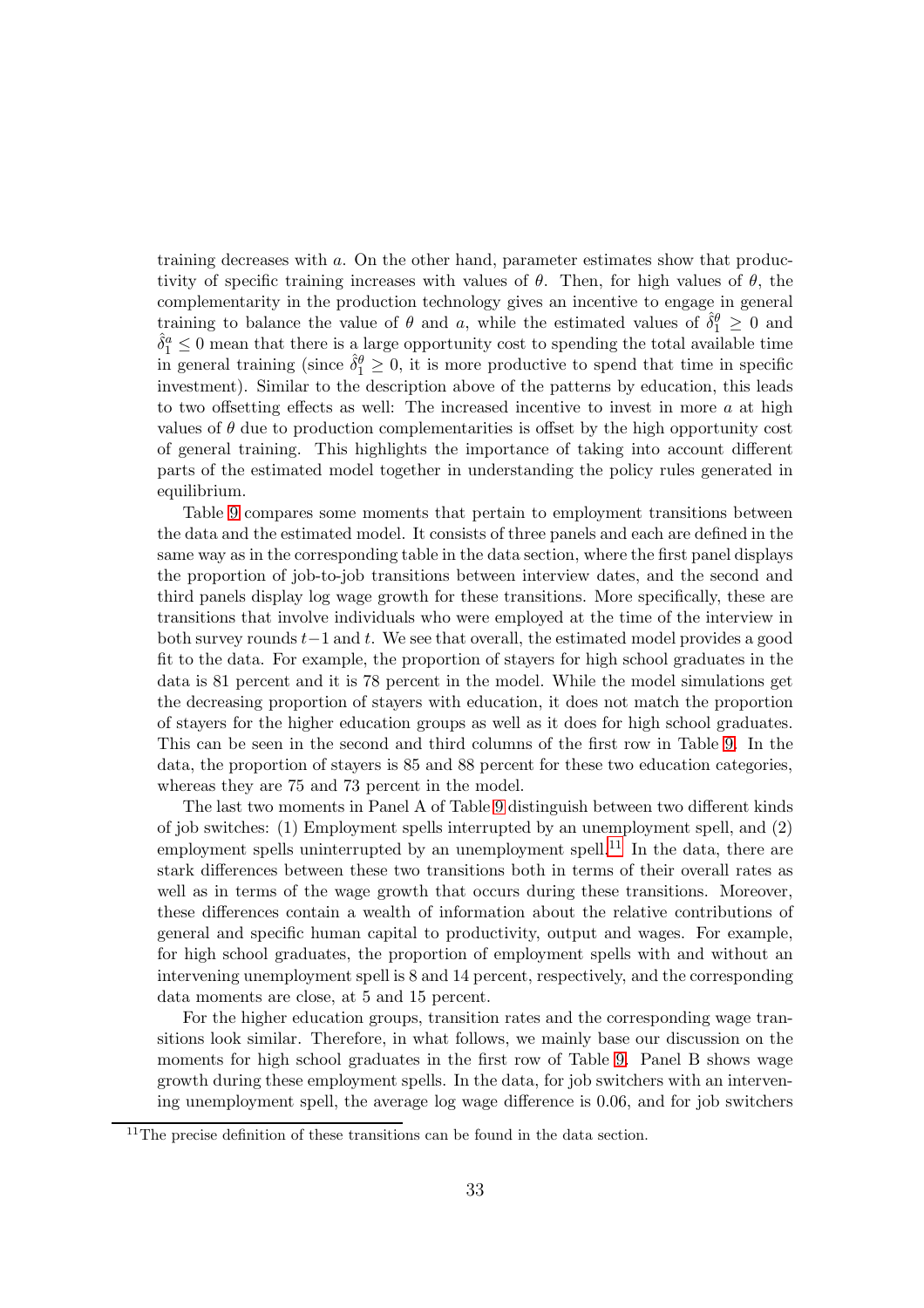training decreases with a. On the other hand, parameter estimates show that productivity of specific training increases with values of  $\theta$ . Then, for high values of  $\theta$ , the complementarity in the production technology gives an incentive to engage in general training to balance the value of  $\theta$  and a, while the estimated values of  $\hat{\delta}_1^{\theta} \geq 0$  and  $\hat{\delta}_1^a \leq 0$  mean that there is a large opportunity cost to spending the total available time in general training (since  $\hat{\delta}_1^{\theta} \geq 0$ , it is more productive to spend that time in specific investment). Similar to the description above of the patterns by education, this leads to two offsetting effects as well: The increased incentive to invest in more  $a$  at high values of  $\theta$  due to production complementarities is offset by the high opportunity cost of general training. This highlights the importance of taking into account different parts of the estimated model together in understanding the policy rules generated in equilibrium.

Table [9](#page-63-0) compares some moments that pertain to employment transitions between the data and the estimated model. It consists of three panels and each are defined in the same way as in the corresponding table in the data section, where the first panel displays the proportion of job-to-job transitions between interview dates, and the second and third panels display log wage growth for these transitions. More specifically, these are transitions that involve individuals who were employed at the time of the interview in both survey rounds  $t-1$  and  $t$ . We see that overall, the estimated model provides a good fit to the data. For example, the proportion of stayers for high school graduates in the data is 81 percent and it is 78 percent in the model. While the model simulations get the decreasing proportion of stayers with education, it does not match the proportion of stayers for the higher education groups as well as it does for high school graduates. This can be seen in the second and third columns of the first row in Table [9.](#page-63-0) In the data, the proportion of stayers is 85 and 88 percent for these two education categories, whereas they are 75 and 73 percent in the model.

The last two moments in Panel A of Table [9](#page-63-0) distinguish between two different kinds of job switches: (1) Employment spells interrupted by an unemployment spell, and (2) employment spells uninterrupted by an unemployment spell.<sup>[11](#page-32-0)</sup> In the data, there are stark differences between these two transitions both in terms of their overall rates as well as in terms of the wage growth that occurs during these transitions. Moreover, these differences contain a wealth of information about the relative contributions of general and specific human capital to productivity, output and wages. For example, for high school graduates, the proportion of employment spells with and without an intervening unemployment spell is 8 and 14 percent, respectively, and the corresponding data moments are close, at 5 and 15 percent.

For the higher education groups, transition rates and the corresponding wage transitions look similar. Therefore, in what follows, we mainly base our discussion on the moments for high school graduates in the first row of Table [9.](#page-63-0) Panel B shows wage growth during these employment spells. In the data, for job switchers with an intervening unemployment spell, the average log wage difference is 0.06, and for job switchers

<span id="page-32-0"></span> $11$ The precise definition of these transitions can be found in the data section.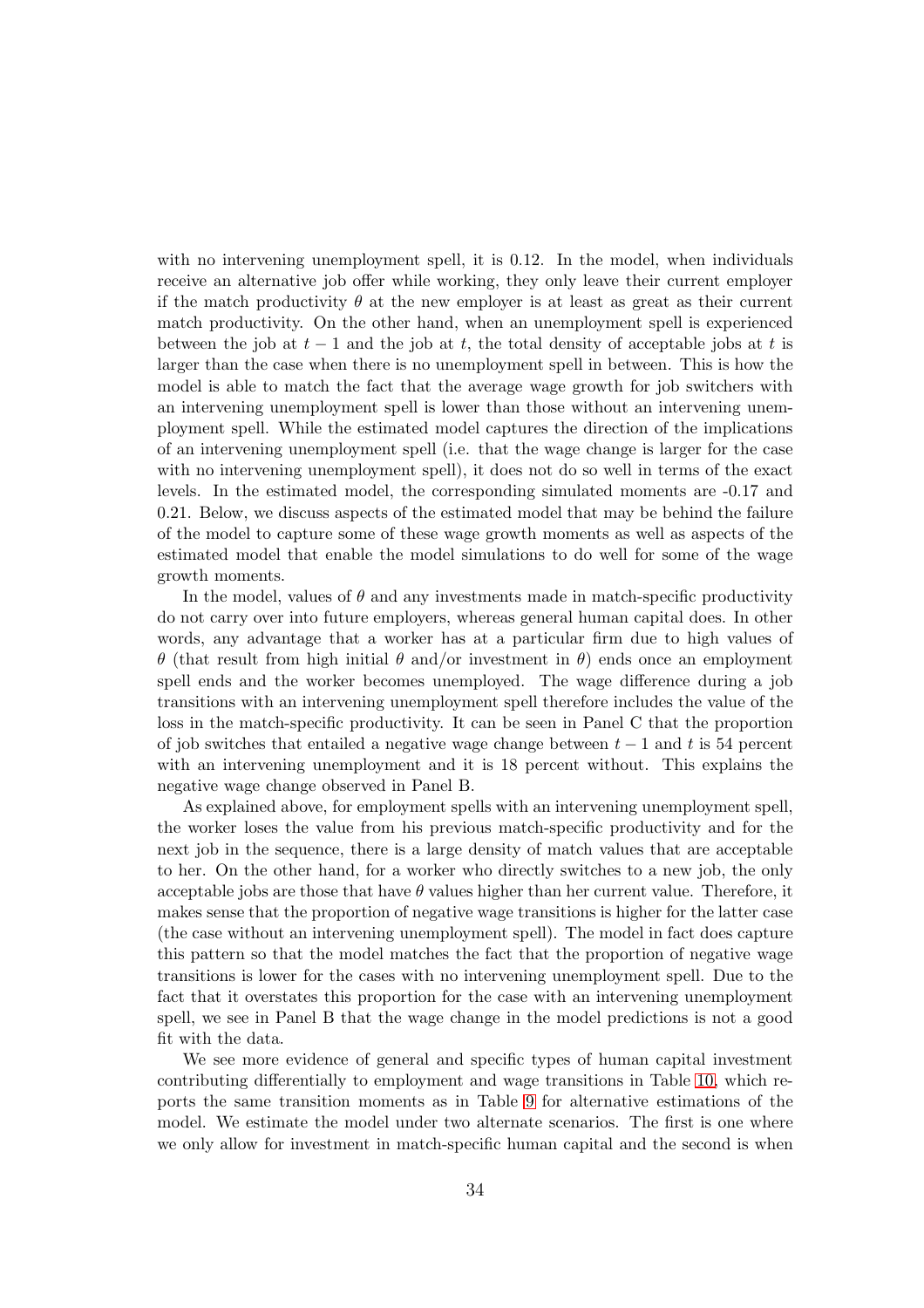with no intervening unemployment spell, it is 0.12. In the model, when individuals receive an alternative job offer while working, they only leave their current employer if the match productivity  $\theta$  at the new employer is at least as great as their current match productivity. On the other hand, when an unemployment spell is experienced between the job at  $t-1$  and the job at t, the total density of acceptable jobs at t is larger than the case when there is no unemployment spell in between. This is how the model is able to match the fact that the average wage growth for job switchers with an intervening unemployment spell is lower than those without an intervening unemployment spell. While the estimated model captures the direction of the implications of an intervening unemployment spell (i.e. that the wage change is larger for the case with no intervening unemployment spell), it does not do so well in terms of the exact levels. In the estimated model, the corresponding simulated moments are -0.17 and 0.21. Below, we discuss aspects of the estimated model that may be behind the failure of the model to capture some of these wage growth moments as well as aspects of the estimated model that enable the model simulations to do well for some of the wage growth moments.

In the model, values of  $\theta$  and any investments made in match-specific productivity do not carry over into future employers, whereas general human capital does. In other words, any advantage that a worker has at a particular firm due to high values of θ (that result from high initial θ and/or investment in θ) ends once an employment spell ends and the worker becomes unemployed. The wage difference during a job transitions with an intervening unemployment spell therefore includes the value of the loss in the match-specific productivity. It can be seen in Panel C that the proportion of job switches that entailed a negative wage change between  $t-1$  and t is 54 percent with an intervening unemployment and it is 18 percent without. This explains the negative wage change observed in Panel B.

As explained above, for employment spells with an intervening unemployment spell, the worker loses the value from his previous match-specific productivity and for the next job in the sequence, there is a large density of match values that are acceptable to her. On the other hand, for a worker who directly switches to a new job, the only acceptable jobs are those that have  $\theta$  values higher than her current value. Therefore, it makes sense that the proportion of negative wage transitions is higher for the latter case (the case without an intervening unemployment spell). The model in fact does capture this pattern so that the model matches the fact that the proportion of negative wage transitions is lower for the cases with no intervening unemployment spell. Due to the fact that it overstates this proportion for the case with an intervening unemployment spell, we see in Panel B that the wage change in the model predictions is not a good fit with the data.

We see more evidence of general and specific types of human capital investment contributing differentially to employment and wage transitions in Table [10,](#page-64-0) which reports the same transition moments as in Table [9](#page-63-0) for alternative estimations of the model. We estimate the model under two alternate scenarios. The first is one where we only allow for investment in match-specific human capital and the second is when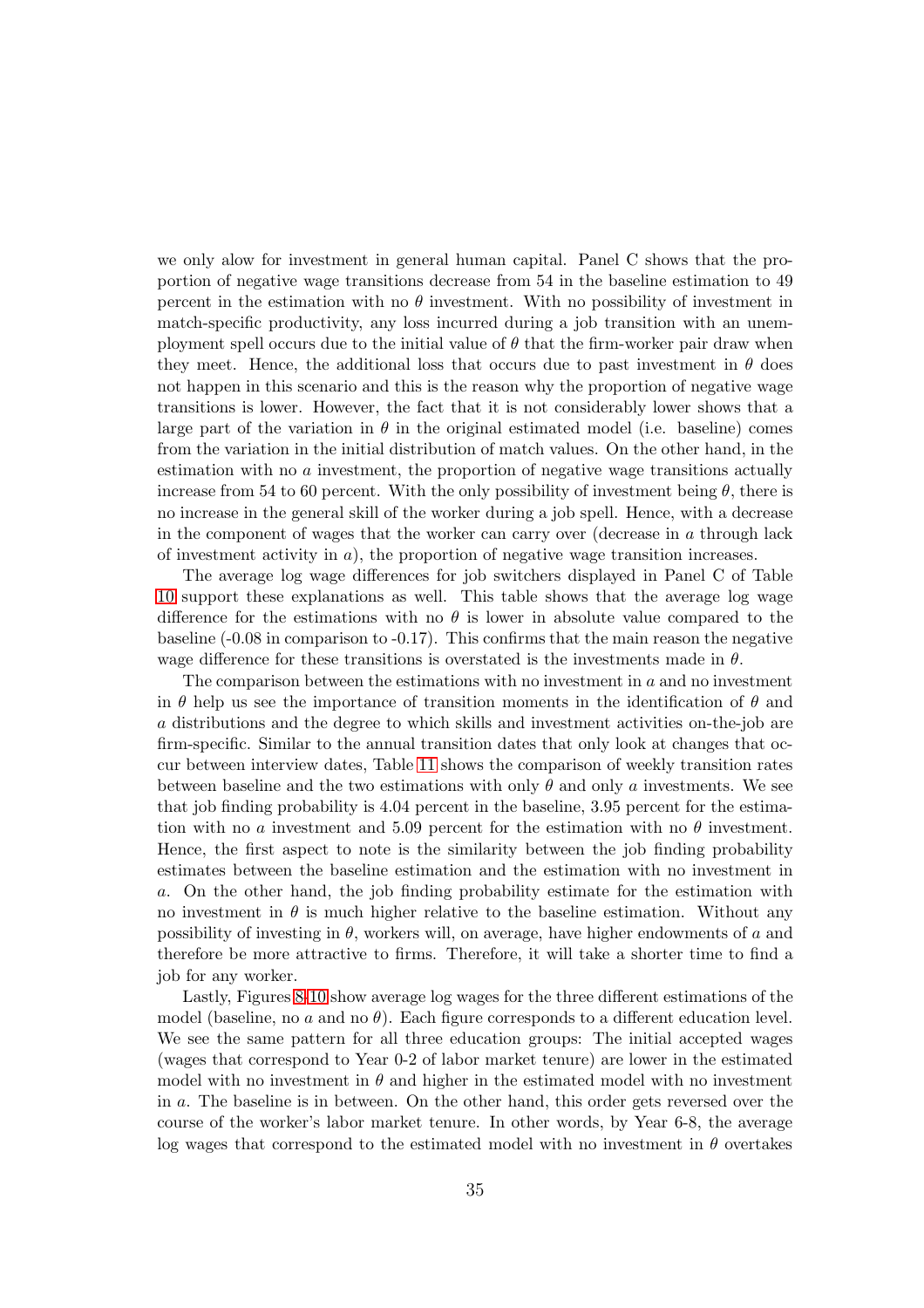we only alow for investment in general human capital. Panel C shows that the proportion of negative wage transitions decrease from 54 in the baseline estimation to 49 percent in the estimation with no  $\theta$  investment. With no possibility of investment in match-specific productivity, any loss incurred during a job transition with an unemployment spell occurs due to the initial value of  $\theta$  that the firm-worker pair draw when they meet. Hence, the additional loss that occurs due to past investment in  $\theta$  does not happen in this scenario and this is the reason why the proportion of negative wage transitions is lower. However, the fact that it is not considerably lower shows that a large part of the variation in  $\theta$  in the original estimated model (i.e. baseline) comes from the variation in the initial distribution of match values. On the other hand, in the estimation with no a investment, the proportion of negative wage transitions actually increase from 54 to 60 percent. With the only possibility of investment being  $\theta$ , there is no increase in the general skill of the worker during a job spell. Hence, with a decrease in the component of wages that the worker can carry over (decrease in  $a$  through lack of investment activity in  $a$ ), the proportion of negative wage transition increases.

The average log wage differences for job switchers displayed in Panel C of Table [10](#page-64-0) support these explanations as well. This table shows that the average log wage difference for the estimations with no  $\theta$  is lower in absolute value compared to the baseline (-0.08 in comparison to -0.17). This confirms that the main reason the negative wage difference for these transitions is overstated is the investments made in  $\theta$ .

The comparison between the estimations with no investment in  $a$  and no investment in  $\theta$  help us see the importance of transition moments in the identification of  $\theta$  and a distributions and the degree to which skills and investment activities on-the-job are firm-specific. Similar to the annual transition dates that only look at changes that occur between interview dates, Table [11](#page-65-0) shows the comparison of weekly transition rates between baseline and the two estimations with only  $\theta$  and only a investments. We see that job finding probability is 4.04 percent in the baseline, 3.95 percent for the estimation with no a investment and 5.09 percent for the estimation with no  $\theta$  investment. Hence, the first aspect to note is the similarity between the job finding probability estimates between the baseline estimation and the estimation with no investment in a. On the other hand, the job finding probability estimate for the estimation with no investment in  $\theta$  is much higher relative to the baseline estimation. Without any possibility of investing in  $\theta$ , workers will, on average, have higher endowments of a and therefore be more attractive to firms. Therefore, it will take a shorter time to find a job for any worker.

Lastly, Figures [8-](#page-66-0)[10](#page-67-0) show average log wages for the three different estimations of the model (baseline, no a and no  $\theta$ ). Each figure corresponds to a different education level. We see the same pattern for all three education groups: The initial accepted wages (wages that correspond to Year 0-2 of labor market tenure) are lower in the estimated model with no investment in  $\theta$  and higher in the estimated model with no investment in a. The baseline is in between. On the other hand, this order gets reversed over the course of the worker's labor market tenure. In other words, by Year 6-8, the average log wages that correspond to the estimated model with no investment in  $\theta$  overtakes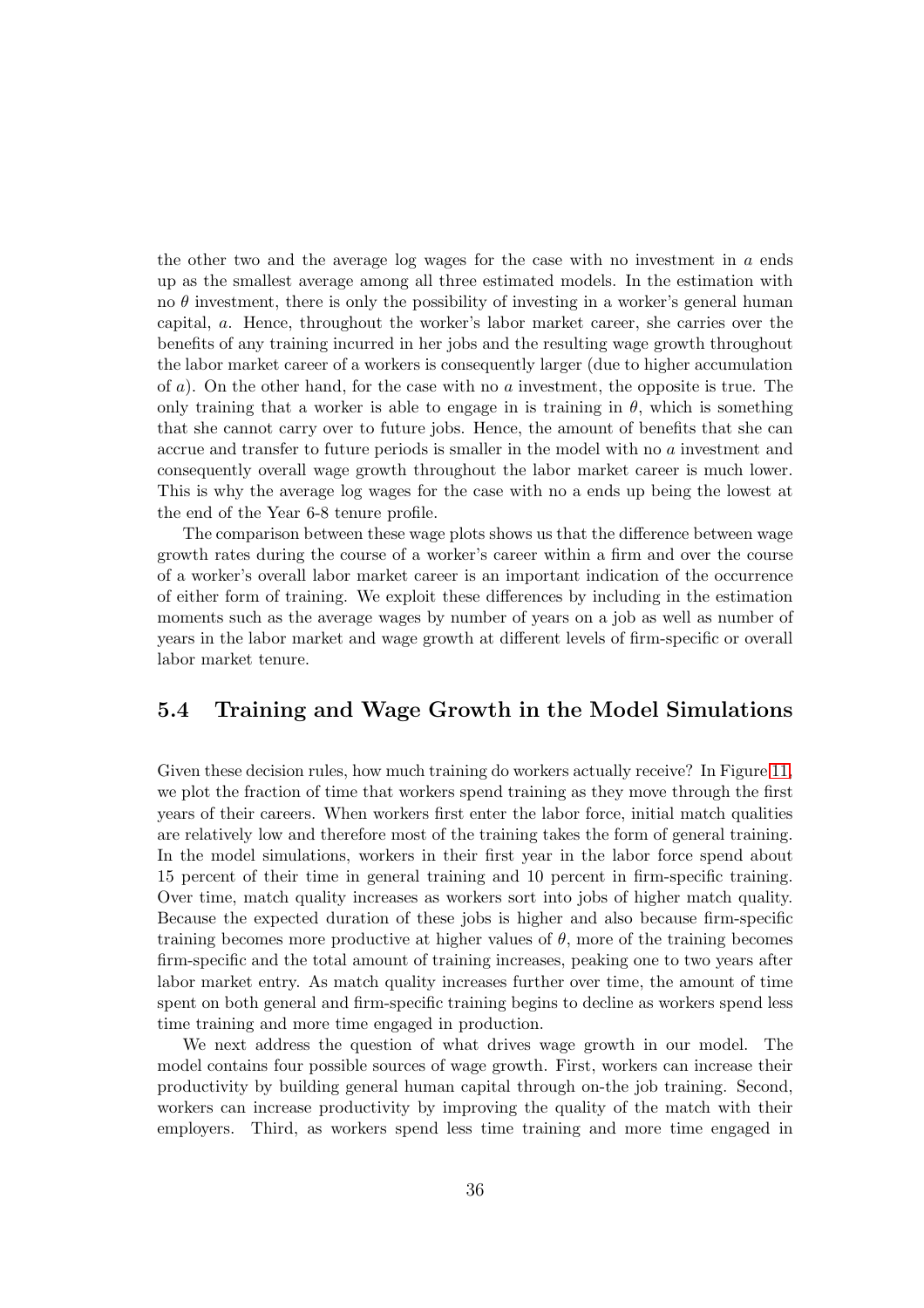the other two and the average log wages for the case with no investment in  $\alpha$  ends up as the smallest average among all three estimated models. In the estimation with no  $\theta$  investment, there is only the possibility of investing in a worker's general human capital, a. Hence, throughout the worker's labor market career, she carries over the benefits of any training incurred in her jobs and the resulting wage growth throughout the labor market career of a workers is consequently larger (due to higher accumulation of  $a$ ). On the other hand, for the case with no  $a$  investment, the opposite is true. The only training that a worker is able to engage in is training in  $\theta$ , which is something that she cannot carry over to future jobs. Hence, the amount of benefits that she can accrue and transfer to future periods is smaller in the model with no a investment and consequently overall wage growth throughout the labor market career is much lower. This is why the average log wages for the case with no a ends up being the lowest at the end of the Year 6-8 tenure profile.

The comparison between these wage plots shows us that the difference between wage growth rates during the course of a worker's career within a firm and over the course of a worker's overall labor market career is an important indication of the occurrence of either form of training. We exploit these differences by including in the estimation moments such as the average wages by number of years on a job as well as number of years in the labor market and wage growth at different levels of firm-specific or overall labor market tenure.

### 5.4 Training and Wage Growth in the Model Simulations

Given these decision rules, how much training do workers actually receive? In Figure [11,](#page-69-0) we plot the fraction of time that workers spend training as they move through the first years of their careers. When workers first enter the labor force, initial match qualities are relatively low and therefore most of the training takes the form of general training. In the model simulations, workers in their first year in the labor force spend about 15 percent of their time in general training and 10 percent in firm-specific training. Over time, match quality increases as workers sort into jobs of higher match quality. Because the expected duration of these jobs is higher and also because firm-specific training becomes more productive at higher values of  $\theta$ , more of the training becomes firm-specific and the total amount of training increases, peaking one to two years after labor market entry. As match quality increases further over time, the amount of time spent on both general and firm-specific training begins to decline as workers spend less time training and more time engaged in production.

We next address the question of what drives wage growth in our model. The model contains four possible sources of wage growth. First, workers can increase their productivity by building general human capital through on-the job training. Second, workers can increase productivity by improving the quality of the match with their employers. Third, as workers spend less time training and more time engaged in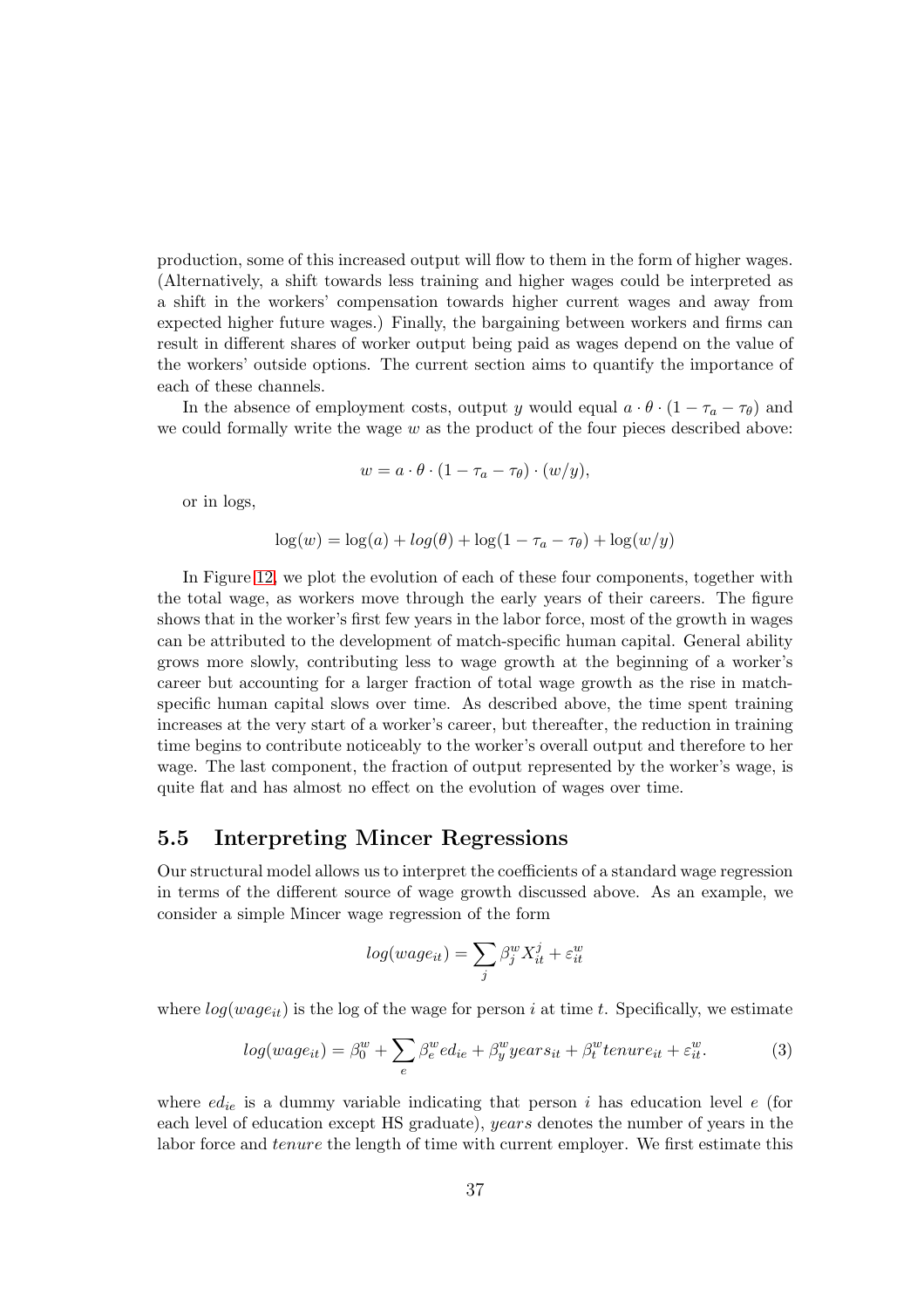production, some of this increased output will flow to them in the form of higher wages. (Alternatively, a shift towards less training and higher wages could be interpreted as a shift in the workers' compensation towards higher current wages and away from expected higher future wages.) Finally, the bargaining between workers and firms can result in different shares of worker output being paid as wages depend on the value of the workers' outside options. The current section aims to quantify the importance of each of these channels.

In the absence of employment costs, output y would equal  $a \cdot \theta \cdot (1 - \tau_a - \tau_{\theta})$  and we could formally write the wage  $w$  as the product of the four pieces described above:

$$
w = a \cdot \theta \cdot (1 - \tau_a - \tau_\theta) \cdot (w/y),
$$

or in logs,

$$
\log(w) = \log(a) + \log(\theta) + \log(1 - \tau_a - \tau_\theta) + \log(w/y)
$$

In Figure [12,](#page-70-0) we plot the evolution of each of these four components, together with the total wage, as workers move through the early years of their careers. The figure shows that in the worker's first few years in the labor force, most of the growth in wages can be attributed to the development of match-specific human capital. General ability grows more slowly, contributing less to wage growth at the beginning of a worker's career but accounting for a larger fraction of total wage growth as the rise in matchspecific human capital slows over time. As described above, the time spent training increases at the very start of a worker's career, but thereafter, the reduction in training time begins to contribute noticeably to the worker's overall output and therefore to her wage. The last component, the fraction of output represented by the worker's wage, is quite flat and has almost no effect on the evolution of wages over time.

### 5.5 Interpreting Mincer Regressions

Our structural model allows us to interpret the coefficients of a standard wage regression in terms of the different source of wage growth discussed above. As an example, we consider a simple Mincer wage regression of the form

$$
log(wage_{it}) = \sum_{j} \beta_j^w X_{it}^j + \varepsilon_{it}^w
$$

where  $log(wage_{it})$  is the log of the wage for person i at time t. Specifically, we estimate

<span id="page-36-0"></span>
$$
log(wage_{it}) = \beta_0^w + \sum_e \beta_e^w ed_{ie} + \beta_y^w years_{it} + \beta_t^w tenure_{it} + \varepsilon_{it}^w.
$$
 (3)

where  $ed_{ie}$  is a dummy variable indicating that person i has education level e (for each level of education except HS graduate), years denotes the number of years in the labor force and *tenure* the length of time with current employer. We first estimate this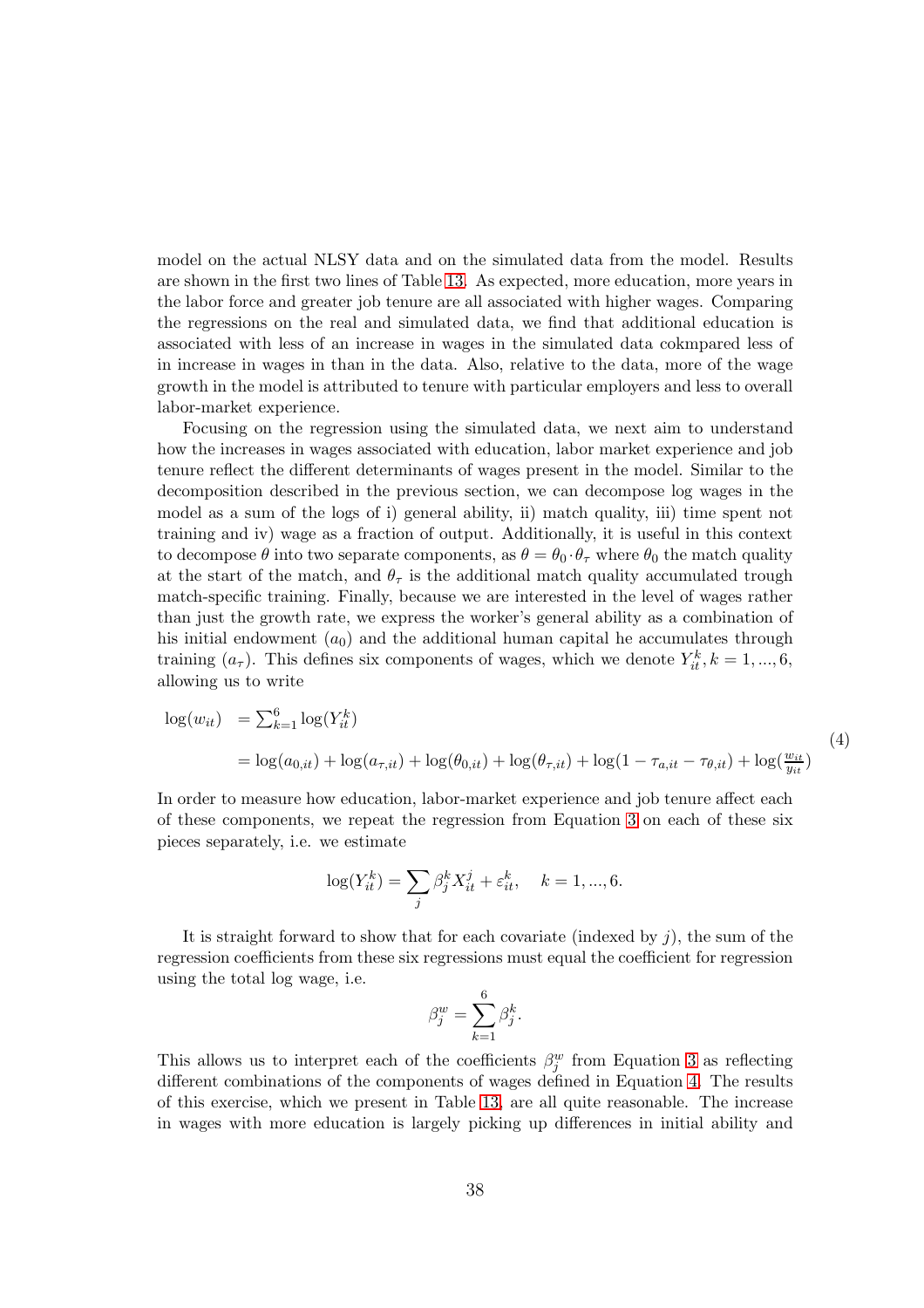model on the actual NLSY data and on the simulated data from the model. Results are shown in the first two lines of Table [13.](#page-71-0) As expected, more education, more years in the labor force and greater job tenure are all associated with higher wages. Comparing the regressions on the real and simulated data, we find that additional education is associated with less of an increase in wages in the simulated data cokmpared less of in increase in wages in than in the data. Also, relative to the data, more of the wage growth in the model is attributed to tenure with particular employers and less to overall labor-market experience.

Focusing on the regression using the simulated data, we next aim to understand how the increases in wages associated with education, labor market experience and job tenure reflect the different determinants of wages present in the model. Similar to the decomposition described in the previous section, we can decompose log wages in the model as a sum of the logs of i) general ability, ii) match quality, iii) time spent not training and iv) wage as a fraction of output. Additionally, it is useful in this context to decompose  $\theta$  into two separate components, as  $\theta = \theta_0 \cdot \theta_\tau$  where  $\theta_0$  the match quality at the start of the match, and  $\theta_{\tau}$  is the additional match quality accumulated trough match-specific training. Finally, because we are interested in the level of wages rather than just the growth rate, we express the worker's general ability as a combination of his initial endowment  $(a_0)$  and the additional human capital he accumulates through training  $(a_{\tau})$ . This defines six components of wages, which we denote  $Y_{it}^{k}$ ,  $k = 1, ..., 6$ , allowing us to write

<span id="page-37-0"></span>
$$
\log(w_{it}) = \sum_{k=1}^{6} \log(Y_{it}^{k})
$$
  
=  $\log(a_{0,it}) + \log(a_{\tau,it}) + \log(\theta_{0,it}) + \log(\theta_{\tau,it}) + \log(1 - \tau_{a,it} - \tau_{\theta,it}) + \log(\frac{w_{it}}{y_{it}})$  (4)

In order to measure how education, labor-market experience and job tenure affect each of these components, we repeat the regression from Equation [3](#page-36-0) on each of these six pieces separately, i.e. we estimate

$$
\log(Y_{it}^k) = \sum_j \beta_j^k X_{it}^j + \varepsilon_{it}^k, \quad k = 1, ..., 6.
$$

It is straight forward to show that for each covariate (indexed by  $j$ ), the sum of the regression coefficients from these six regressions must equal the coefficient for regression using the total log wage, i.e.

$$
\beta_j^w = \sum_{k=1}^6 \beta_j^k.
$$

This allows us to interpret each of the coefficients  $\beta_j^w$  from Equation [3](#page-36-0) as reflecting different combinations of the components of wages defined in Equation [4.](#page-37-0) The results of this exercise, which we present in Table [13,](#page-71-0) are all quite reasonable. The increase in wages with more education is largely picking up differences in initial ability and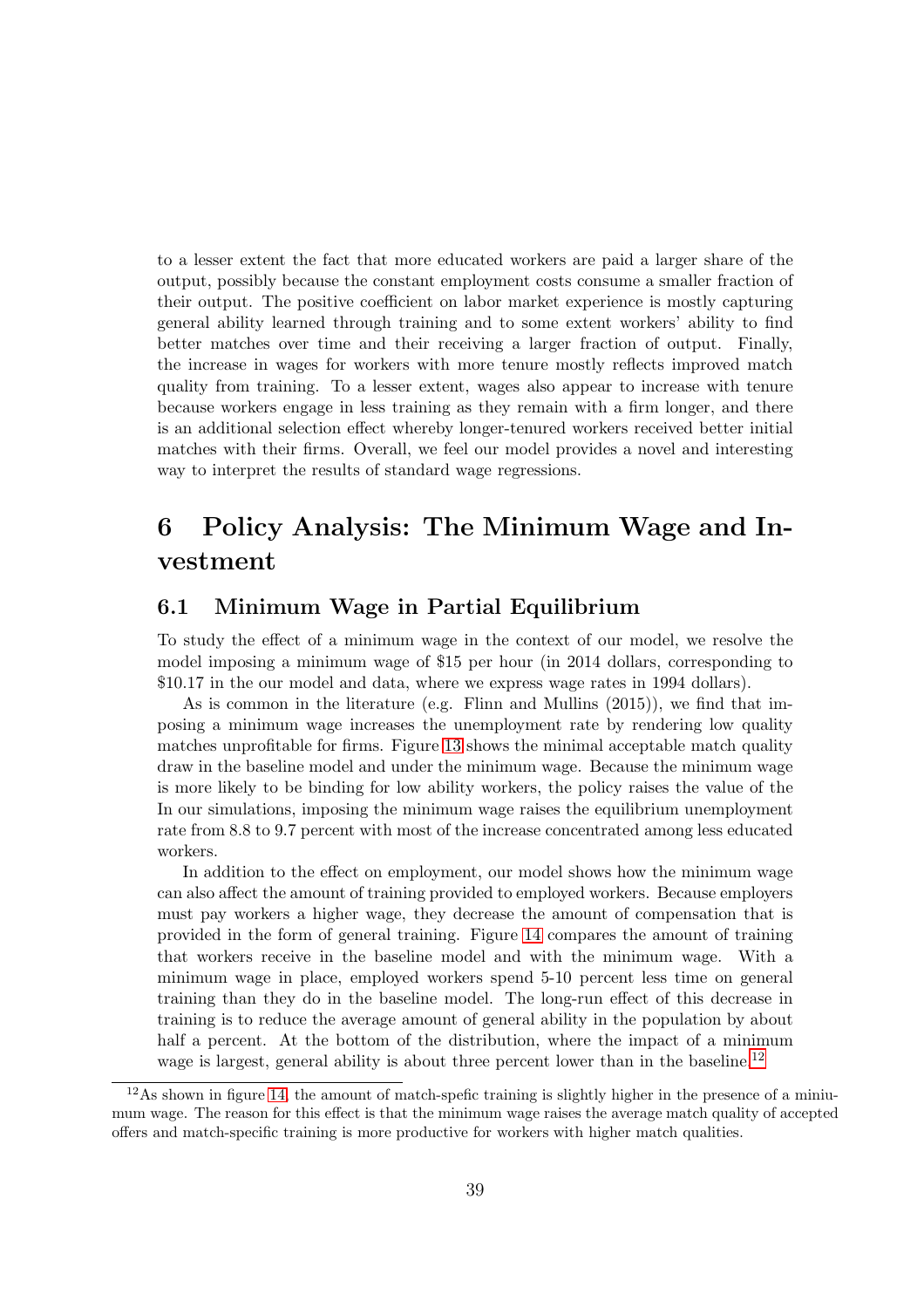to a lesser extent the fact that more educated workers are paid a larger share of the output, possibly because the constant employment costs consume a smaller fraction of their output. The positive coefficient on labor market experience is mostly capturing general ability learned through training and to some extent workers' ability to find better matches over time and their receiving a larger fraction of output. Finally, the increase in wages for workers with more tenure mostly reflects improved match quality from training. To a lesser extent, wages also appear to increase with tenure because workers engage in less training as they remain with a firm longer, and there is an additional selection effect whereby longer-tenured workers received better initial matches with their firms. Overall, we feel our model provides a novel and interesting way to interpret the results of standard wage regressions.

# 6 Policy Analysis: The Minimum Wage and Investment

## 6.1 Minimum Wage in Partial Equilibrium

To study the effect of a minimum wage in the context of our model, we resolve the model imposing a minimum wage of \$15 per hour (in 2014 dollars, corresponding to \$10.17 in the our model and data, where we express wage rates in 1994 dollars).

As is common in the literature (e.g. Flinn and Mullins (2015)), we find that imposing a minimum wage increases the unemployment rate by rendering low quality matches unprofitable for firms. Figure [13](#page-72-0) shows the minimal acceptable match quality draw in the baseline model and under the minimum wage. Because the minimum wage is more likely to be binding for low ability workers, the policy raises the value of the In our simulations, imposing the minimum wage raises the equilibrium unemployment rate from 8.8 to 9.7 percent with most of the increase concentrated among less educated workers.

In addition to the effect on employment, our model shows how the minimum wage can also affect the amount of training provided to employed workers. Because employers must pay workers a higher wage, they decrease the amount of compensation that is provided in the form of general training. Figure [14](#page-73-0) compares the amount of training that workers receive in the baseline model and with the minimum wage. With a minimum wage in place, employed workers spend 5-10 percent less time on general training than they do in the baseline model. The long-run effect of this decrease in training is to reduce the average amount of general ability in the population by about half a percent. At the bottom of the distribution, where the impact of a minimum wage is largest, general ability is about three percent lower than in the baseline.<sup>[12](#page-38-0)</sup>

<span id="page-38-0"></span> $12\text{As}$  shown in figure [14,](#page-73-0) the amount of match-spefic training is slightly higher in the presence of a miniumum wage. The reason for this effect is that the minimum wage raises the average match quality of accepted offers and match-specific training is more productive for workers with higher match qualities.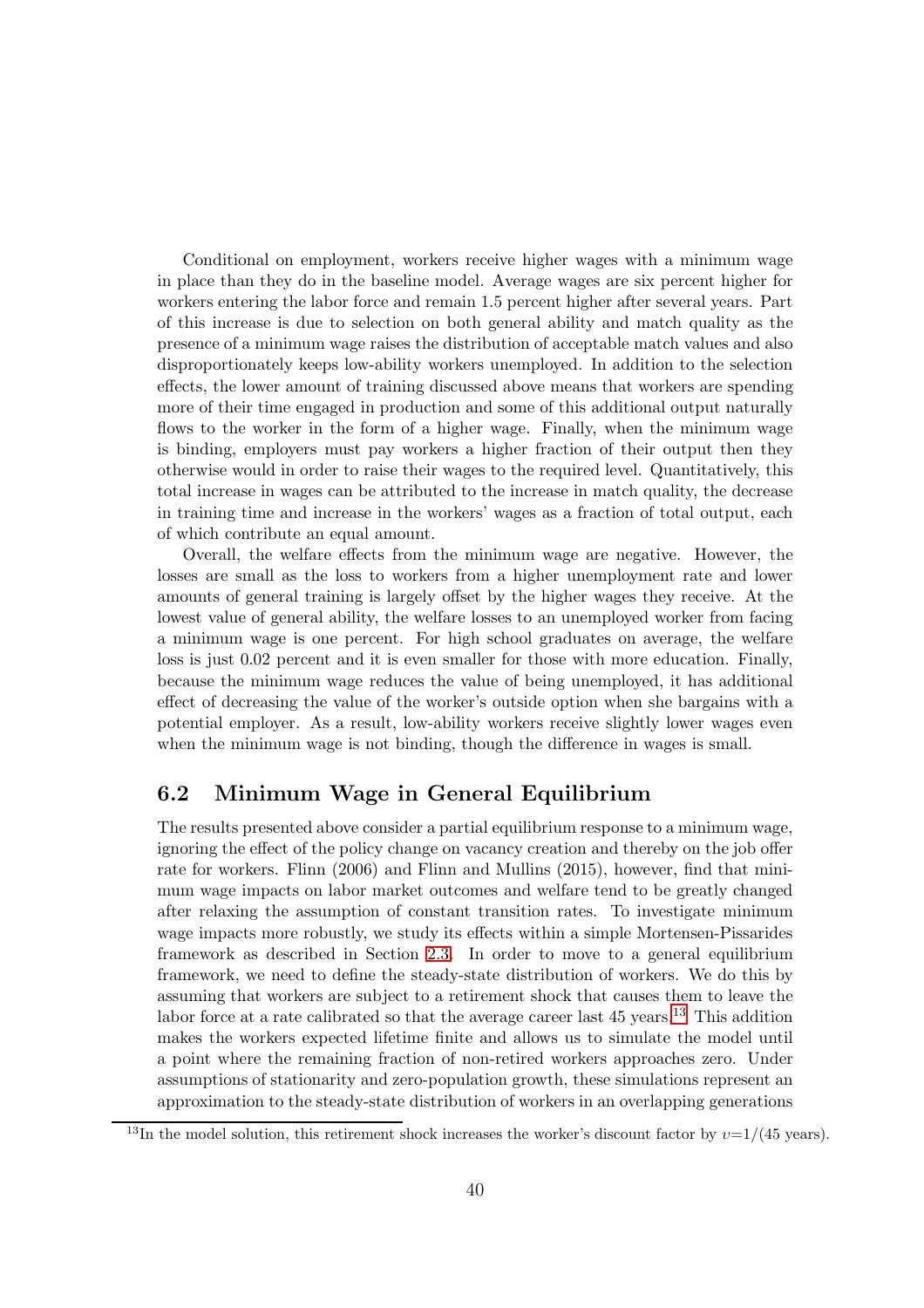Conditional on employment, workers receive higher wages with a minimum wage in place than they do in the baseline model. Average wages are six percent higher for workers entering the labor force and remain 1.5 percent higher after several years. Part of this increase is due to selection on both general ability and match quality as the presence of a minimum wage raises the distribution of acceptable match values and also disproportionately keeps low-ability workers unemployed. In addition to the selection effects, the lower amount of training discussed above means that workers are spending more of their time engaged in production and some of this additional output naturally flows to the worker in the form of a higher wage. Finally, when the minimum wage is binding, employers must pay workers a higher fraction of their output then they otherwise would in order to raise their wages to the required level. Quantitatively, this total increase in wages can be attributed to the increase in match quality, the decrease in training time and increase in the workers' wages as a fraction of total output, each of which contribute an equal amount.

Overall, the welfare effects from the minimum wage are negative. However, the losses are small as the loss to workers from a higher unemployment rate and lower amounts of general training is largely offset by the higher wages they receive. At the lowest value of general ability, the welfare losses to an unemployed worker from facing a minimum wage is one percent. For high school graduates on average, the welfare loss is just 0.02 percent and it is even smaller for those with more education. Finally, because the minimum wage reduces the value of being unemployed, it has additional effect of decreasing the value of the worker's outside option when she bargains with a potential employer. As a result, low-ability workers receive slightly lower wages even when the minimum wage is not binding, though the difference in wages is small.

## 6.2 Minimum Wage in General Equilibrium

The results presented above consider a partial equilibrium response to a minimum wage, ignoring the effect of the policy change on vacancy creation and thereby on the job offer rate for workers. Flinn (2006) and Flinn and Mullins (2015), however, find that minimum wage impacts on labor market outcomes and welfare tend to be greatly changed after relaxing the assumption of constant transition rates. To investigate minimum wage impacts more robustly, we study its effects within a simple Mortensen-Pissarides framework as described in Section [2.3.](#page-15-0) In order to move to a general equilibrium framework, we need to define the steady-state distribution of workers. We do this by assuming that workers are subject to a retirement shock that causes them to leave the labor force at a rate calibrated so that the average career last  $45$  years.<sup>[13](#page-39-0)</sup> This addition makes the workers expected lifetime finite and allows us to simulate the model until a point where the remaining fraction of non-retired workers approaches zero. Under assumptions of stationarity and zero-population growth, these simulations represent an approximation to the steady-state distribution of workers in an overlapping generations

<span id="page-39-0"></span><sup>&</sup>lt;sup>13</sup>In the model solution, this retirement shock increases the worker's discount factor by  $v=1/(45 \text{ years})$ .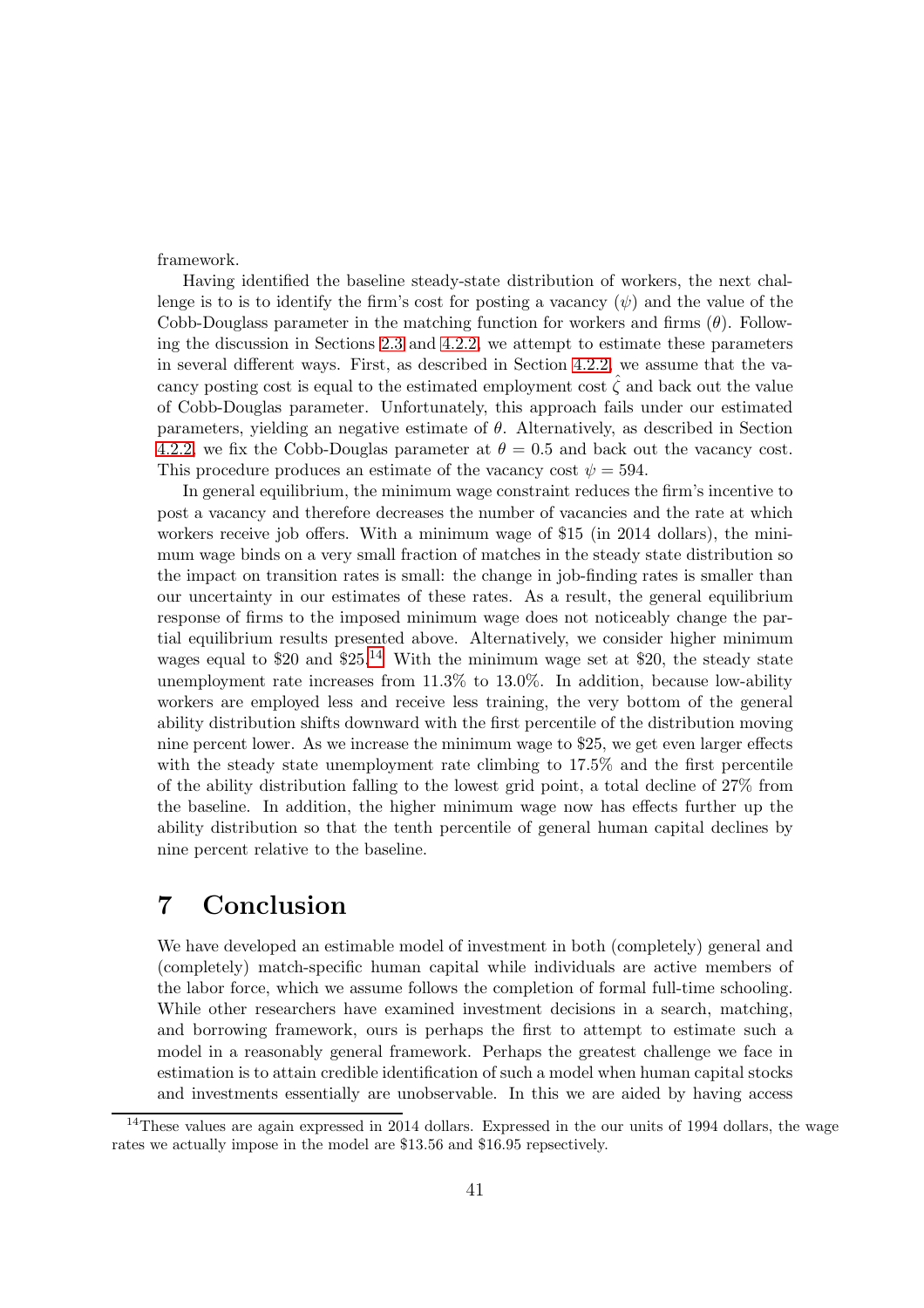framework.

Having identified the baseline steady-state distribution of workers, the next challenge is to is to identify the firm's cost for posting a vacancy  $(\psi)$  and the value of the Cobb-Douglass parameter in the matching function for workers and firms  $(\theta)$ . Following the discussion in Sections [2.3](#page-15-0) and [4.2.2,](#page-22-0) we attempt to estimate these parameters in several different ways. First, as described in Section [4.2.2,](#page-22-0) we assume that the vacancy posting cost is equal to the estimated employment cost  $\hat{\zeta}$  and back out the value of Cobb-Douglas parameter. Unfortunately, this approach fails under our estimated parameters, yielding an negative estimate of  $\theta$ . Alternatively, as described in Section [4.2.2,](#page-22-0) we fix the Cobb-Douglas parameter at  $\theta = 0.5$  and back out the vacancy cost. This procedure produces an estimate of the vacancy cost  $\psi = 594$ .

In general equilibrium, the minimum wage constraint reduces the firm's incentive to post a vacancy and therefore decreases the number of vacancies and the rate at which workers receive job offers. With a minimum wage of \$15 (in 2014 dollars), the minimum wage binds on a very small fraction of matches in the steady state distribution so the impact on transition rates is small: the change in job-finding rates is smaller than our uncertainty in our estimates of these rates. As a result, the general equilibrium response of firms to the imposed minimum wage does not noticeably change the partial equilibrium results presented above. Alternatively, we consider higher minimum wages equal to \$20 and  $$25<sup>14</sup>$  $$25<sup>14</sup>$  $$25<sup>14</sup>$  With the minimum wage set at \$20, the steady state unemployment rate increases from 11.3% to 13.0%. In addition, because low-ability workers are employed less and receive less training, the very bottom of the general ability distribution shifts downward with the first percentile of the distribution moving nine percent lower. As we increase the minimum wage to \$25, we get even larger effects with the steady state unemployment rate climbing to  $17.5\%$  and the first percentile of the ability distribution falling to the lowest grid point, a total decline of 27% from the baseline. In addition, the higher minimum wage now has effects further up the ability distribution so that the tenth percentile of general human capital declines by nine percent relative to the baseline.

## 7 Conclusion

We have developed an estimable model of investment in both (completely) general and (completely) match-specific human capital while individuals are active members of the labor force, which we assume follows the completion of formal full-time schooling. While other researchers have examined investment decisions in a search, matching, and borrowing framework, ours is perhaps the first to attempt to estimate such a model in a reasonably general framework. Perhaps the greatest challenge we face in estimation is to attain credible identification of such a model when human capital stocks and investments essentially are unobservable. In this we are aided by having access

<span id="page-40-0"></span><sup>&</sup>lt;sup>14</sup>These values are again expressed in 2014 dollars. Expressed in the our units of 1994 dollars, the wage rates we actually impose in the model are \$13.56 and \$16.95 repsectively.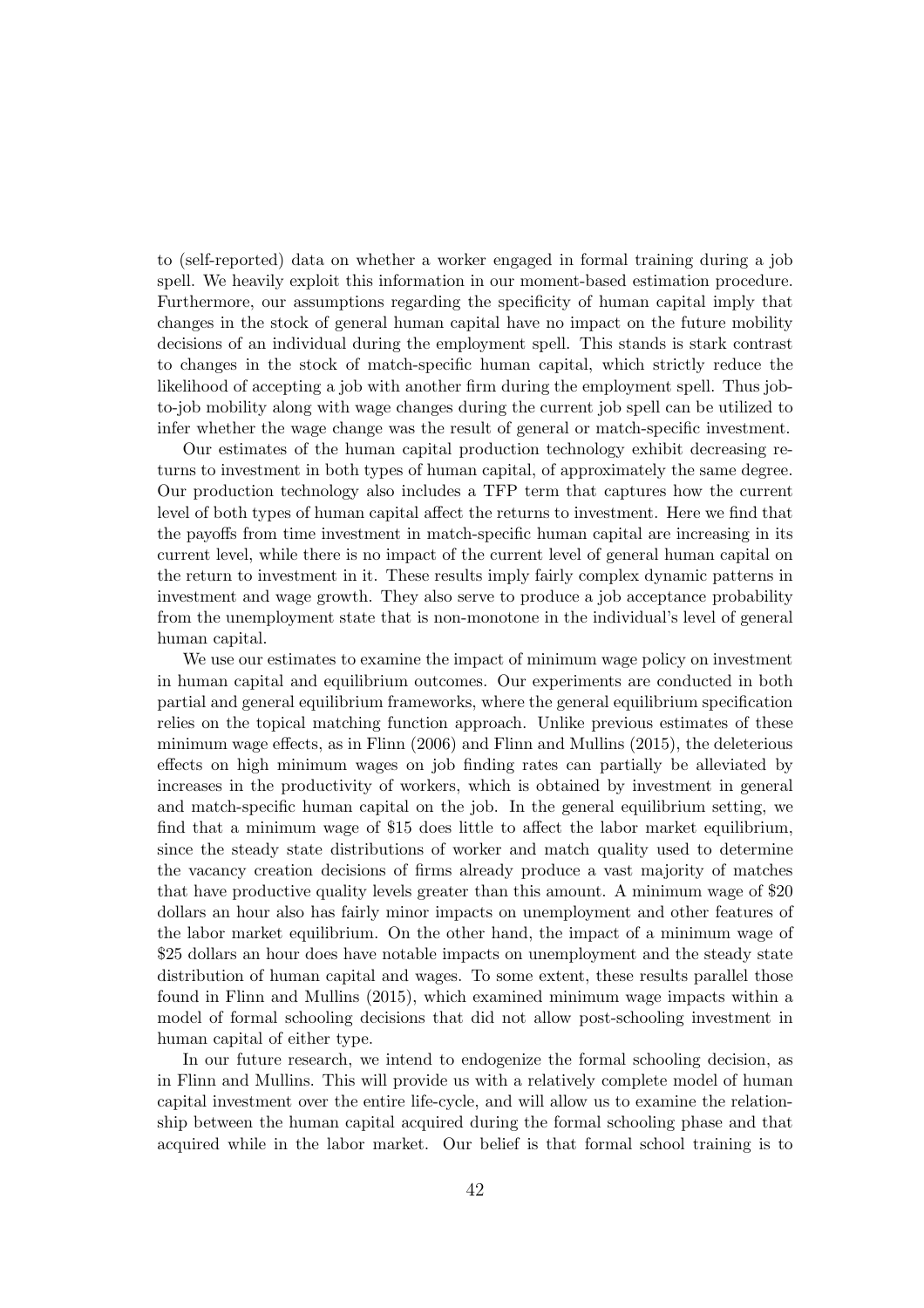to (self-reported) data on whether a worker engaged in formal training during a job spell. We heavily exploit this information in our moment-based estimation procedure. Furthermore, our assumptions regarding the specificity of human capital imply that changes in the stock of general human capital have no impact on the future mobility decisions of an individual during the employment spell. This stands is stark contrast to changes in the stock of match-specific human capital, which strictly reduce the likelihood of accepting a job with another firm during the employment spell. Thus jobto-job mobility along with wage changes during the current job spell can be utilized to infer whether the wage change was the result of general or match-specific investment.

Our estimates of the human capital production technology exhibit decreasing returns to investment in both types of human capital, of approximately the same degree. Our production technology also includes a TFP term that captures how the current level of both types of human capital affect the returns to investment. Here we find that the payoffs from time investment in match-specific human capital are increasing in its current level, while there is no impact of the current level of general human capital on the return to investment in it. These results imply fairly complex dynamic patterns in investment and wage growth. They also serve to produce a job acceptance probability from the unemployment state that is non-monotone in the individual's level of general human capital.

We use our estimates to examine the impact of minimum wage policy on investment in human capital and equilibrium outcomes. Our experiments are conducted in both partial and general equilibrium frameworks, where the general equilibrium specification relies on the topical matching function approach. Unlike previous estimates of these minimum wage effects, as in Flinn (2006) and Flinn and Mullins (2015), the deleterious effects on high minimum wages on job finding rates can partially be alleviated by increases in the productivity of workers, which is obtained by investment in general and match-specific human capital on the job. In the general equilibrium setting, we find that a minimum wage of \$15 does little to affect the labor market equilibrium, since the steady state distributions of worker and match quality used to determine the vacancy creation decisions of firms already produce a vast majority of matches that have productive quality levels greater than this amount. A minimum wage of \$20 dollars an hour also has fairly minor impacts on unemployment and other features of the labor market equilibrium. On the other hand, the impact of a minimum wage of \$25 dollars an hour does have notable impacts on unemployment and the steady state distribution of human capital and wages. To some extent, these results parallel those found in Flinn and Mullins (2015), which examined minimum wage impacts within a model of formal schooling decisions that did not allow post-schooling investment in human capital of either type.

In our future research, we intend to endogenize the formal schooling decision, as in Flinn and Mullins. This will provide us with a relatively complete model of human capital investment over the entire life-cycle, and will allow us to examine the relationship between the human capital acquired during the formal schooling phase and that acquired while in the labor market. Our belief is that formal school training is to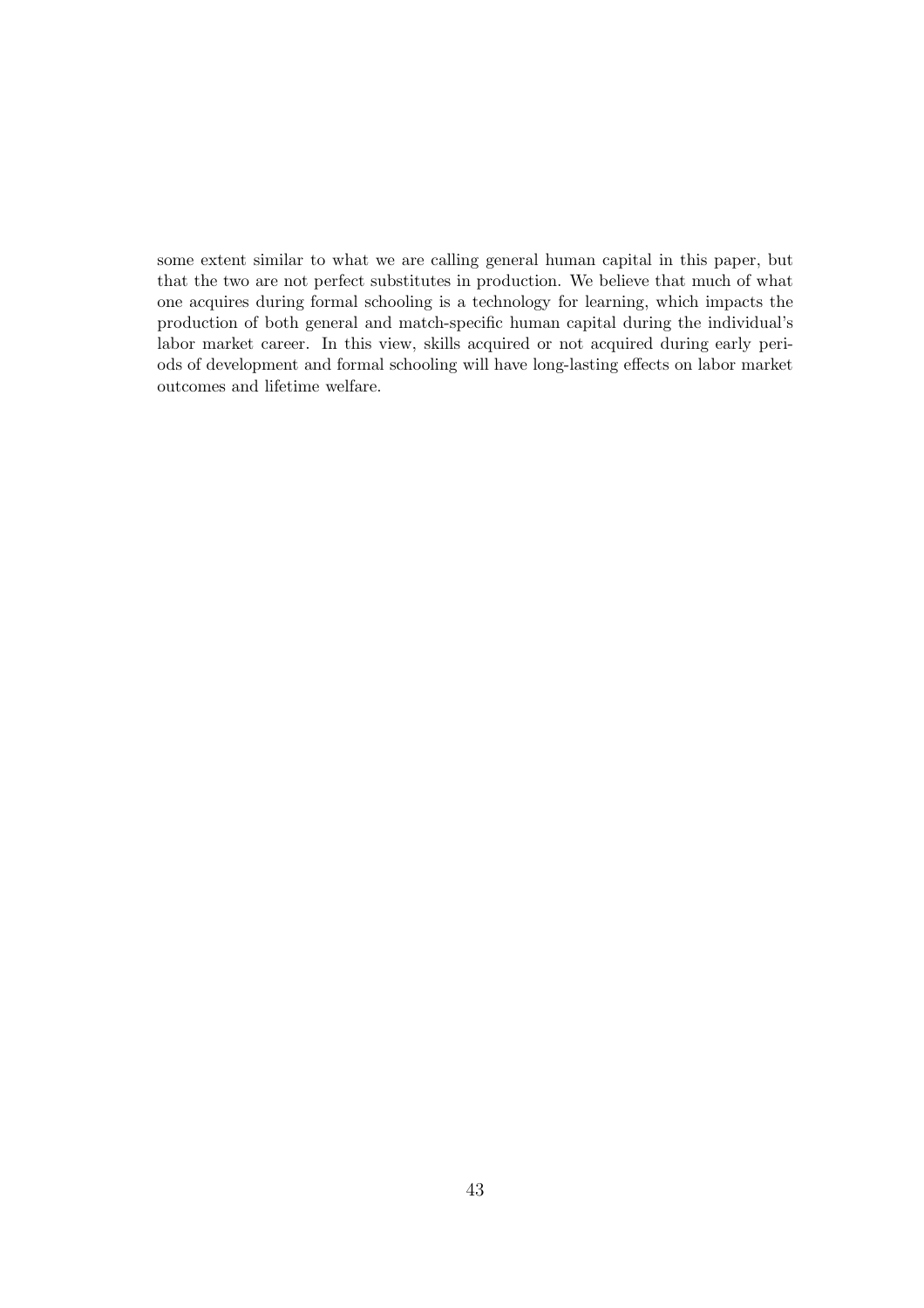some extent similar to what we are calling general human capital in this paper, but that the two are not perfect substitutes in production. We believe that much of what one acquires during formal schooling is a technology for learning, which impacts the production of both general and match-specific human capital during the individual's labor market career. In this view, skills acquired or not acquired during early periods of development and formal schooling will have long-lasting effects on labor market outcomes and lifetime welfare.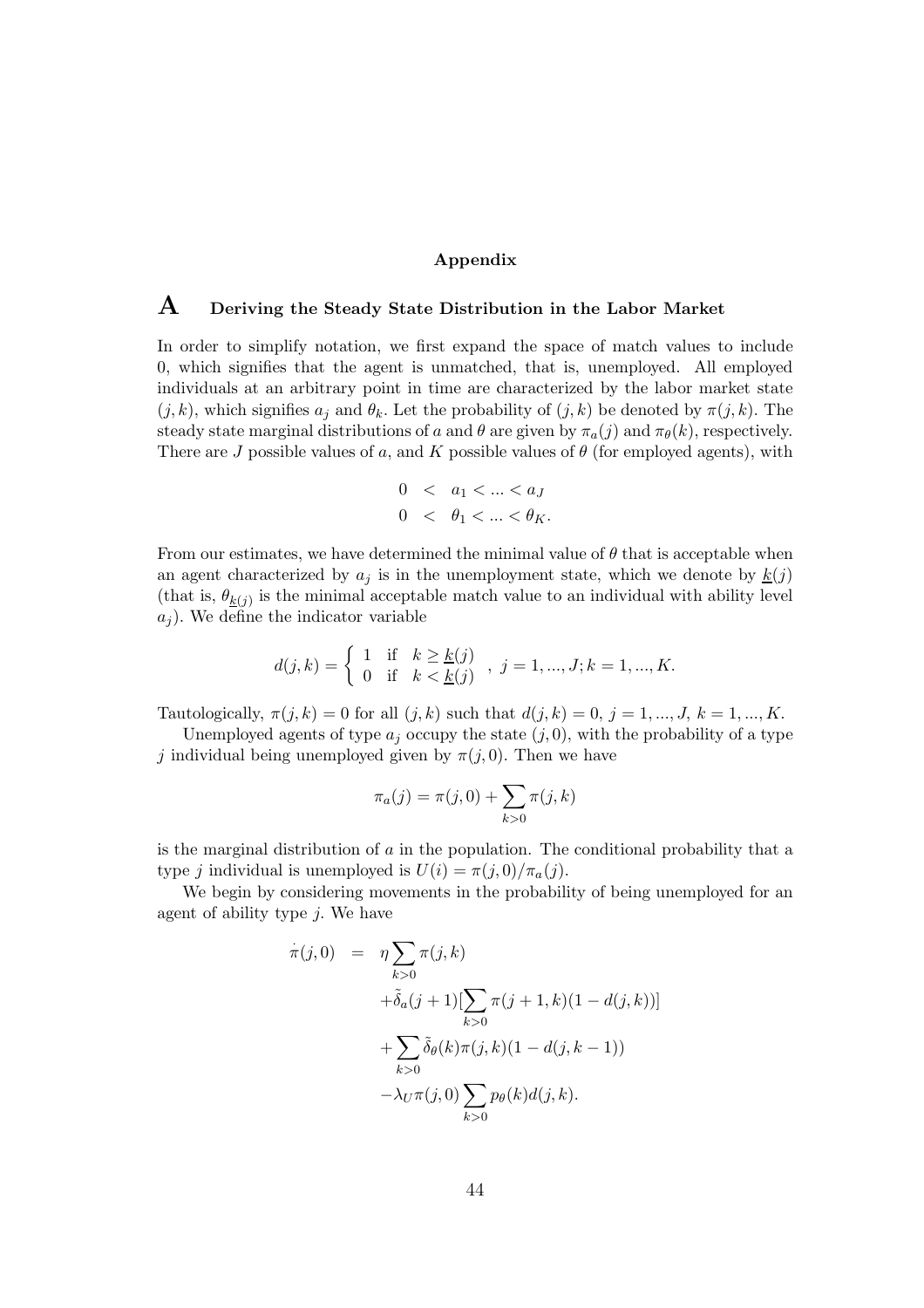#### Appendix

## $\mathbf A$  Deriving the Steady State Distribution in the Labor Market

In order to simplify notation, we first expand the space of match values to include 0, which signifies that the agent is unmatched, that is, unemployed. All employed individuals at an arbitrary point in time are characterized by the labor market state  $(j, k)$ , which signifies  $a_j$  and  $\theta_k$ . Let the probability of  $(j, k)$  be denoted by  $\pi(j, k)$ . The steady state marginal distributions of a and  $\theta$  are given by  $\pi_a(j)$  and  $\pi_\theta(k)$ , respectively. There are J possible values of a, and K possible values of  $\theta$  (for employed agents), with

$$
0 < a_1 < \dots < a_J
$$
\n
$$
0 < \theta_1 < \dots < \theta_K.
$$

From our estimates, we have determined the minimal value of  $\theta$  that is acceptable when an agent characterized by  $a_j$  is in the unemployment state, which we denote by  $\underline{k}(j)$ (that is,  $\theta_{\underline{k}(j)}$  is the minimal acceptable match value to an individual with ability level  $a_i$ ). We define the indicator variable

$$
d(j,k) = \begin{cases} 1 & \text{if } k \geq \underline{k}(j) \\ 0 & \text{if } k < \underline{k}(j) \end{cases}, j = 1, ..., J; k = 1, ..., K.
$$

Tautologically,  $\pi(j, k) = 0$  for all  $(j, k)$  such that  $d(j, k) = 0, j = 1, ..., J, k = 1, ..., K$ .

Unemployed agents of type  $a_j$  occupy the state  $(j, 0)$ , with the probability of a type j individual being unemployed given by  $\pi(j, 0)$ . Then we have

$$
\pi_a(j) = \pi(j, 0) + \sum_{k > 0} \pi(j, k)
$$

is the marginal distribution of  $\alpha$  in the population. The conditional probability that a type j individual is unemployed is  $U(i) = \pi(j, 0)/\pi_a(j)$ .

We begin by considering movements in the probability of being unemployed for an agent of ability type  $j$ . We have

$$
\dot{\pi}(j,0) = \eta \sum_{k>0} \pi(j,k) \n+ \tilde{\delta}_a(j+1)[\sum_{k>0} \pi(j+1,k)(1-d(j,k))] \n+ \sum_{k>0} \tilde{\delta}_\theta(k)\pi(j,k)(1-d(j,k-1)) \n- \lambda_U \pi(j,0) \sum_{k>0} p_\theta(k)d(j,k).
$$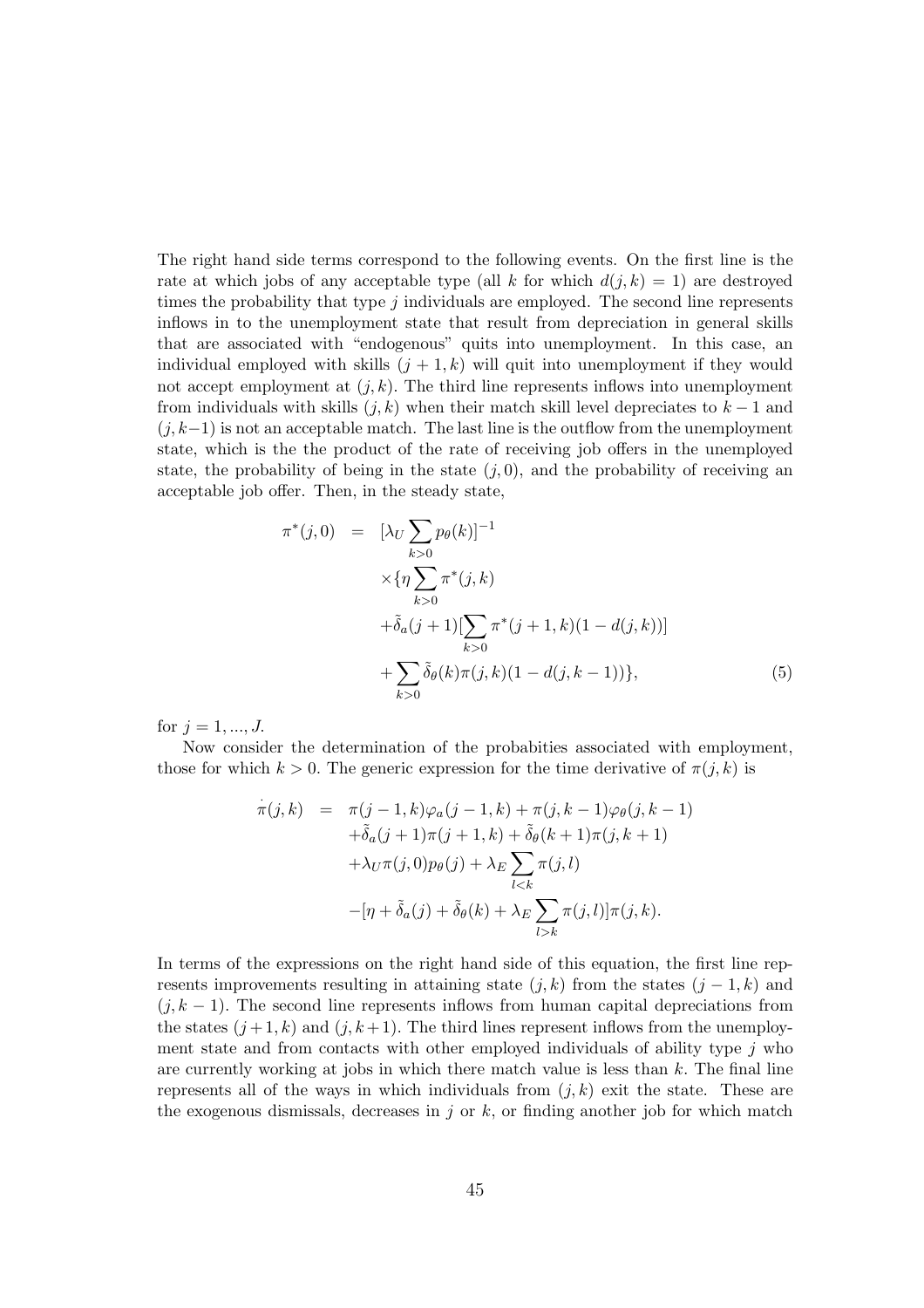The right hand side terms correspond to the following events. On the first line is the rate at which jobs of any acceptable type (all k for which  $d(j, k) = 1$ ) are destroyed times the probability that type  $j$  individuals are employed. The second line represents inflows in to the unemployment state that result from depreciation in general skills that are associated with "endogenous" quits into unemployment. In this case, an individual employed with skills  $(j + 1, k)$  will quit into unemployment if they would not accept employment at  $(j, k)$ . The third line represents inflows into unemployment from individuals with skills  $(j, k)$  when their match skill level depreciates to  $k - 1$  and  $(j, k-1)$  is not an acceptable match. The last line is the outflow from the unemployment state, which is the the product of the rate of receiving job offers in the unemployed state, the probability of being in the state  $(i, 0)$ , and the probability of receiving an acceptable job offer. Then, in the steady state,

$$
\pi^*(j,0) = [\lambda_U \sum_{k>0} p_{\theta}(k)]^{-1}
$$
  
\n
$$
\times {\eta \sum_{k>0} \pi^*(j,k)}
$$
  
\n
$$
+ \tilde{\delta}_a(j+1)[\sum_{k>0} \pi^*(j+1,k)(1-d(j,k))]
$$
  
\n
$$
+ \sum_{k>0} \tilde{\delta}_{\theta}(k)\pi(j,k)(1-d(j,k-1))},
$$
\n(5)

for  $i = 1, ..., J$ .

Now consider the determination of the probabities associated with employment, those for which  $k > 0$ . The generic expression for the time derivative of  $\pi(j, k)$  is

$$
\dot{\pi}(j,k) = \pi(j-1,k)\varphi_a(j-1,k) + \pi(j,k-1)\varphi_\theta(j,k-1) \n+ \tilde{\delta}_a(j+1)\pi(j+1,k) + \tilde{\delta}_\theta(k+1)\pi(j,k+1) \n+ \lambda_U \pi(j,0)p_\theta(j) + \lambda_E \sum_{l < k} \pi(j,l) \n-[\eta + \tilde{\delta}_a(j) + \tilde{\delta}_\theta(k) + \lambda_E \sum_{l > k} \pi(j,l)]\pi(j,k).
$$

In terms of the expressions on the right hand side of this equation, the first line represents improvements resulting in attaining state  $(j, k)$  from the states  $(j - 1, k)$  and  $(j, k - 1)$ . The second line represents inflows from human capital depreciations from the states  $(j+1, k)$  and  $(j, k+1)$ . The third lines represent inflows from the unemployment state and from contacts with other employed individuals of ability type  $j$  who are currently working at jobs in which there match value is less than  $k$ . The final line represents all of the ways in which individuals from  $(j, k)$  exit the state. These are the exogenous dismissals, decreases in  $j$  or  $k$ , or finding another job for which match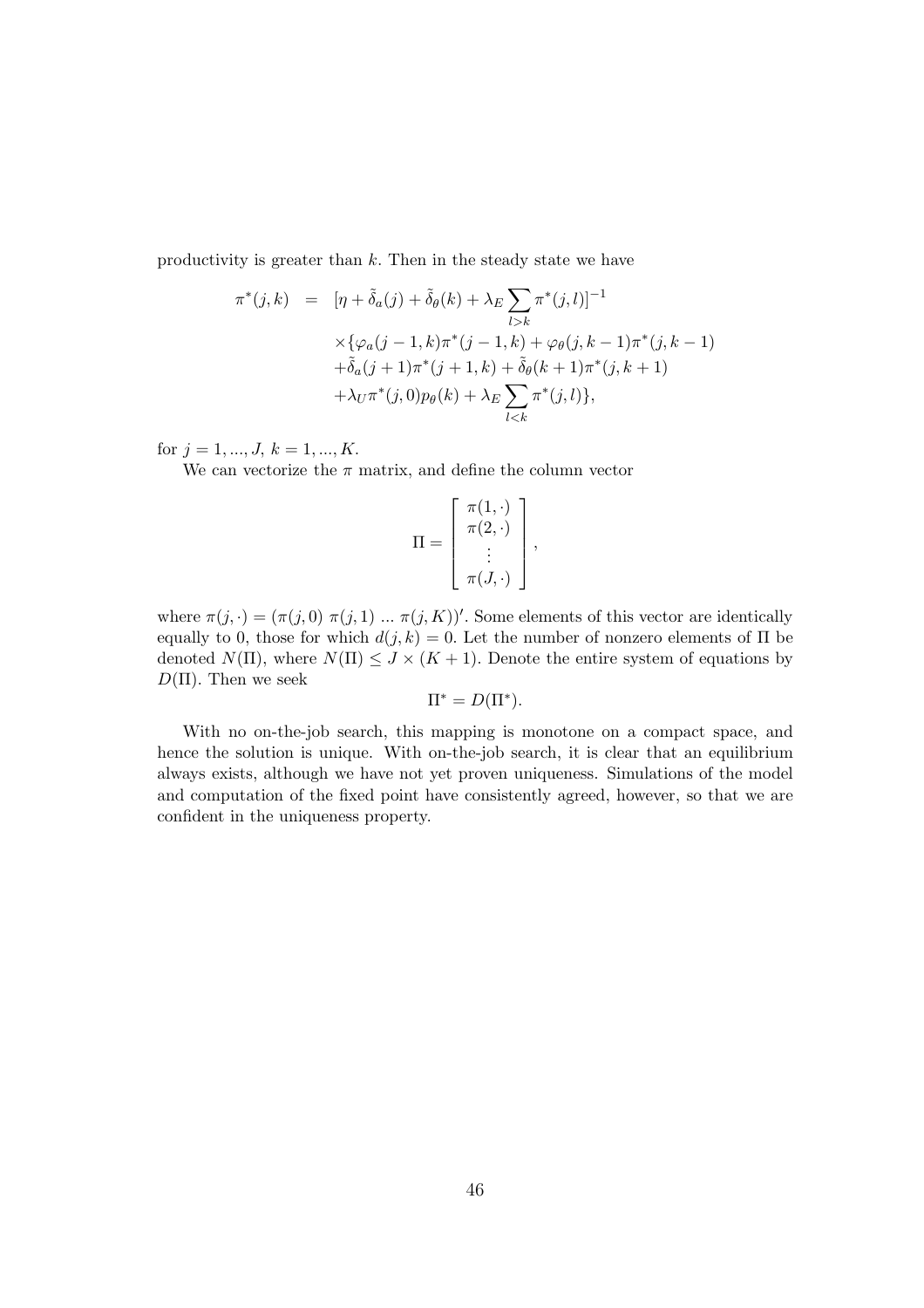productivity is greater than  $k$ . Then in the steady state we have

$$
\pi^*(j,k) = [\eta + \tilde{\delta}_a(j) + \tilde{\delta}_\theta(k) + \lambda_E \sum_{l>k} \pi^*(j,l)]^{-1}
$$
  
 
$$
\times {\varphi_a(j-1,k)\pi^*(j-1,k) + \varphi_\theta(j,k-1)\pi^*(j,k-1)}
$$
  
 
$$
+ \tilde{\delta}_a(j+1)\pi^*(j+1,k) + \tilde{\delta}_\theta(k+1)\pi^*(j,k+1)
$$
  
 
$$
+ \lambda_U \pi^*(j,0)p_\theta(k) + \lambda_E \sum_{l < k} \pi^*(j,l) \},
$$

for  $j = 1, ..., J, k = 1, ..., K$ .

We can vectorize the  $\pi$  matrix, and define the column vector

$$
\Pi = \left[ \begin{array}{c} \pi(1, \cdot) \\ \pi(2, \cdot) \\ \vdots \\ \pi(J, \cdot) \end{array} \right],
$$

where  $\pi(j, \cdot) = (\pi(j, 0), \pi(j, 1), \dots, \pi(j, K))'$ . Some elements of this vector are identically equally to 0, those for which  $d(j, k) = 0$ . Let the number of nonzero elements of  $\Pi$  be denoted  $N(\Pi)$ , where  $N(\Pi) \leq J \times (K + 1)$ . Denote the entire system of equations by  $D(\Pi)$ . Then we seek

$$
\Pi^* = D(\Pi^*).
$$

With no on-the-job search, this mapping is monotone on a compact space, and hence the solution is unique. With on-the-job search, it is clear that an equilibrium always exists, although we have not yet proven uniqueness. Simulations of the model and computation of the fixed point have consistently agreed, however, so that we are confident in the uniqueness property.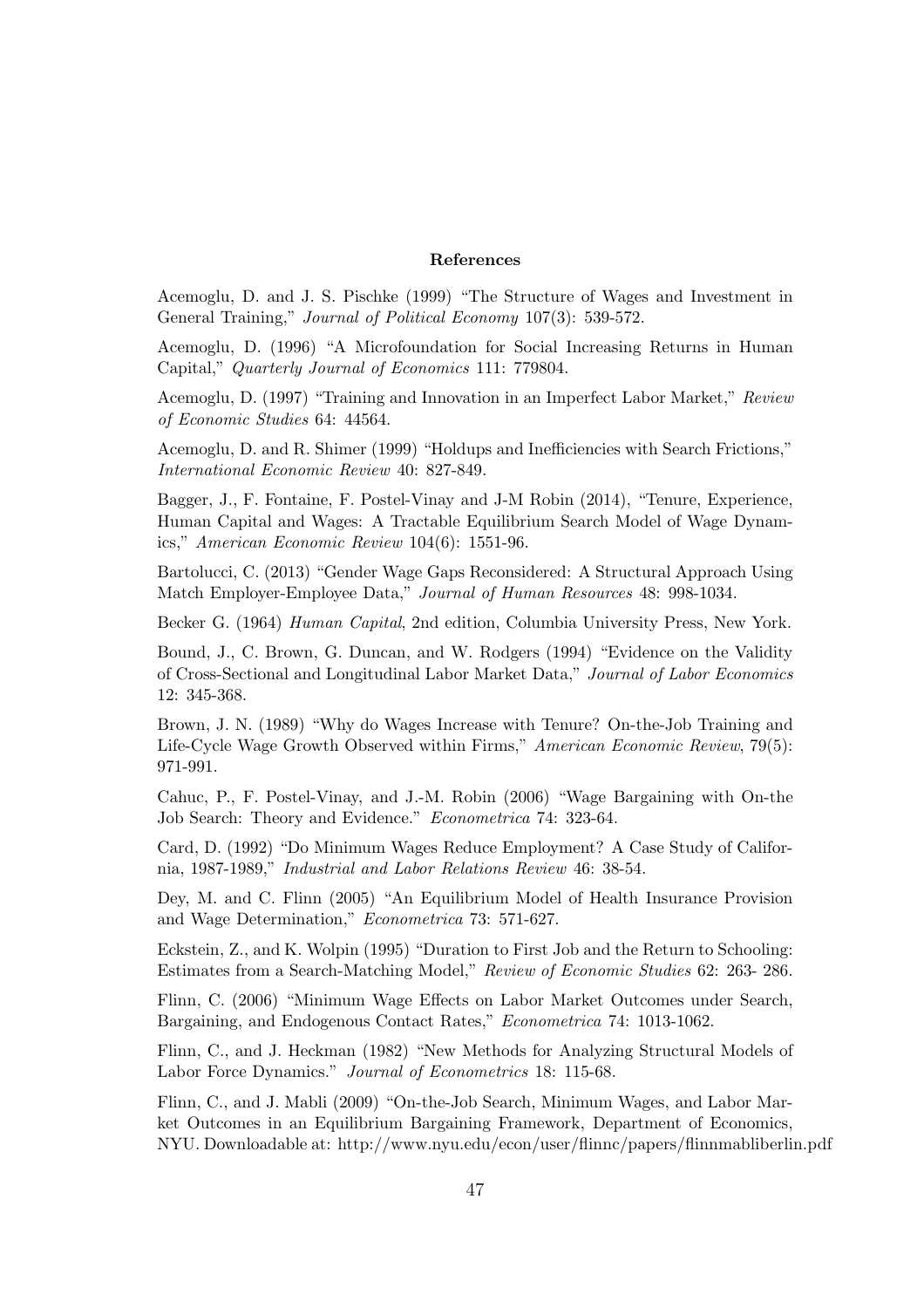#### References

Acemoglu, D. and J. S. Pischke (1999) "The Structure of Wages and Investment in General Training," Journal of Political Economy 107(3): 539-572.

Acemoglu, D. (1996) "A Microfoundation for Social Increasing Returns in Human Capital," Quarterly Journal of Economics 111: 779804.

Acemoglu, D. (1997) "Training and Innovation in an Imperfect Labor Market," Review of Economic Studies 64: 44564.

Acemoglu, D. and R. Shimer (1999) "Holdups and Inefficiencies with Search Frictions," International Economic Review 40: 827-849.

Bagger, J., F. Fontaine, F. Postel-Vinay and J-M Robin (2014), "Tenure, Experience, Human Capital and Wages: A Tractable Equilibrium Search Model of Wage Dynamics," American Economic Review 104(6): 1551-96.

Bartolucci, C. (2013) "Gender Wage Gaps Reconsidered: A Structural Approach Using Match Employer-Employee Data," Journal of Human Resources 48: 998-1034.

Becker G. (1964) Human Capital, 2nd edition, Columbia University Press, New York.

Bound, J., C. Brown, G. Duncan, and W. Rodgers (1994) "Evidence on the Validity of Cross-Sectional and Longitudinal Labor Market Data," Journal of Labor Economics 12: 345-368.

Brown, J. N. (1989) "Why do Wages Increase with Tenure? On-the-Job Training and Life-Cycle Wage Growth Observed within Firms," American Economic Review, 79(5): 971-991.

Cahuc, P., F. Postel-Vinay, and J.-M. Robin (2006) "Wage Bargaining with On-the Job Search: Theory and Evidence." Econometrica 74: 323-64.

Card, D. (1992) "Do Minimum Wages Reduce Employment? A Case Study of California, 1987-1989," Industrial and Labor Relations Review 46: 38-54.

Dey, M. and C. Flinn (2005) "An Equilibrium Model of Health Insurance Provision and Wage Determination," Econometrica 73: 571-627.

Eckstein, Z., and K. Wolpin (1995) "Duration to First Job and the Return to Schooling: Estimates from a Search-Matching Model," Review of Economic Studies 62: 263- 286.

Flinn, C. (2006) "Minimum Wage Effects on Labor Market Outcomes under Search, Bargaining, and Endogenous Contact Rates," Econometrica 74: 1013-1062.

Flinn, C., and J. Heckman (1982) "New Methods for Analyzing Structural Models of Labor Force Dynamics." Journal of Econometrics 18: 115-68.

Flinn, C., and J. Mabli (2009) "On-the-Job Search, Minimum Wages, and Labor Market Outcomes in an Equilibrium Bargaining Framework, Department of Economics, NYU. Downloadable at: http://www.nyu.edu/econ/user/flinnc/papers/flinnmabliberlin.pdf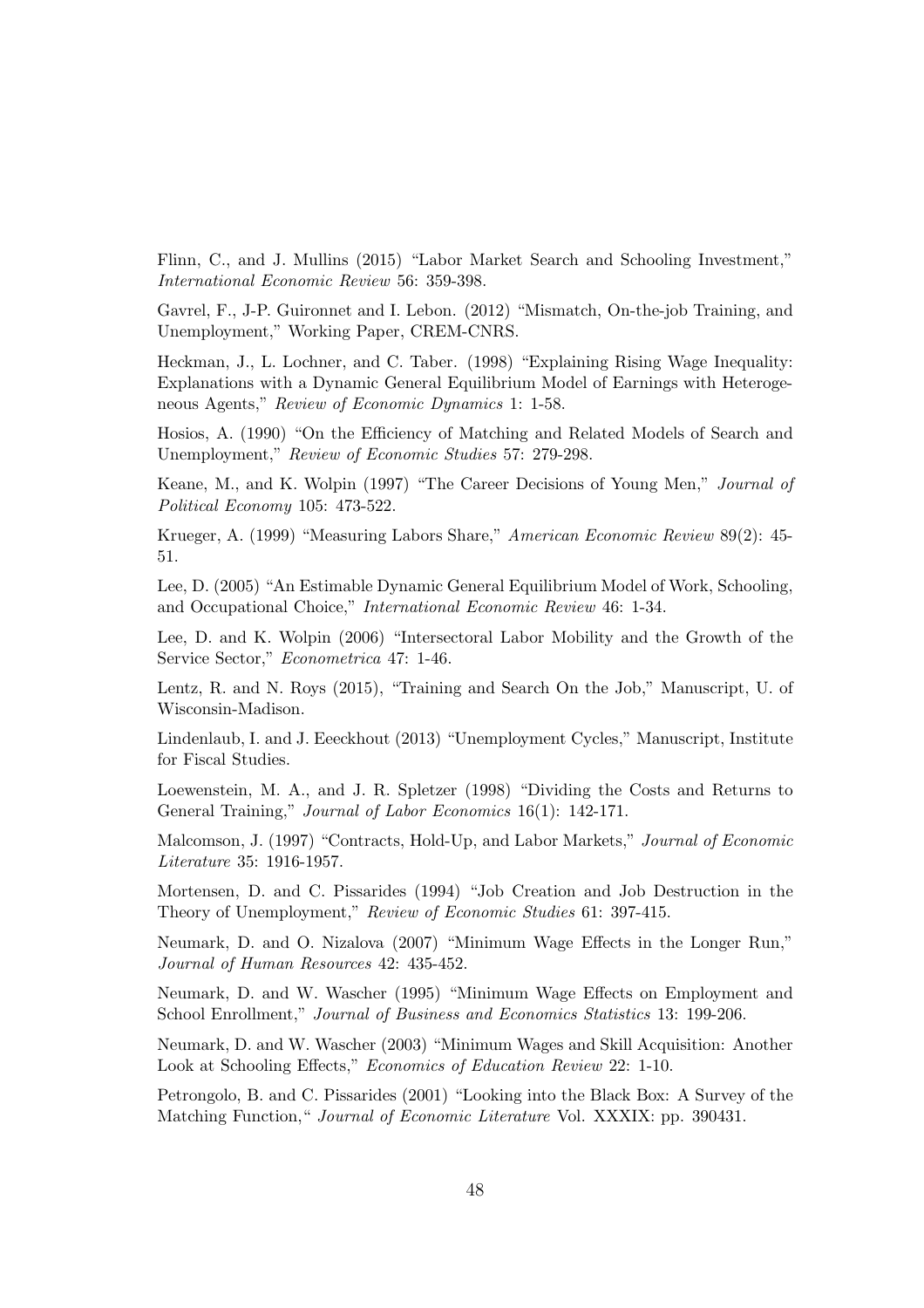Flinn, C., and J. Mullins (2015) "Labor Market Search and Schooling Investment," International Economic Review 56: 359-398.

Gavrel, F., J-P. Guironnet and I. Lebon. (2012) "Mismatch, On-the-job Training, and Unemployment," Working Paper, CREM-CNRS.

Heckman, J., L. Lochner, and C. Taber. (1998) "Explaining Rising Wage Inequality: Explanations with a Dynamic General Equilibrium Model of Earnings with Heterogeneous Agents," Review of Economic Dynamics 1: 1-58.

Hosios, A. (1990) "On the Efficiency of Matching and Related Models of Search and Unemployment," Review of Economic Studies 57: 279-298.

Keane, M., and K. Wolpin (1997) "The Career Decisions of Young Men," Journal of Political Economy 105: 473-522.

Krueger, A. (1999) "Measuring Labors Share," American Economic Review 89(2): 45- 51.

Lee, D. (2005) "An Estimable Dynamic General Equilibrium Model of Work, Schooling, and Occupational Choice," International Economic Review 46: 1-34.

Lee, D. and K. Wolpin (2006) "Intersectoral Labor Mobility and the Growth of the Service Sector," Econometrica 47: 1-46.

Lentz, R. and N. Roys (2015), "Training and Search On the Job," Manuscript, U. of Wisconsin-Madison.

Lindenlaub, I. and J. Eeeckhout (2013) "Unemployment Cycles," Manuscript, Institute for Fiscal Studies.

Loewenstein, M. A., and J. R. Spletzer (1998) "Dividing the Costs and Returns to General Training," Journal of Labor Economics 16(1): 142-171.

Malcomson, J. (1997) "Contracts, Hold-Up, and Labor Markets," Journal of Economic Literature 35: 1916-1957.

Mortensen, D. and C. Pissarides (1994) "Job Creation and Job Destruction in the Theory of Unemployment," Review of Economic Studies 61: 397-415.

Neumark, D. and O. Nizalova (2007) "Minimum Wage Effects in the Longer Run," Journal of Human Resources 42: 435-452.

Neumark, D. and W. Wascher (1995) "Minimum Wage Effects on Employment and School Enrollment," Journal of Business and Economics Statistics 13: 199-206.

Neumark, D. and W. Wascher (2003) "Minimum Wages and Skill Acquisition: Another Look at Schooling Effects," Economics of Education Review 22: 1-10.

Petrongolo, B. and C. Pissarides (2001) "Looking into the Black Box: A Survey of the Matching Function, "*Journal of Economic Literature* Vol. XXXIX: pp. 390431.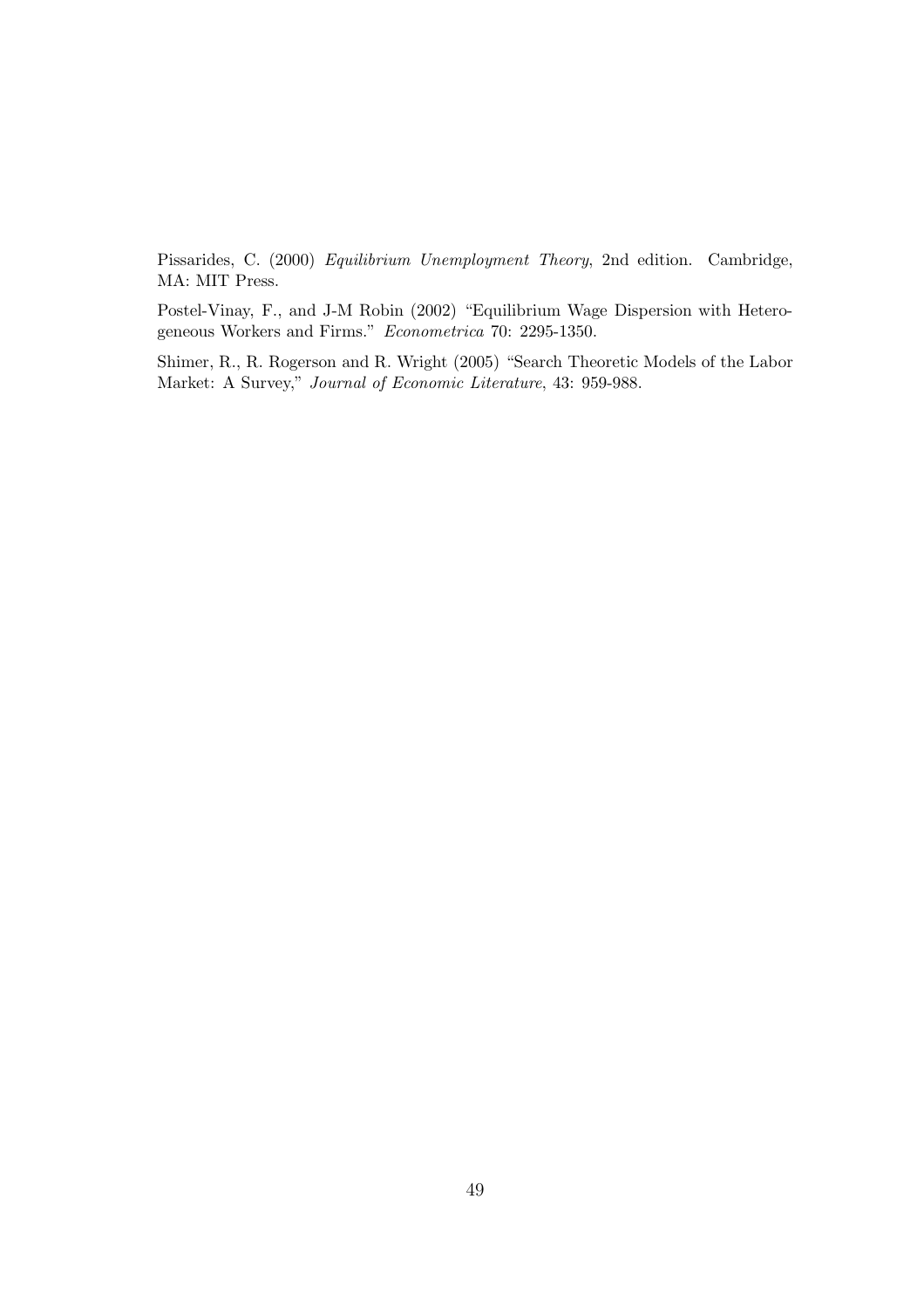Pissarides, C. (2000) Equilibrium Unemployment Theory, 2nd edition. Cambridge, MA: MIT Press.

Postel-Vinay, F., and J-M Robin (2002) "Equilibrium Wage Dispersion with Heterogeneous Workers and Firms." Econometrica 70: 2295-1350.

Shimer, R., R. Rogerson and R. Wright (2005) "Search Theoretic Models of the Labor Market: A Survey," Journal of Economic Literature, 43: 959-988.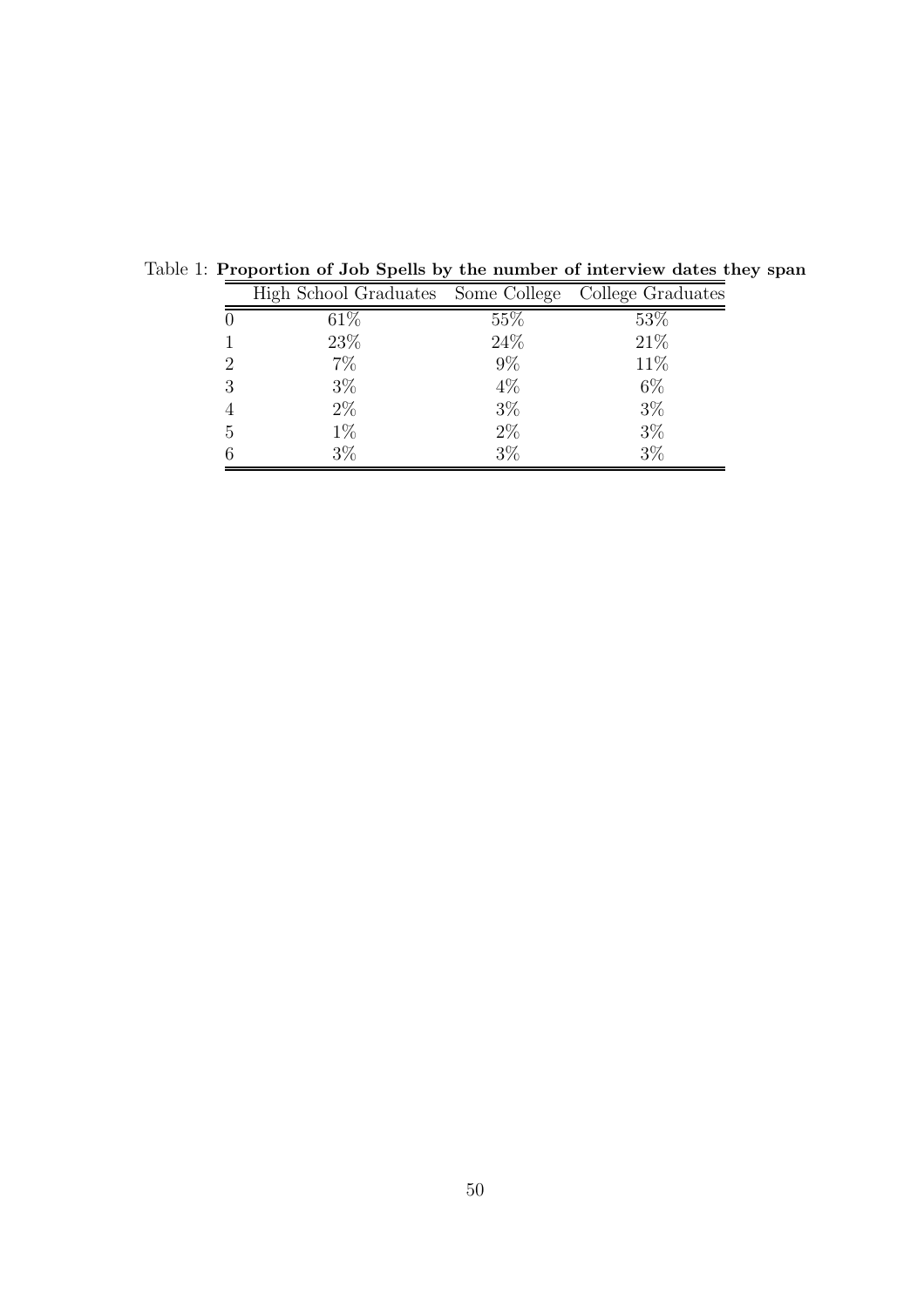|   | High School Graduates Some College College Graduates |       |       |
|---|------------------------------------------------------|-------|-------|
|   | 61\%                                                 | 55\%  | 53\%  |
|   | 23\%                                                 | 24\%  | 21\%  |
| 2 | $7\%$                                                | $9\%$ | 11\%  |
| 3 | $3\%$                                                | $4\%$ | $6\%$ |
|   | $2\%$                                                | $3\%$ | $3\%$ |
| 5 | $1\%$                                                | $2\%$ | $3\%$ |
|   | $3\%$                                                | $3\%$ | $3\%$ |

Table 1: Proportion of Job Spells by the number of interview dates they span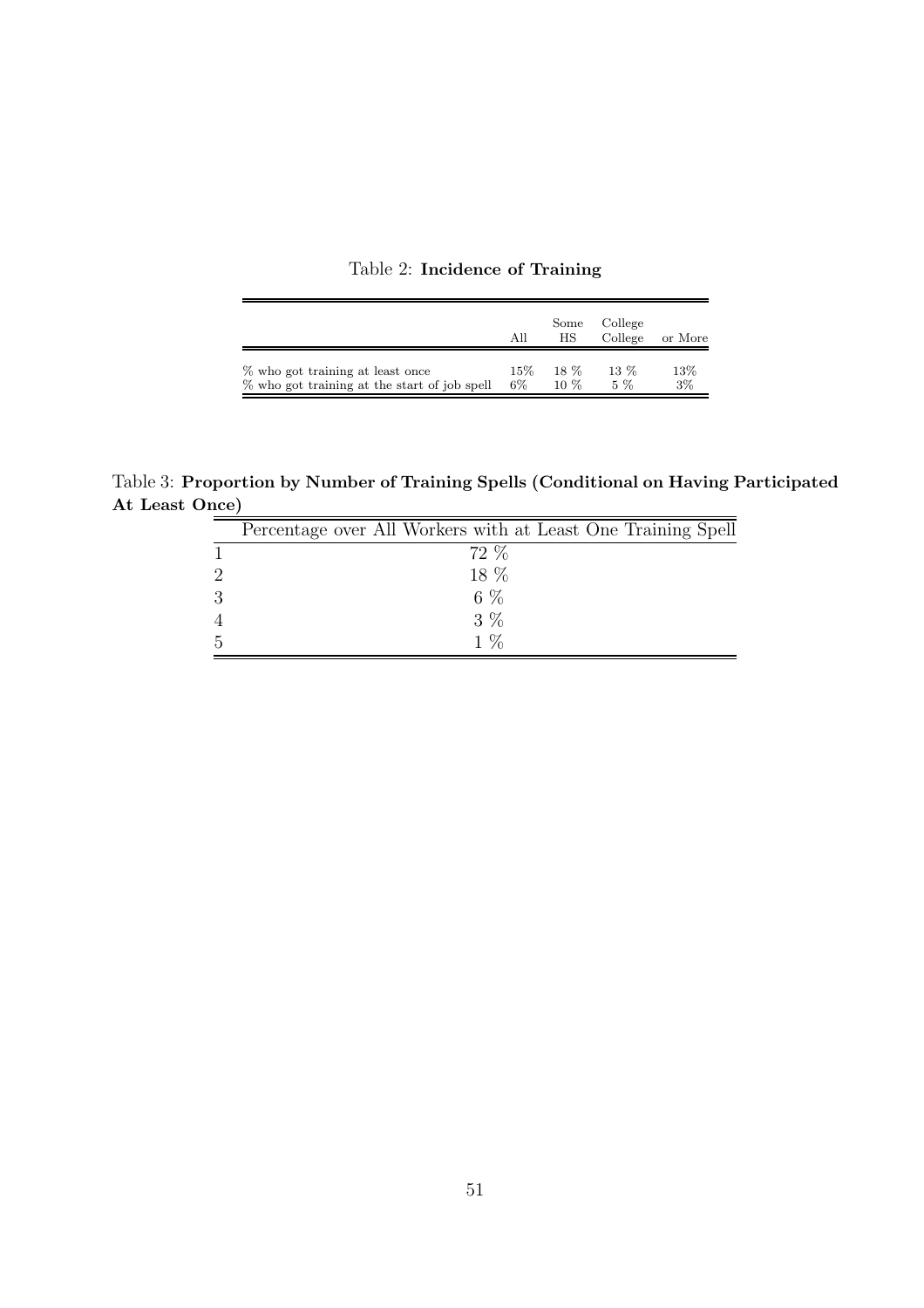|  | Table 2: Incidence of Training |  |  |
|--|--------------------------------|--|--|
|--|--------------------------------|--|--|

 $\overline{a}$ 

|                                              | All    | Some<br>НS | College<br>College | or More |
|----------------------------------------------|--------|------------|--------------------|---------|
| % who got training at least once             | $15\%$ | 18 %       | $13\%$             | 13%     |
| % who got training at the start of job spell | $6\%$  | $10\%$     | $5\%$              | $3\%$   |

Table 3: Proportion by Number of Training Spells (Conditional on Having Participated At Least Once)

|                             | Percentage over All Workers with at Least One Training Spell |
|-----------------------------|--------------------------------------------------------------|
|                             | 72 %                                                         |
| $\mathcal{D}_{\mathcal{L}}$ | 18 %                                                         |
| 3                           | $6\%$                                                        |
| $\overline{4}$              | $3\%$                                                        |
| 5                           | $1\%$                                                        |
|                             |                                                              |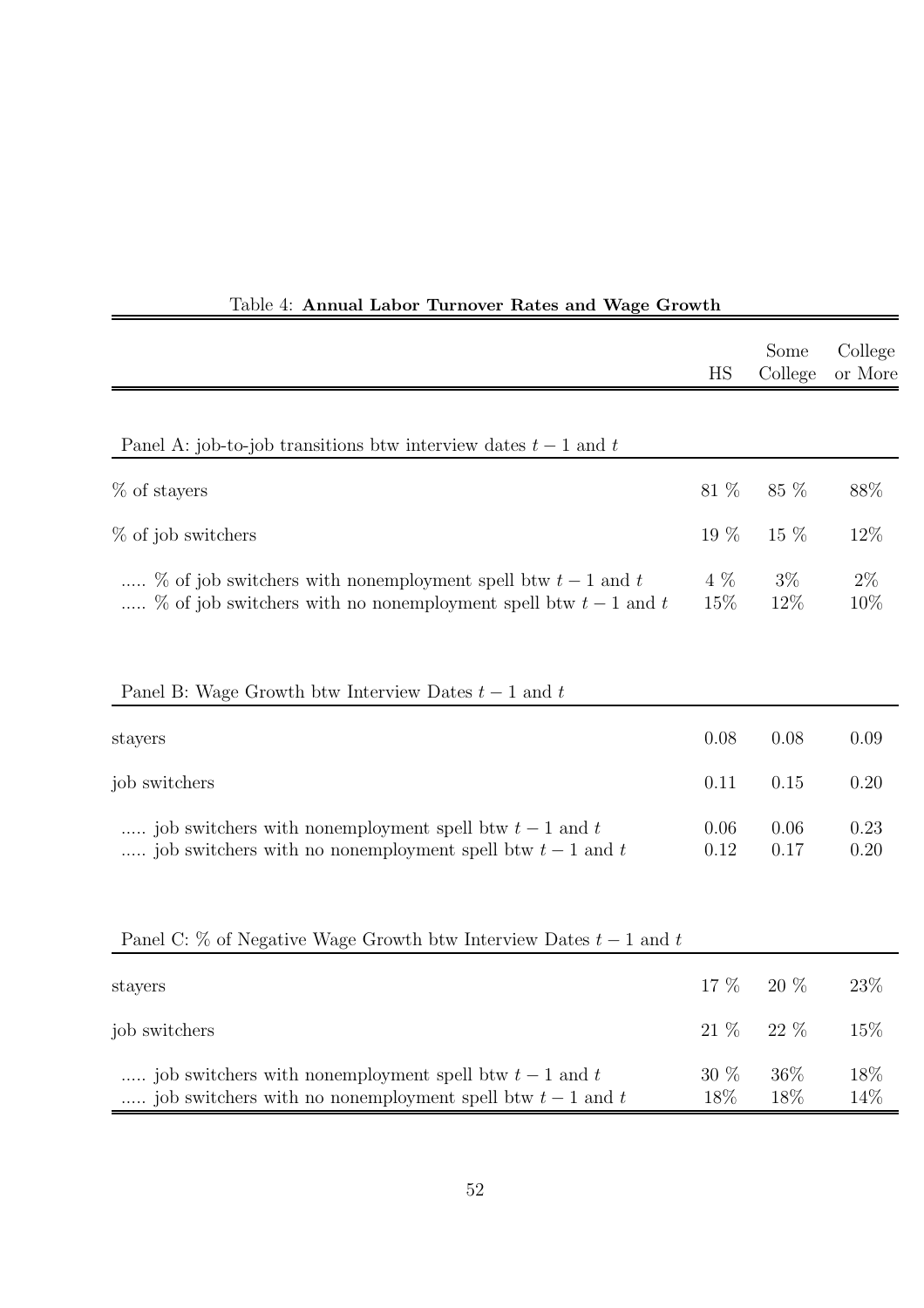|                                                                                                                               | HS           | Some<br>College | College<br>or More |
|-------------------------------------------------------------------------------------------------------------------------------|--------------|-----------------|--------------------|
|                                                                                                                               |              |                 |                    |
| Panel A: job-to-job transitions btw interview dates $t-1$ and t                                                               |              |                 |                    |
| $%$ of stayers                                                                                                                | $81~\%$      | $85~\%$         | 88%                |
| % of job switchers                                                                                                            | 19 %         | 15 %            | 12%                |
| % of job switchers with nonemployment spell btw $t-1$ and t<br>% of job switchers with no nonemployment spell btw $t-1$ and t | 4 %<br>15%   | $3\%$<br>12%    | $2\%$<br>10%       |
| Panel B: Wage Growth btw Interview Dates $t-1$ and t                                                                          |              |                 |                    |
| stayers                                                                                                                       | 0.08         | 0.08            | 0.09               |
| job switchers                                                                                                                 | 0.11         | 0.15            | 0.20               |
| job switchers with nonemployment spell btw $t-1$ and $t$<br>job switchers with no nonemployment spell btw $t-1$ and $t$       | 0.06<br>0.12 | 0.06<br>0.17    | 0.23<br>0.20       |
| Panel C: $\%$ of Negative Wage Growth btw Interview Dates $t-1$ and t                                                         |              |                 |                    |
| stayers                                                                                                                       | 17 %         | $20~\%$         | 23%                |
| job switchers                                                                                                                 | $21~\%$      | 22 %            | 15%                |
| job switchers with nonemployment spell btw $t-1$ and $t$<br>job switchers with no nonemployment spell btw $t-1$ and t         | 30 %<br>18%  | 36%<br>18%      | 18%<br>14%         |

## Table 4: Annual Labor Turnover Rates and Wage Growth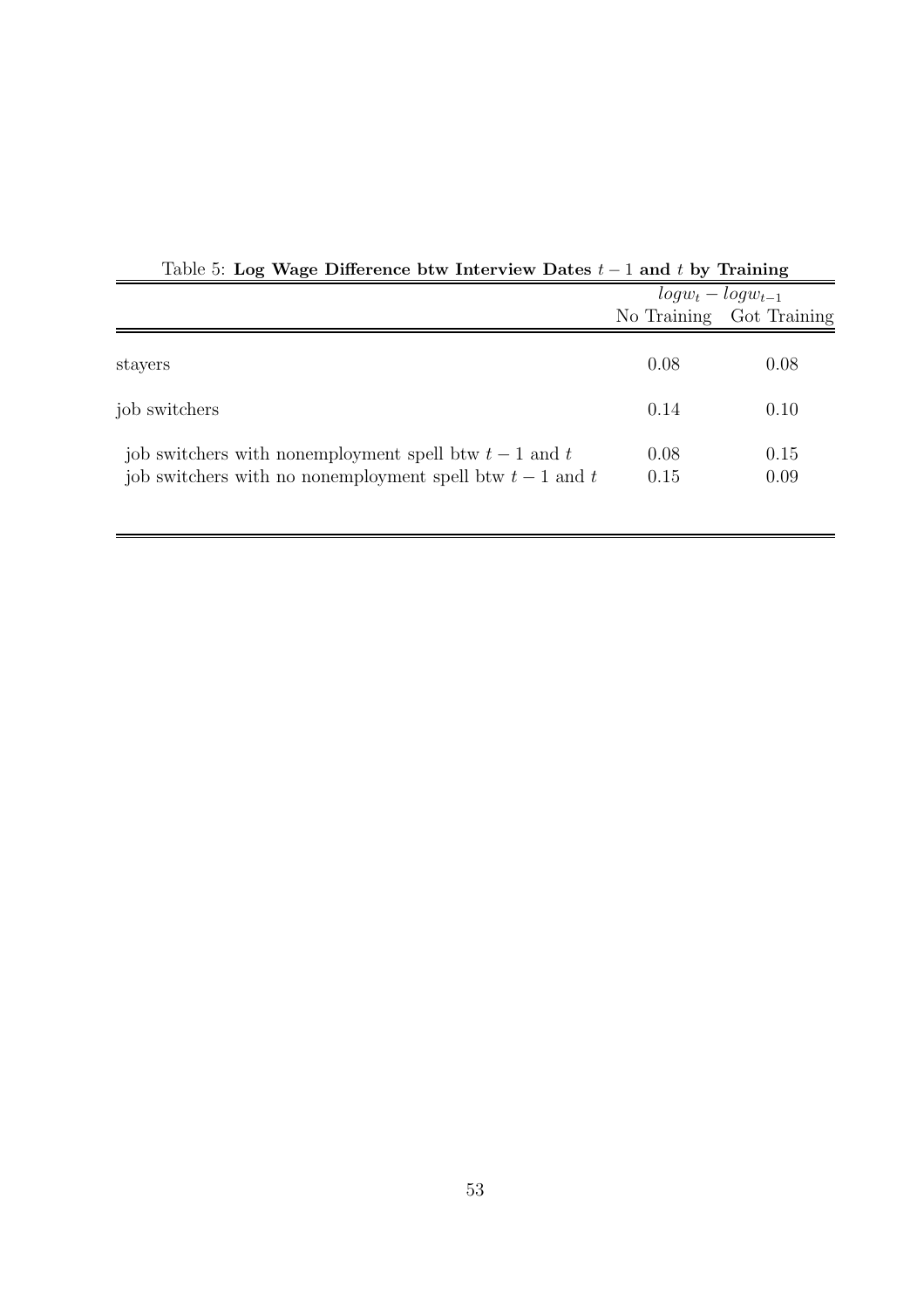|                                                                                                                         | $log w_t - log w_{t-1}$ |                          |  |
|-------------------------------------------------------------------------------------------------------------------------|-------------------------|--------------------------|--|
|                                                                                                                         |                         | No Training Got Training |  |
|                                                                                                                         |                         |                          |  |
| stayers                                                                                                                 | 0.08                    | 0.08                     |  |
| job switchers                                                                                                           | 0.14                    | 0.10                     |  |
| job switchers with nonemployment spell btw $t-1$ and $t$<br>job switchers with no nonemployment spell btw $t-1$ and $t$ | 0.08<br>0.15            | 0.15<br>0.09             |  |

Table 5: Log Wage Difference btw Interview Dates  $t-1$  and t by Training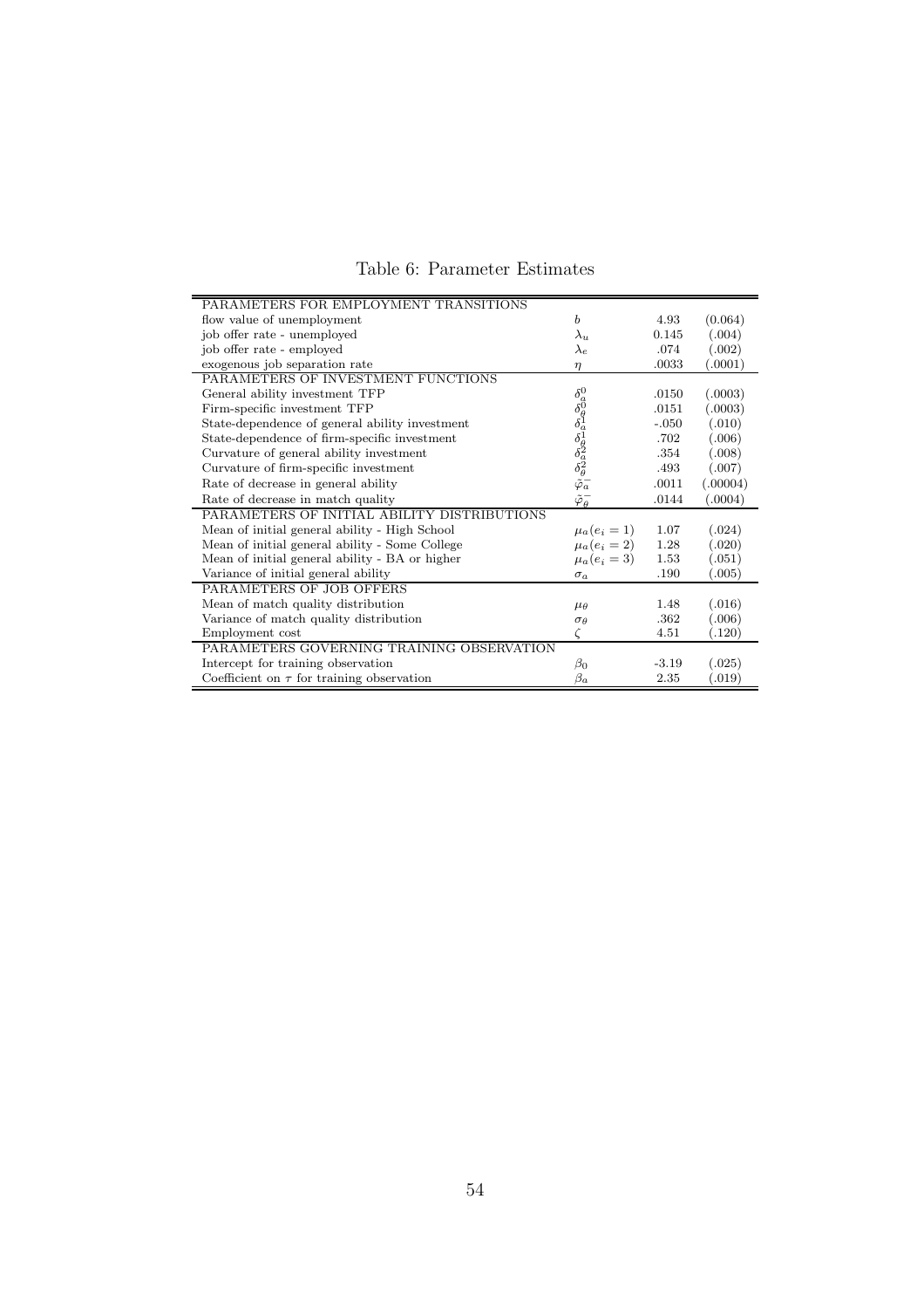| Table 6: Parameter Estimates |  |
|------------------------------|--|
|------------------------------|--|

| PARAMETERS FOR EMPLOYMENT TRANSITIONS          |                                                                                                                     |         |          |
|------------------------------------------------|---------------------------------------------------------------------------------------------------------------------|---------|----------|
| flow value of unemployment                     | $\boldsymbol{b}$                                                                                                    | 4.93    | (0.064)  |
| job offer rate - unemployed                    | $\lambda_u$                                                                                                         | 0.145   | (.004)   |
| job offer rate - employed                      | $\lambda_e$                                                                                                         | .074    | (.002)   |
| exogenous job separation rate                  | $\eta$                                                                                                              | .0033   | (.0001)  |
| PARAMETERS OF INVESTMENT FUNCTIONS             |                                                                                                                     |         |          |
| General ability investment TFP                 |                                                                                                                     | .0150   | (.0003)  |
| Firm-specific investment TFP                   |                                                                                                                     | .0151   | (.0003)  |
| State-dependence of general ability investment |                                                                                                                     | $-.050$ | (.010)   |
| State-dependence of firm-specific investment   |                                                                                                                     | .702    | (.006)   |
| Curvature of general ability investment        |                                                                                                                     | .354    | (.008)   |
| Curvature of firm-specific investment          | $\delta^0_{\delta\theta} \delta^0_{\delta\theta} \delta^1_{\delta\theta} \delta^2_{\delta\theta} \delta^2_{\theta}$ | .493    | (.007)   |
| Rate of decrease in general ability            |                                                                                                                     | .0011   | (.00004) |
| Rate of decrease in match quality              | $\tilde{\varphi}_{\theta}^-$                                                                                        | .0144   | (.0004)  |
| PARAMETERS OF INITIAL ABILITY DISTRIBUTIONS    |                                                                                                                     |         |          |
| Mean of initial general ability - High School  | $\mu_a(e_i = 1)$                                                                                                    | 1.07    | (.024)   |
| Mean of initial general ability - Some College | $\mu_a(e_i=2)$                                                                                                      | 1.28    | (.020)   |
| Mean of initial general ability - BA or higher | $\mu_a(e_i = 3)$                                                                                                    | 1.53    | (.051)   |
| Variance of initial general ability            | $\sigma_a$                                                                                                          | .190    | (.005)   |
| PARAMETERS OF JOB OFFERS                       |                                                                                                                     |         |          |
| Mean of match quality distribution             | $\mu_{\theta}$                                                                                                      | 1.48    | (.016)   |
| Variance of match quality distribution         | $\sigma_{\theta}$                                                                                                   | .362    | (.006)   |
| Employment cost                                |                                                                                                                     | 4.51    | (.120)   |
| PARAMETERS GOVERNING TRAINING OBSERVATION      |                                                                                                                     |         |          |
| Intercept for training observation             | $\beta_0$                                                                                                           | $-3.19$ | (.025)   |
| Coefficient on $\tau$ for training observation | $\beta_a$                                                                                                           | 2.35    | (0.019)  |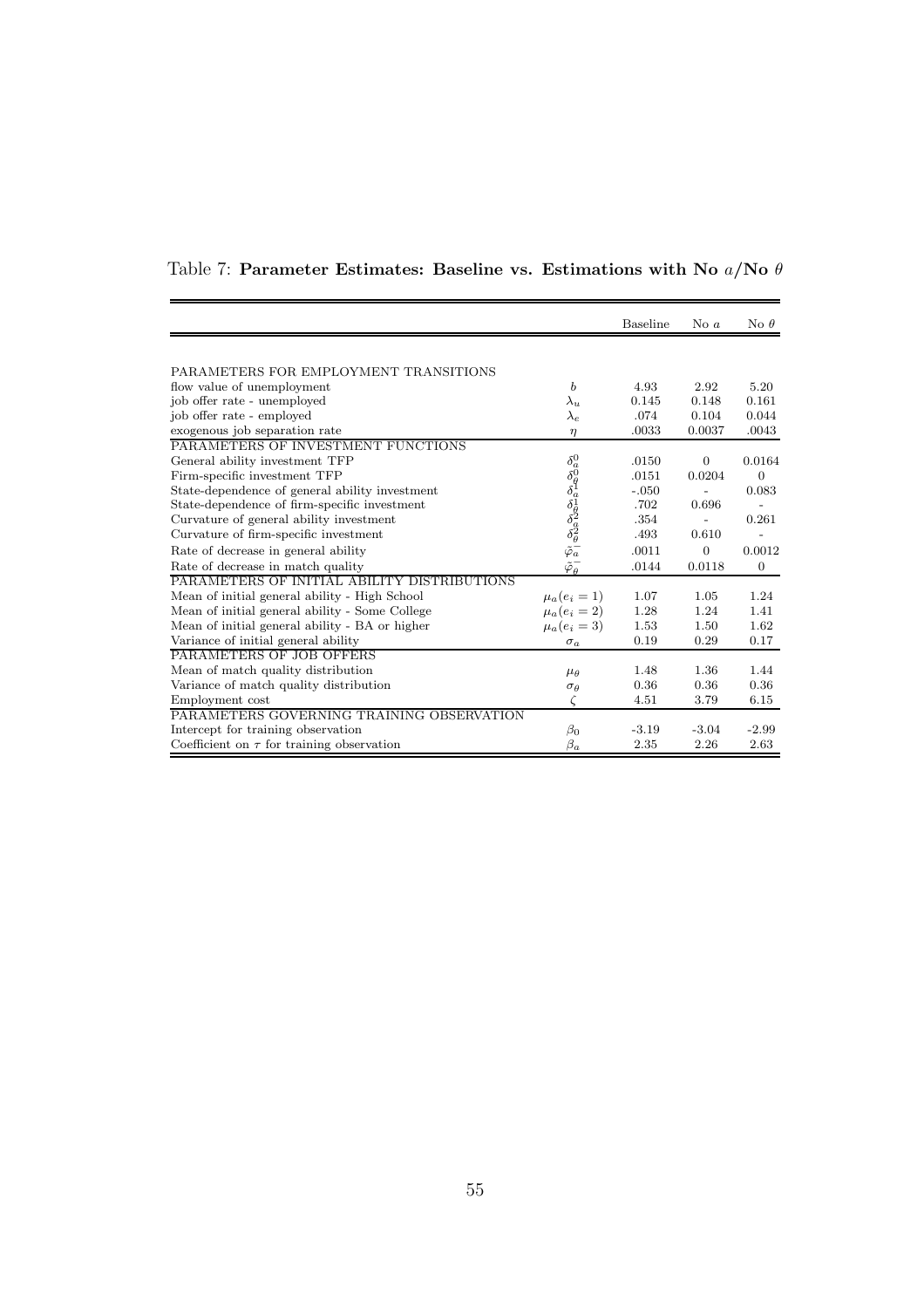|                                                |                                                                                                                                                            | Baseline | No $a$         | No $\theta$    |
|------------------------------------------------|------------------------------------------------------------------------------------------------------------------------------------------------------------|----------|----------------|----------------|
|                                                |                                                                                                                                                            |          |                |                |
| PARAMETERS FOR EMPLOYMENT TRANSITIONS          |                                                                                                                                                            |          |                |                |
| flow value of unemployment                     | b                                                                                                                                                          | 4.93     | 2.92           | 5.20           |
| job offer rate - unemployed                    | $\lambda_u$                                                                                                                                                | 0.145    | 0.148          | 0.161          |
| job offer rate - employed                      | $\lambda_e$                                                                                                                                                | .074     | 0.104          | 0.044          |
| exogenous job separation rate                  | $\eta$                                                                                                                                                     | .0033    | 0.0037         | .0043          |
| PARAMETERS OF INVESTMENT FUNCTIONS             |                                                                                                                                                            |          |                |                |
| General ability investment TFP                 |                                                                                                                                                            | .0150    | $\overline{0}$ | 0.0164         |
| Firm-specific investment TFP                   |                                                                                                                                                            | .0151    | 0.0204         | $\overline{0}$ |
| State-dependence of general ability investment |                                                                                                                                                            | $-.050$  |                | 0.083          |
| State-dependence of firm-specific investment   |                                                                                                                                                            | .702     | 0.696          |                |
| Curvature of general ability investment        |                                                                                                                                                            | .354     | $\overline{a}$ | 0.261          |
| Curvature of firm-specific investment          |                                                                                                                                                            | .493     | 0.610          |                |
| Rate of decrease in general ability            | $\delta^0_{\delta\theta}$<br>$\delta^0_{\delta\theta}$<br>$\delta^1_{\delta\theta}$<br>$\delta^2_{\theta\theta}$<br>$\tilde{\varphi}$<br>$\tilde{\varphi}$ | .0011    | $\overline{0}$ | 0.0012         |
| Rate of decrease in match quality              | $\tilde{\varphi}_{\theta}^-$                                                                                                                               | .0144    | 0.0118         | $\mathbf{0}$   |
| PARAMETERS OF INITIAL ABILITY DISTRIBUTIONS    |                                                                                                                                                            |          |                |                |
| Mean of initial general ability - High School  | $\mu_a(e_i = 1)$                                                                                                                                           | 1.07     | 1.05           | 1.24           |
| Mean of initial general ability - Some College | $\mu_a(e_i=2)$                                                                                                                                             | 1.28     | 1.24           | 1.41           |
| Mean of initial general ability - BA or higher | $\mu_a(e_i=3)$                                                                                                                                             | 1.53     | 1.50           | 1.62           |
| Variance of initial general ability            | $\sigma_a$                                                                                                                                                 | 0.19     | 0.29           | 0.17           |
| PARAMETERS OF JOB OFFERS                       |                                                                                                                                                            |          |                |                |
| Mean of match quality distribution             | $\mu_{\theta}$                                                                                                                                             | 1.48     | 1.36           | 1.44           |
| Variance of match quality distribution         | $\sigma_{\theta}$                                                                                                                                          | 0.36     | 0.36           | 0.36           |
| Employment cost                                | ζ                                                                                                                                                          | 4.51     | 3.79           | 6.15           |
| PARAMETERS GOVERNING TRAINING OBSERVATION      |                                                                                                                                                            |          |                |                |
| Intercept for training observation             | $\beta_0$                                                                                                                                                  | $-3.19$  | $-3.04$        | $-2.99$        |
| Coefficient on $\tau$ for training observation | $\beta_a$                                                                                                                                                  | 2.35     | 2.26           | 2.63           |

Table 7: Parameter Estimates: Baseline vs. Estimations with No  $a/\hbox{No}\ \theta$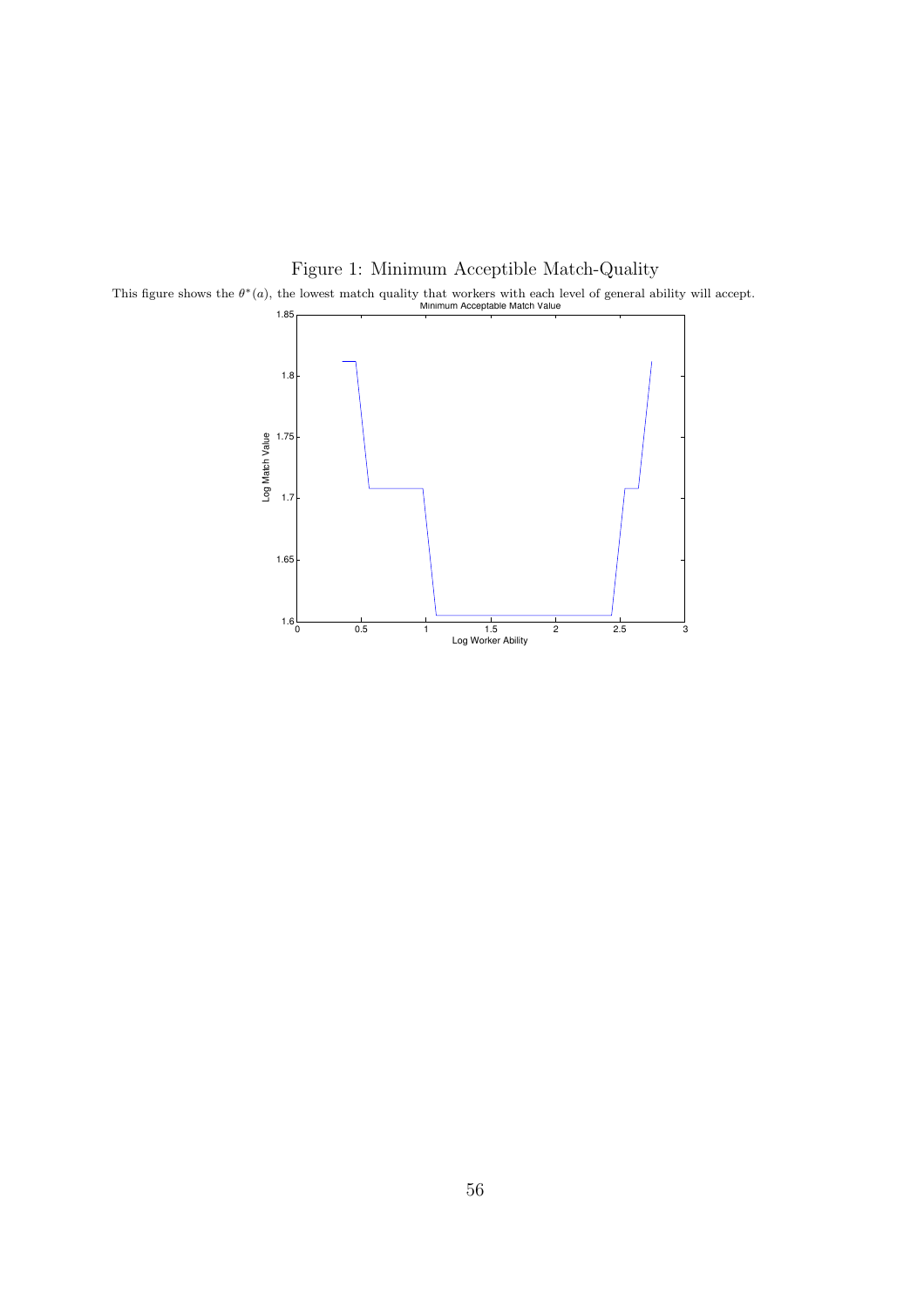

Figure 1: Minimum Acceptible Match-Quality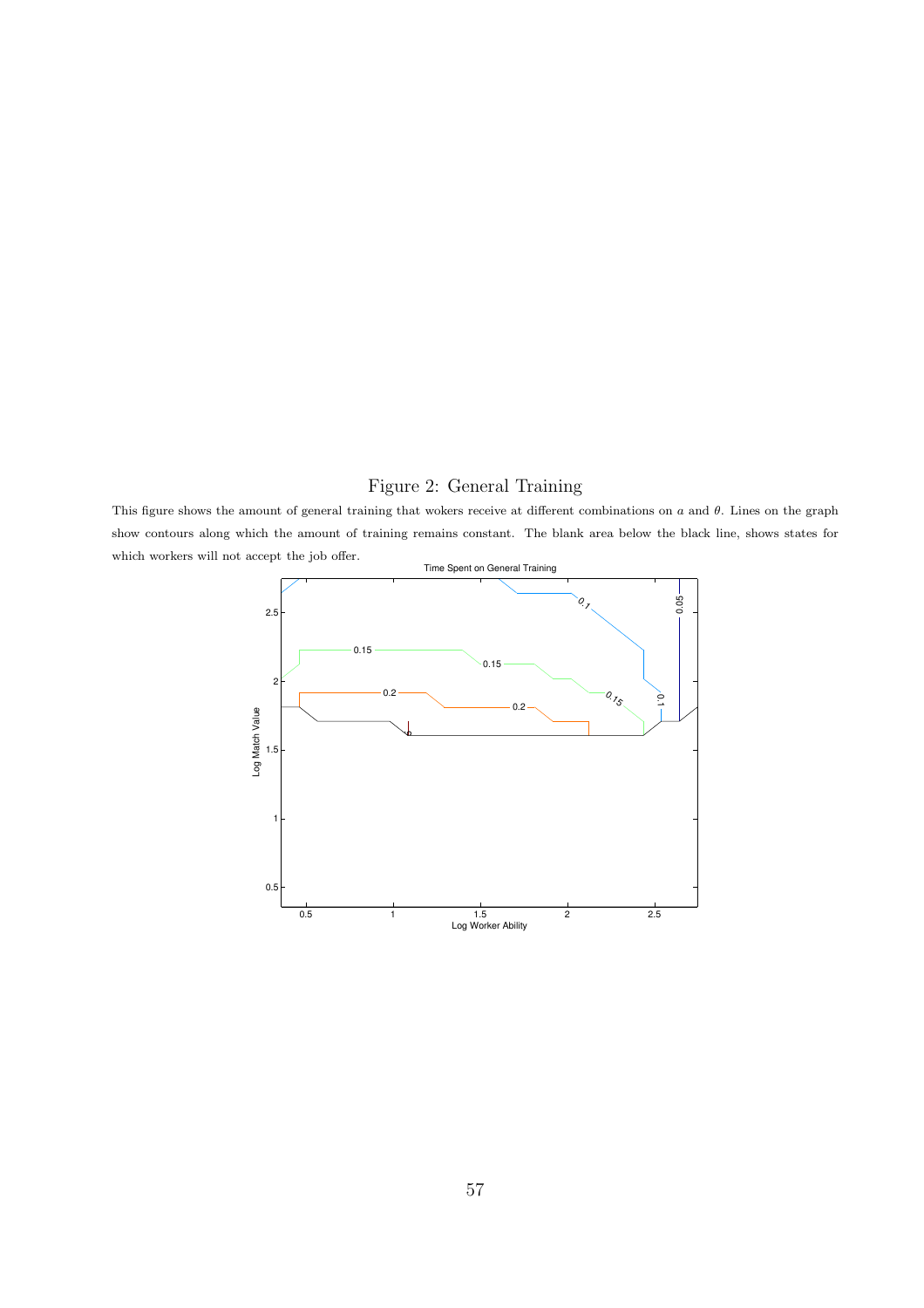## Figure 2: General Training

This figure shows the amount of general training that wokers receive at different combinations on  $a$  and  $\theta$ . Lines on the graph show contours along which the amount of training remains constant. The blank area below the black line, shows states for which workers will not accept the job offer.

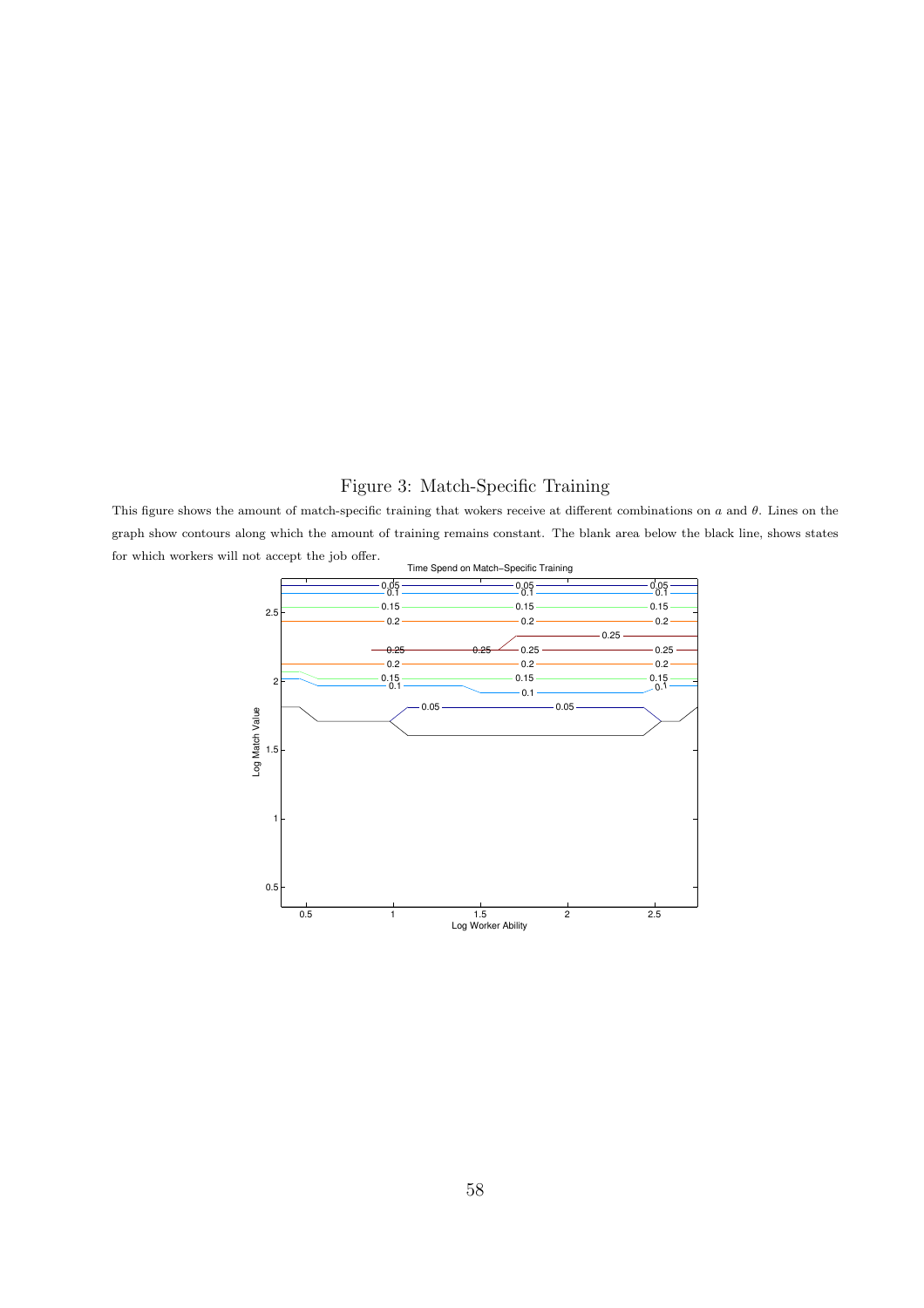## Figure 3: Match-Specific Training

This figure shows the amount of match-specific training that wokers receive at different combinations on  $a$  and  $\theta$ . Lines on the graph show contours along which the amount of training remains constant. The blank area below the black line, shows states for which workers will not accept the job offer.

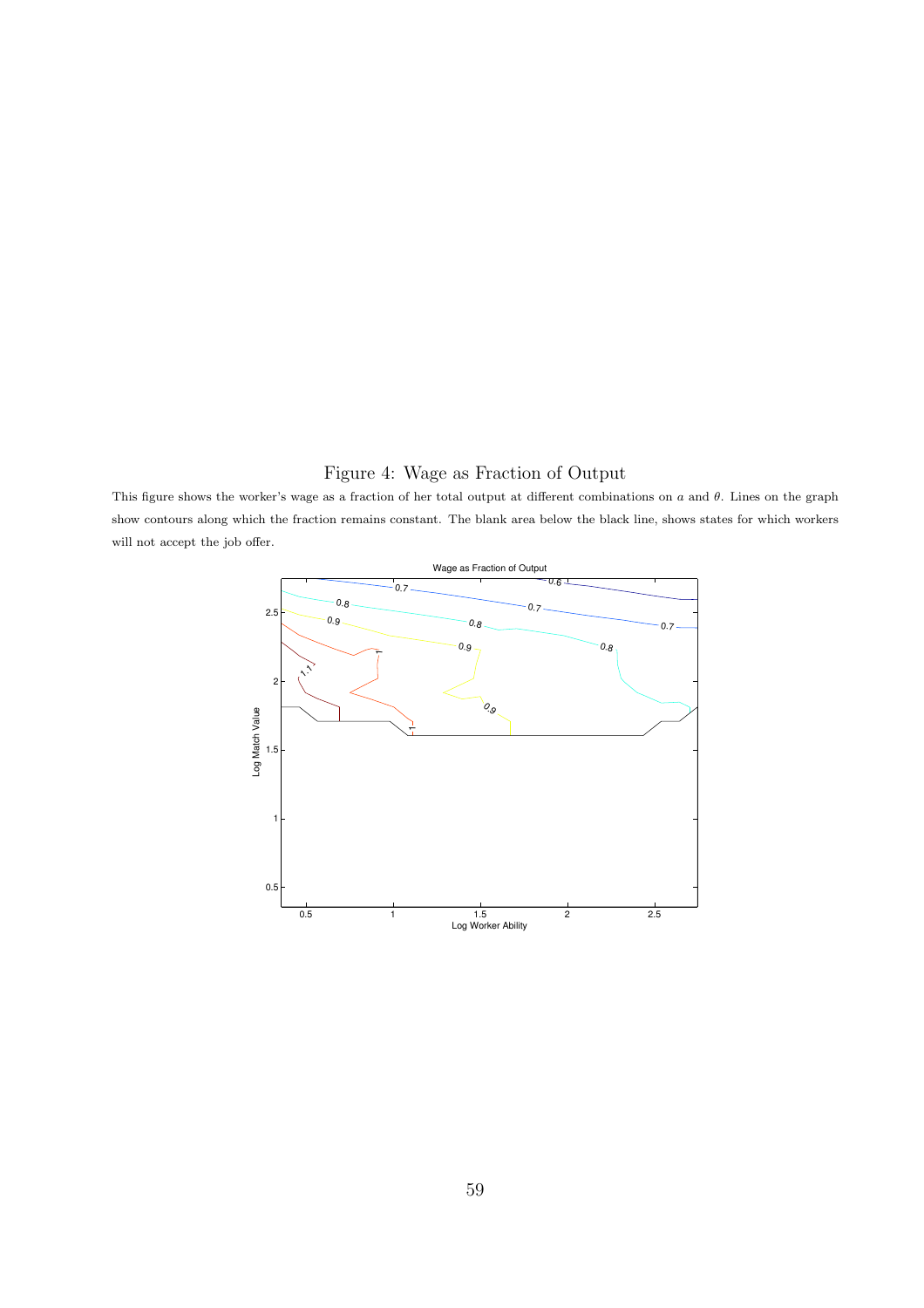## Figure 4: Wage as Fraction of Output

This figure shows the worker's wage as a fraction of her total output at different combinations on  $a$  and  $\theta$ . Lines on the graph show contours along which the fraction remains constant. The blank area below the black line, shows states for which workers will not accept the job offer.

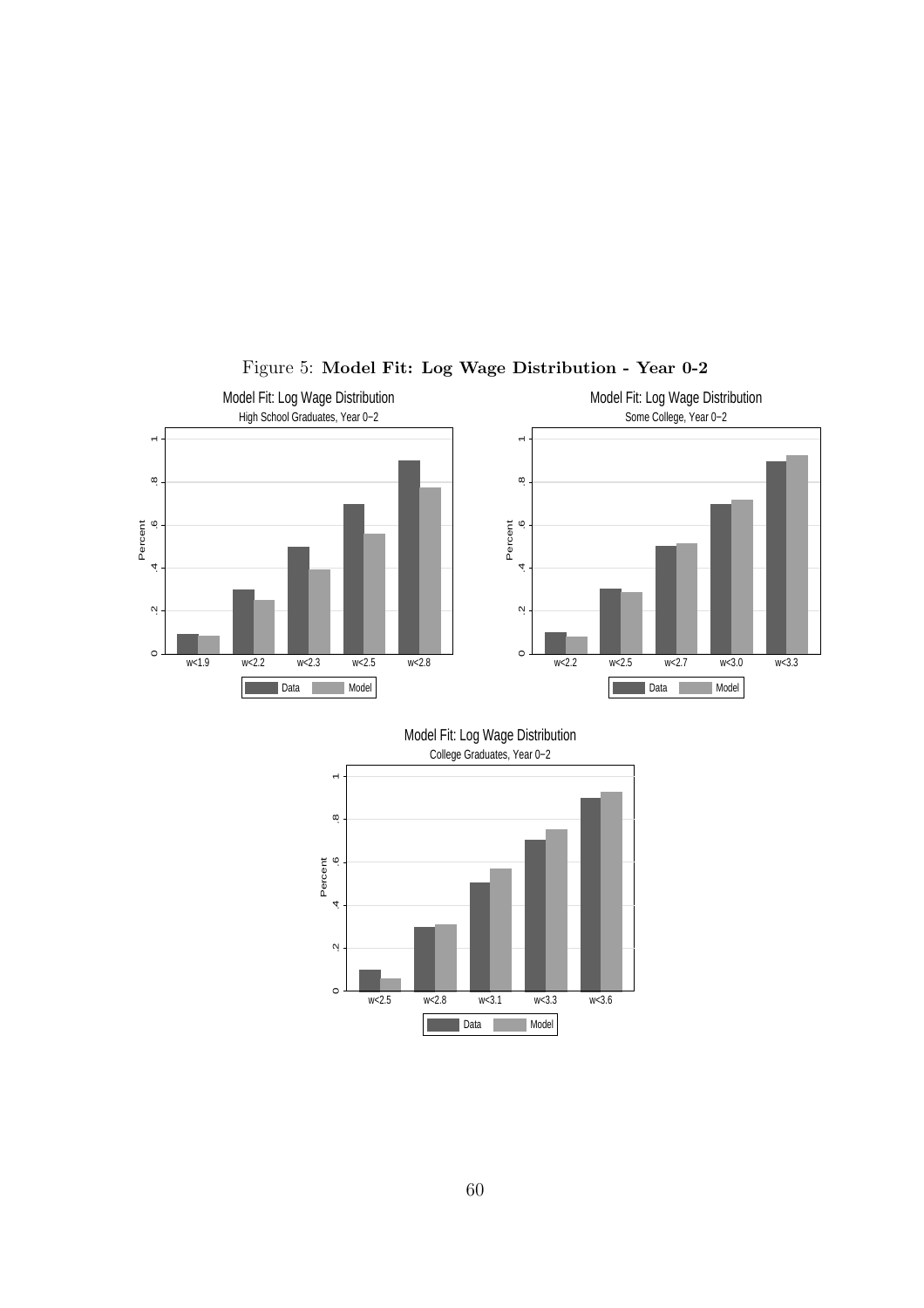

Figure 5: Model Fit: Log Wage Distribution - Year 0-2

w<2.5 w<2.8 w<3.1 w<3.3 w<3.6

**Data** Model

 $\circ$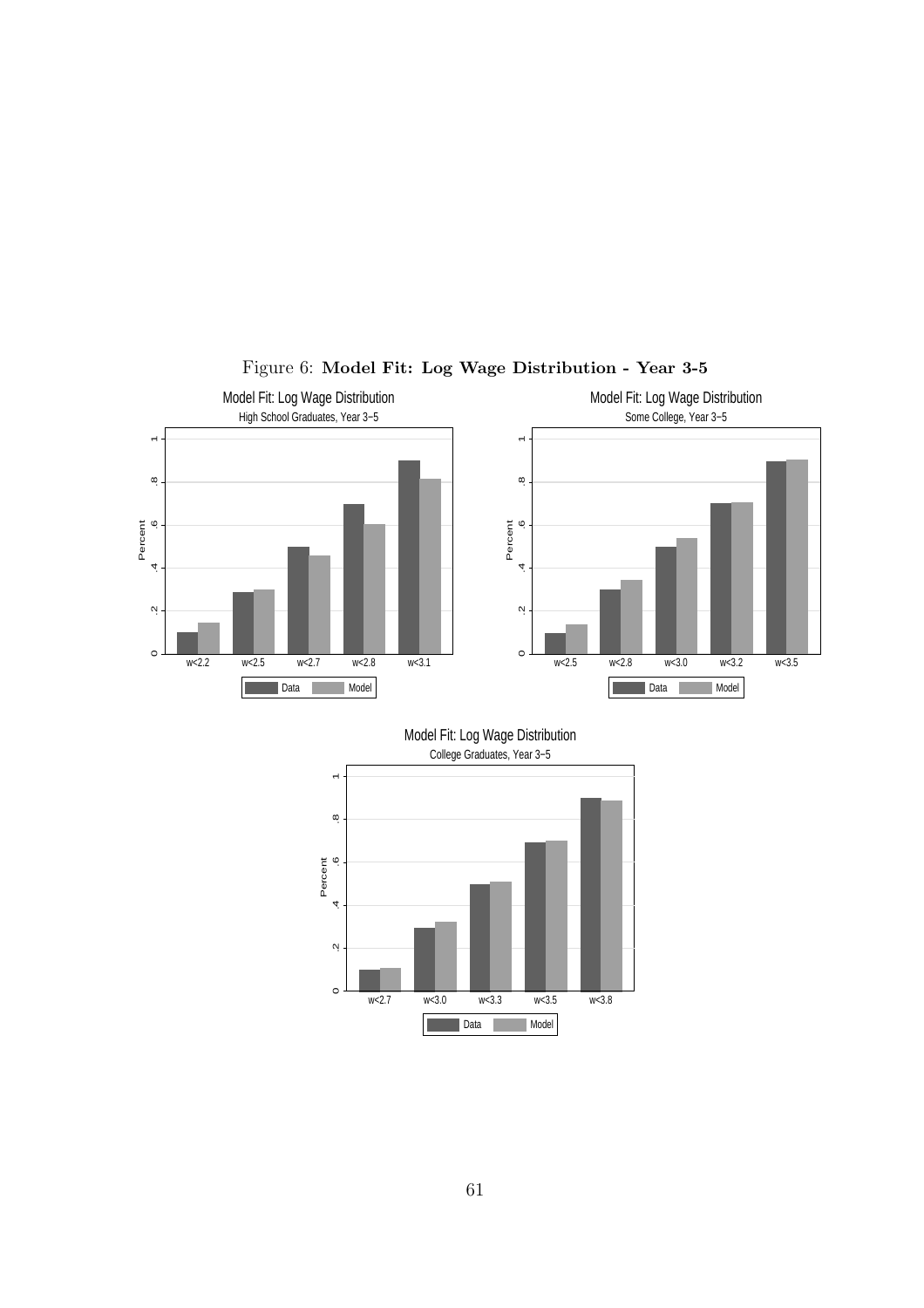

## Figure 6: Model Fit: Log Wage Distribution - Year 3-5

w<2.7 w<3.0 w<3.3 w<3.5 w<3.8

**Data** Model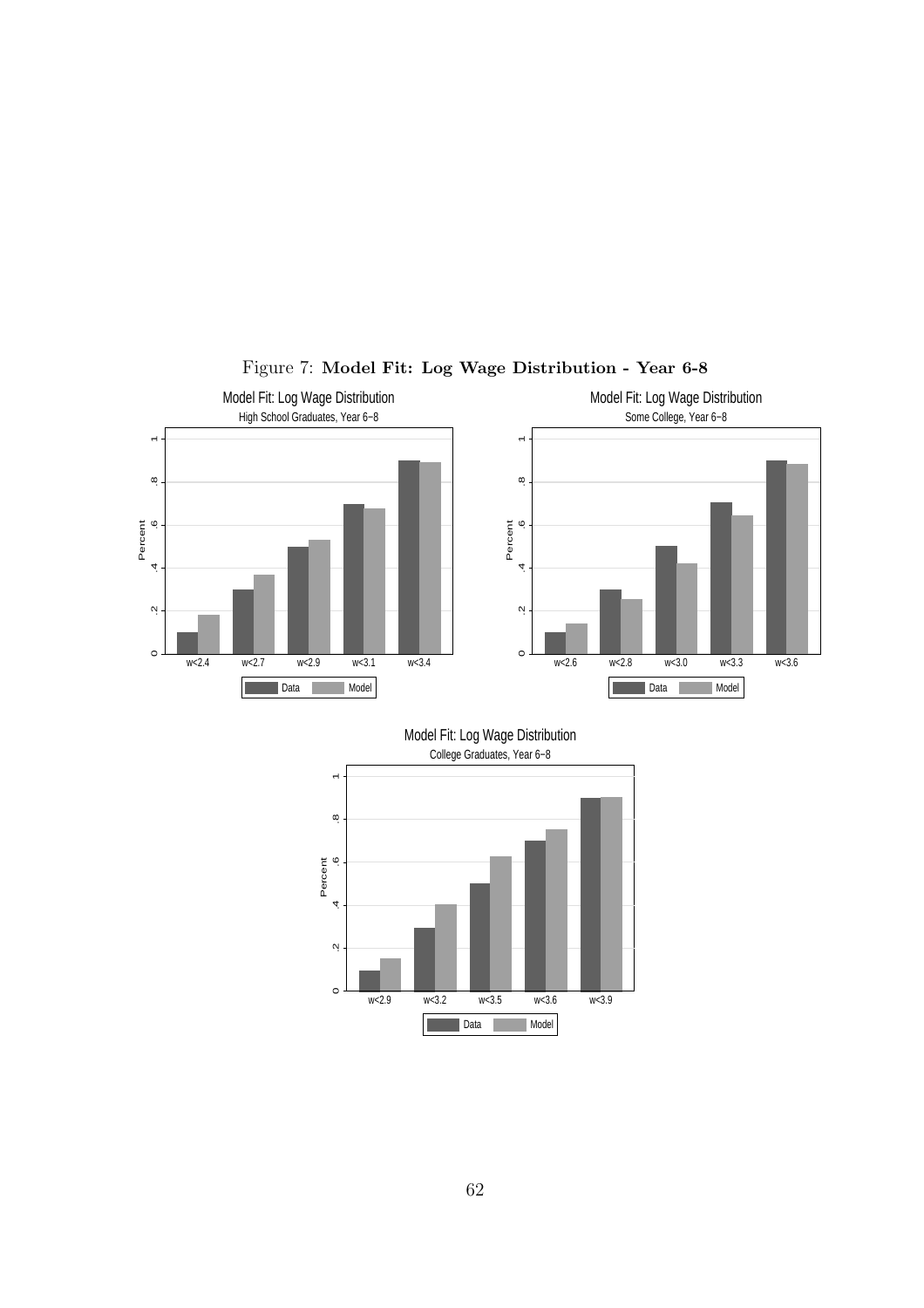

Figure 7: Model Fit: Log Wage Distribution - Year 6-8

w<2.9 w<3.2 w<3.5 w<3.6 w<3.9

**Data** Model

 $\circ$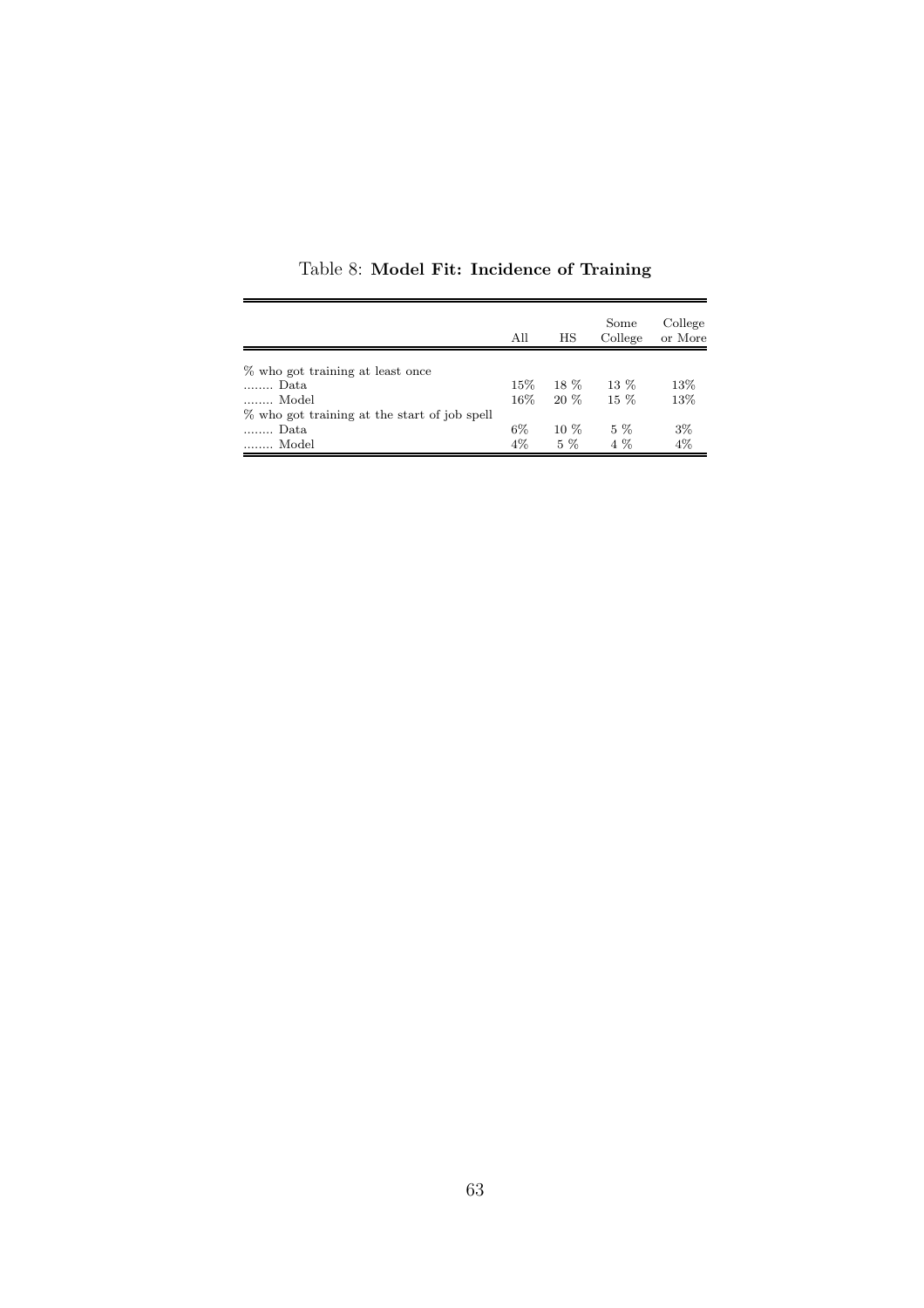|                                              | All    | HS     | Some<br>College | College<br>or More |
|----------------------------------------------|--------|--------|-----------------|--------------------|
|                                              |        |        |                 |                    |
| % who got training at least once             |        |        |                 |                    |
| Data                                         | $15\%$ | 18 %   | $13\%$          | 13%                |
| Model                                        | $16\%$ | $20\%$ | $15\%$          | 13%                |
| % who got training at the start of job spell |        |        |                 |                    |
| Data                                         | 6%     | $10\%$ | $5\%$           | 3%                 |
| Model                                        | $4\%$  | $5\%$  | $4\%$           | $4\%$              |

Table 8: Model Fit: Incidence of Training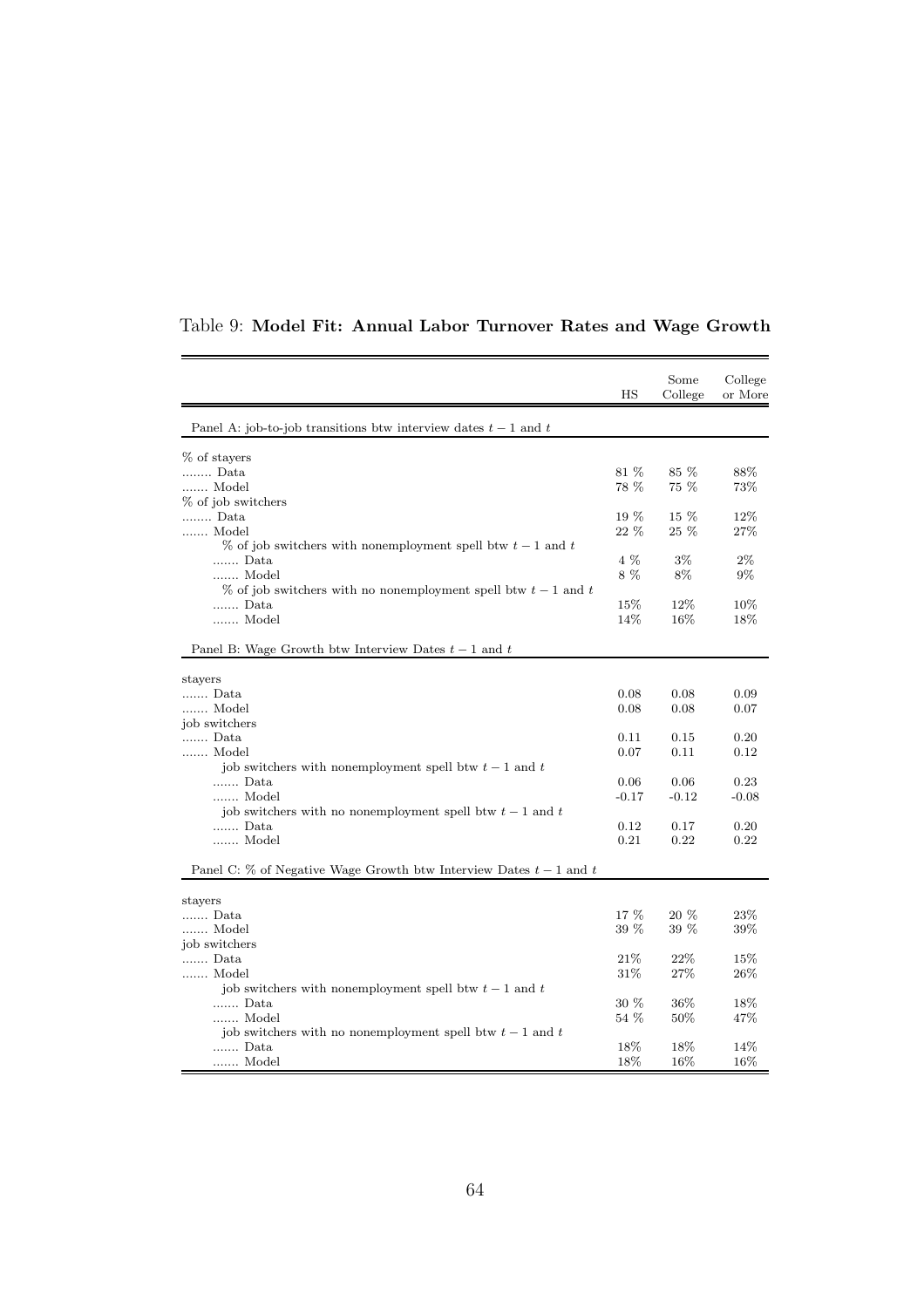|                                                                       | HS      | Some<br>College | College<br>or More |
|-----------------------------------------------------------------------|---------|-----------------|--------------------|
| Panel A: job-to-job transitions btw interview dates $t-1$ and $t$     |         |                 |                    |
| % of stayers                                                          |         |                 |                    |
| Data                                                                  | 81 %    | 85 %            | 88%                |
| Model                                                                 | 78 %    | 75 %            | 73%                |
| % of job switchers                                                    |         |                 |                    |
| Data                                                                  | $19\%$  | 15 %            | 12%                |
| Model                                                                 | 22 %    | $25 \, %$       | 27%                |
| $\%$ of job switchers with nonemployment spell btw $t-1$ and t        |         |                 |                    |
| Data                                                                  | 4 %     | $3\%$           | $2\%$              |
| Model                                                                 | 8%      | 8%              | $9\%$              |
| $\%$ of job switchers with no nonemployment spell btw $t-1$ and t     |         |                 |                    |
| Data                                                                  | $15\%$  | 12%             | 10%                |
| Model                                                                 | 14%     | 16%             | 18%                |
| Panel B: Wage Growth btw Interview Dates $t-1$ and $t$                |         |                 |                    |
| stayers                                                               |         |                 |                    |
| Data                                                                  | 0.08    | 0.08            | 0.09               |
| Model                                                                 | 0.08    | 0.08            | 0.07               |
| job switchers                                                         |         |                 |                    |
| Data                                                                  | 0.11    | 0.15            | 0.20               |
| Model                                                                 | 0.07    | 0.11            | 0.12               |
| job switchers with nonemployment spell btw $t-1$ and $t$              |         |                 |                    |
| Data                                                                  | 0.06    | 0.06            | 0.23               |
| Model                                                                 | $-0.17$ | $-0.12$         | $-0.08$            |
| job switchers with no nonemployment spell btw $t-1$ and t             |         |                 |                    |
| Data                                                                  | 0.12    | 0.17            | 0.20               |
| Model                                                                 | 0.21    | 0.22            | 0.22               |
| Panel C: $\%$ of Negative Wage Growth btw Interview Dates $t-1$ and t |         |                 |                    |
| stayers                                                               |         |                 |                    |
| Data                                                                  | 17 %    | 20 %            | 23\%               |
| Model                                                                 | 39 %    | 39 %            | 39%                |
| job switchers                                                         |         |                 |                    |
| Data                                                                  | 21%     | 22%             | $15\%$             |
| Model                                                                 | 31\%    | 27%             | 26\%               |
| job switchers with nonemployment spell btw $t-1$ and t                |         |                 |                    |
| Data                                                                  | $30\%$  | 36%             | 18%                |
| Model                                                                 | 54 %    | $50\%$          | 47\%               |
| job switchers with no nonemployment spell btw $t-1$ and $t$           |         |                 |                    |
| Data                                                                  | 18%     | 18%             | 14%                |
| Model                                                                 | 18%     | 16%             | 16%                |

## Table 9: Model Fit: Annual Labor Turnover Rates and Wage Growth

 $\overline{a}$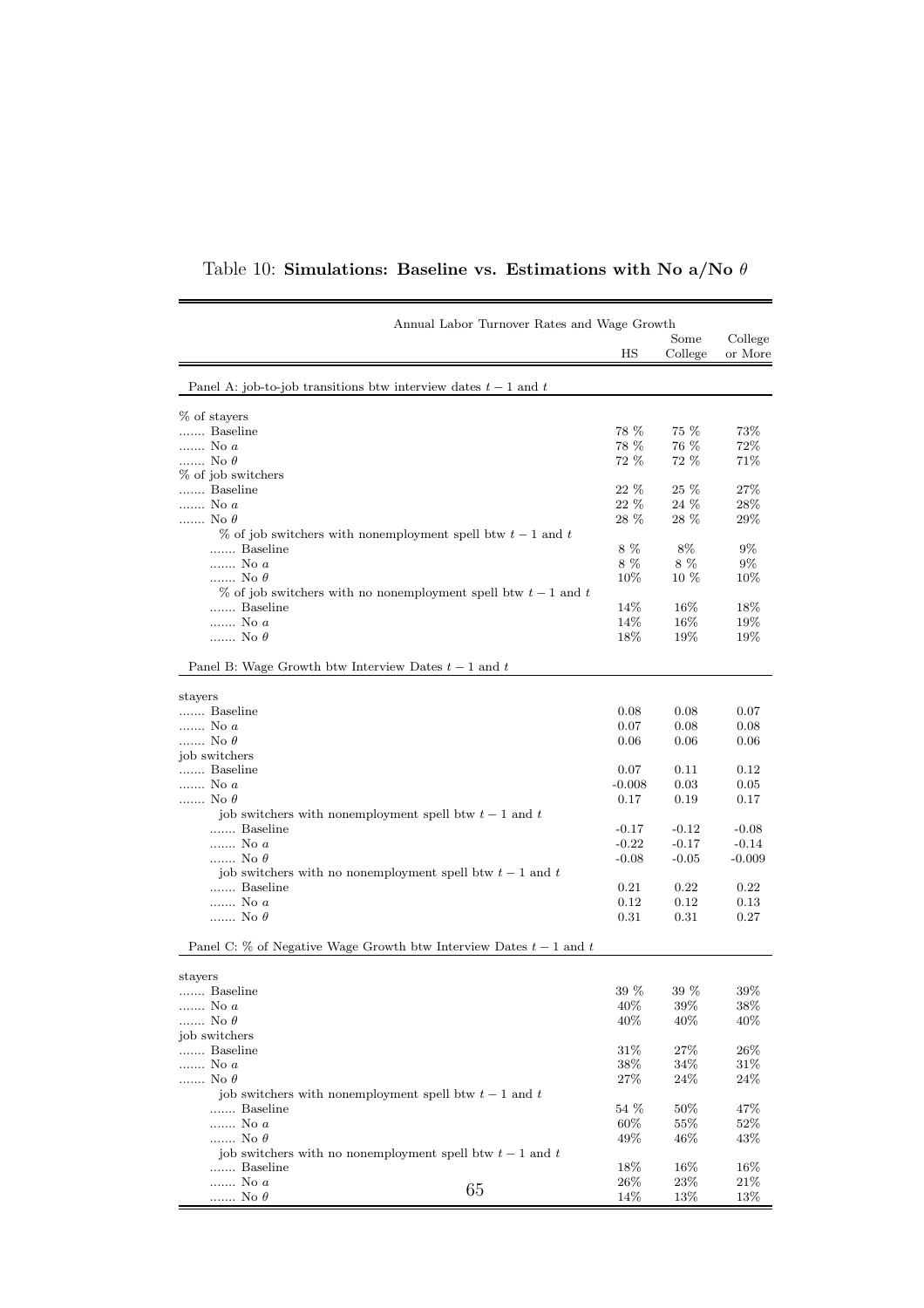|                                                                       | Annual Labor Turnover Rates and Wage Growth                       |          |                 |                    |
|-----------------------------------------------------------------------|-------------------------------------------------------------------|----------|-----------------|--------------------|
|                                                                       |                                                                   | ΗS       | Some<br>College | College<br>or More |
| Panel A: job-to-job transitions btw interview dates $t-1$ and t       |                                                                   |          |                 |                    |
| % of stayers                                                          |                                                                   |          |                 |                    |
| Baseline                                                              |                                                                   | 78 %     | 75 %            | 73%                |
| No a                                                                  |                                                                   | 78 %     | 76 %            | 72%                |
| No $\theta$                                                           |                                                                   | 72 %     | 72 %            | 71%                |
| % of job switchers                                                    |                                                                   |          |                 |                    |
| Baseline                                                              |                                                                   | $22\%$   | 25 %            | 27%                |
| $\ldots$ No a                                                         |                                                                   | 22 %     | 24 %            | 28%                |
| No $\theta$                                                           |                                                                   | 28 %     | 28 %            | $29\%$             |
| $\%$ of job switchers with nonemployment spell btw $t-1$ and t        |                                                                   |          |                 |                    |
| Baseline                                                              |                                                                   | 8%       | 8%              | $9\%$              |
| No a                                                                  |                                                                   | 8%       | 8%              | $9\%$              |
| No $\theta$                                                           |                                                                   | 10%      | 10 %            | $10\%$             |
|                                                                       | $\%$ of job switchers with no nonemployment spell btw $t-1$ and t |          |                 |                    |
| Baseline                                                              |                                                                   | 14%      | $16\%$          | 18%                |
| $$ No $\boldsymbol{a}$                                                |                                                                   | 14%      | 16%             | 19%                |
| No $\theta$                                                           |                                                                   | 18%      | 19%             | $19\%$             |
| Panel B: Wage Growth btw Interview Dates $t-1$ and $t$                |                                                                   |          |                 |                    |
| stayers                                                               |                                                                   |          |                 |                    |
| Baseline                                                              |                                                                   | 0.08     | 0.08            | 0.07               |
| No a                                                                  |                                                                   | 0.07     | 0.08            | 0.08               |
| No $\theta$                                                           |                                                                   | 0.06     | 0.06            | 0.06               |
| job switchers                                                         |                                                                   |          |                 |                    |
| Baseline                                                              |                                                                   | 0.07     | 0.11            | 0.12               |
| No a                                                                  |                                                                   | $-0.008$ | 0.03            | 0.05               |
| No $\theta$                                                           |                                                                   | 0.17     | 0.19            | 0.17               |
| job switchers with nonemployment spell btw $t-1$ and $t$              |                                                                   |          |                 |                    |
| Baseline                                                              |                                                                   | $-0.17$  | $-0.12$         | $-0.08$            |
| No a                                                                  |                                                                   | $-0.22$  | $-0.17$         | $-0.14$            |
|                                                                       |                                                                   |          |                 |                    |
| No $\theta$                                                           |                                                                   | $-0.08$  | $-0.05$         | $-0.009$           |
| job switchers with no nonemployment spell btw $t-1$ and $t$           |                                                                   |          |                 |                    |
| Baseline                                                              |                                                                   | 0.21     | 0.22            | 0.22               |
| No a                                                                  |                                                                   | 0.12     | 0.12            | 0.13               |
| No $\theta$                                                           |                                                                   | 0.31     | 0.31            | 0.27               |
| Panel C: $\%$ of Negative Wage Growth btw Interview Dates $t-1$ and t |                                                                   |          |                 |                    |
| stayers                                                               |                                                                   |          |                 |                    |
| Baseline                                                              |                                                                   | 39 %     | 39 %            | 39%                |
| No a                                                                  |                                                                   | $40\%$   | $39\%$          | $38\%$             |
| No $\theta$                                                           |                                                                   | 40\%     | 40%             | 40\%               |
| job switchers                                                         |                                                                   |          |                 |                    |
| Baseline                                                              |                                                                   | 31\%     | 27\%            | $26\%$             |
| $\ldots$ No a                                                         |                                                                   | 38\%     | 34\%            | 31\%               |
| No $\theta$                                                           |                                                                   | $27\%$   | $24\%$          | 24\%               |
| job switchers with nonemployment spell btw $t-1$ and $t$              |                                                                   |          |                 |                    |
| Baseline                                                              |                                                                   | 54 %     | $50\%$          | 47%                |
| $$ No $\boldsymbol{a}$                                                |                                                                   | 60%      | 55%             | 52\%               |
| No $\theta$                                                           |                                                                   | 49%      | $46\%$          | 43\%               |
| job switchers with no nonemployment spell btw $t-1$ and t             |                                                                   |          |                 |                    |
|                                                                       |                                                                   |          |                 |                    |
| Baseline                                                              |                                                                   | 18\%     | 16\%            | 16%                |
| No a                                                                  | 65                                                                | 26\%     | 23\%            | 21\%               |
| No $\theta$                                                           |                                                                   | 14%      | 13%             | 13%                |

Table 10: Simulations: Baseline vs. Estimations with No a/No  $\theta$ 

 $\overline{\phantom{0}}$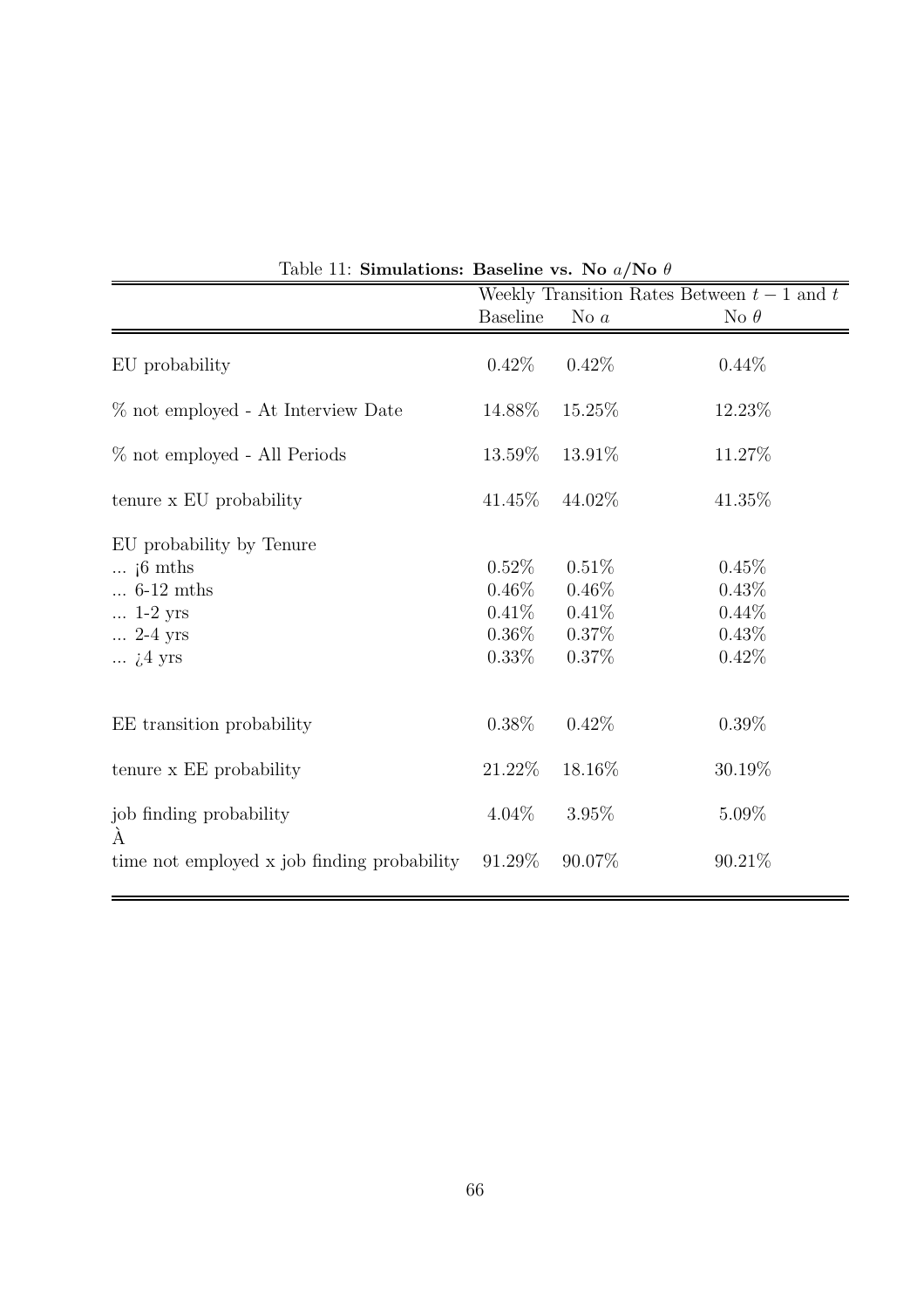|                                                                                                                                 | Weekly Transition Rates Between $t-1$ and $t$            |                                                 |                                              |  |  |  |
|---------------------------------------------------------------------------------------------------------------------------------|----------------------------------------------------------|-------------------------------------------------|----------------------------------------------|--|--|--|
|                                                                                                                                 | <b>Baseline</b>                                          | No $a$                                          | No $\theta$                                  |  |  |  |
| EU probability                                                                                                                  | $0.42\%$                                                 | 0.42%                                           | $0.44\%$                                     |  |  |  |
| % not employed - At Interview Date                                                                                              | 14.88%                                                   | 15.25%                                          | 12.23\%                                      |  |  |  |
| % not employed - All Periods                                                                                                    | 13.59%                                                   | 13.91%                                          | 11.27%                                       |  |  |  |
| tenure x EU probability                                                                                                         | 41.45\%                                                  | 44.02%                                          | 41.35%                                       |  |  |  |
| EU probability by Tenure<br>$\ldots$ if mths<br>$\ldots$ 6-12 mths<br>$\ldots$ 1-2 yrs<br>$\ldots$ 2-4 yrs<br>$\ldots$ $i4$ yrs | $0.52\%$<br>$0.46\%$<br>$0.41\%$<br>$0.36\%$<br>$0.33\%$ | 0.51%<br>$0.46\%$<br>0.41%<br>$0.37\%$<br>0.37% | 0.45%<br>0.43%<br>$0.44\%$<br>0.43%<br>0.42% |  |  |  |
| EE transition probability                                                                                                       | $0.38\%$                                                 | 0.42%                                           | $0.39\%$                                     |  |  |  |
| tenure x EE probability                                                                                                         | 21.22%                                                   | 18.16%                                          | 30.19%                                       |  |  |  |
| job finding probability<br>A                                                                                                    | $4.04\%$                                                 | 3.95%                                           | $5.09\%$                                     |  |  |  |
| time not employed x job finding probability                                                                                     | 91.29%                                                   | 90.07%                                          | 90.21\%                                      |  |  |  |

Table 11: Simulations: Baseline vs. No  $a/N$ o  $\theta$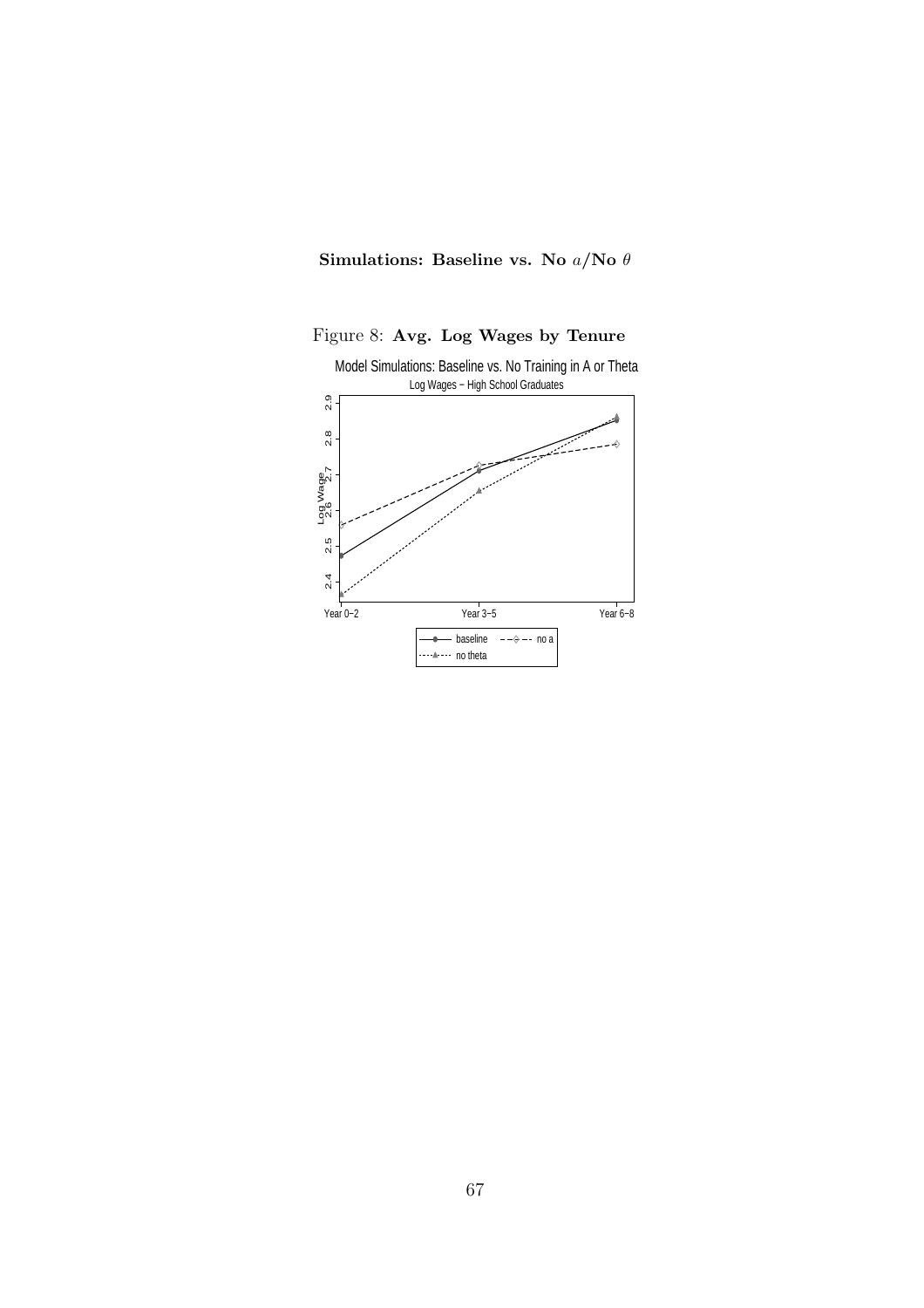

Figure 8: Avg. Log Wages by Tenure

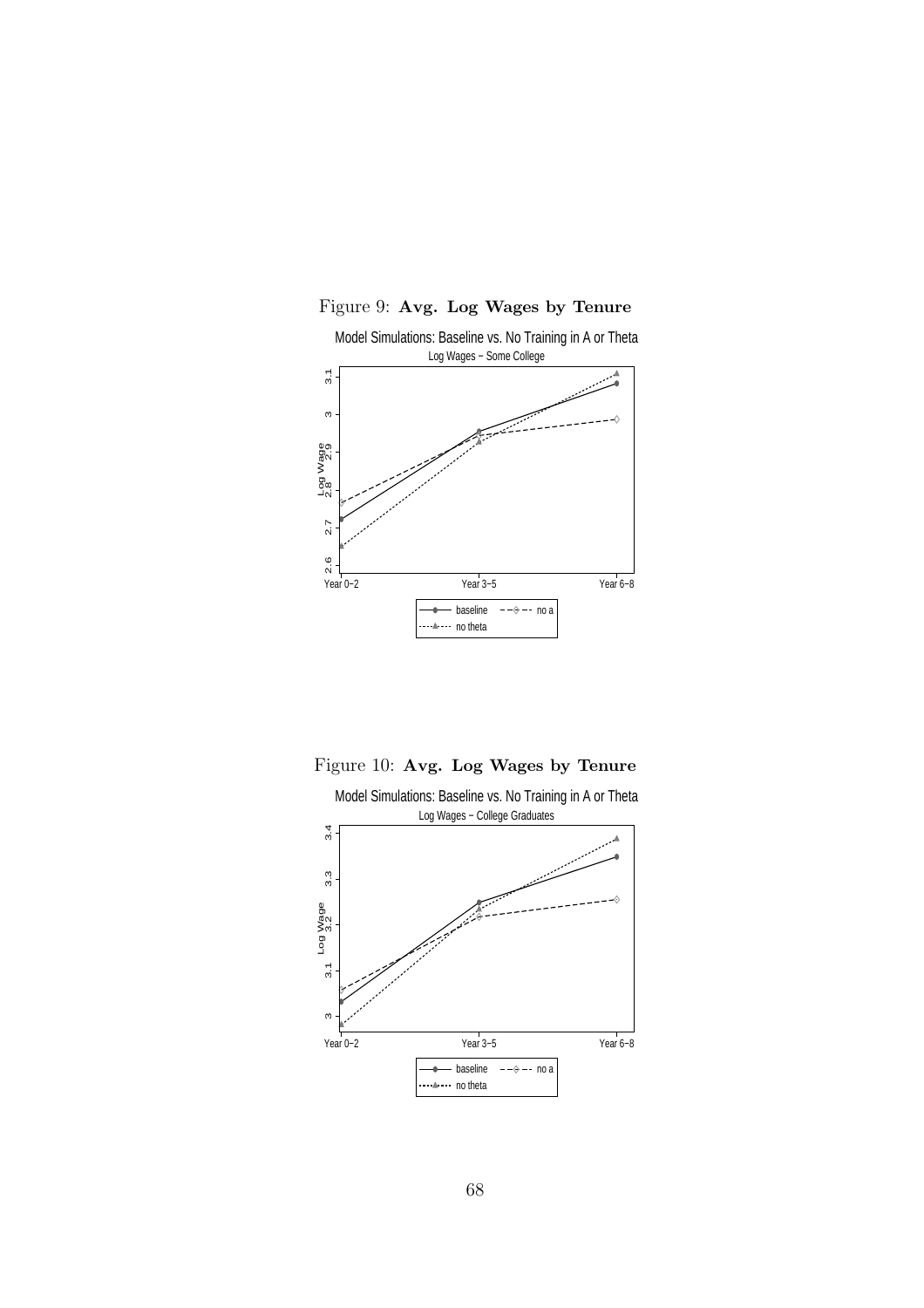

Figure 9: Avg. Log Wages by Tenure

Figure 10: Avg. Log Wages by Tenure

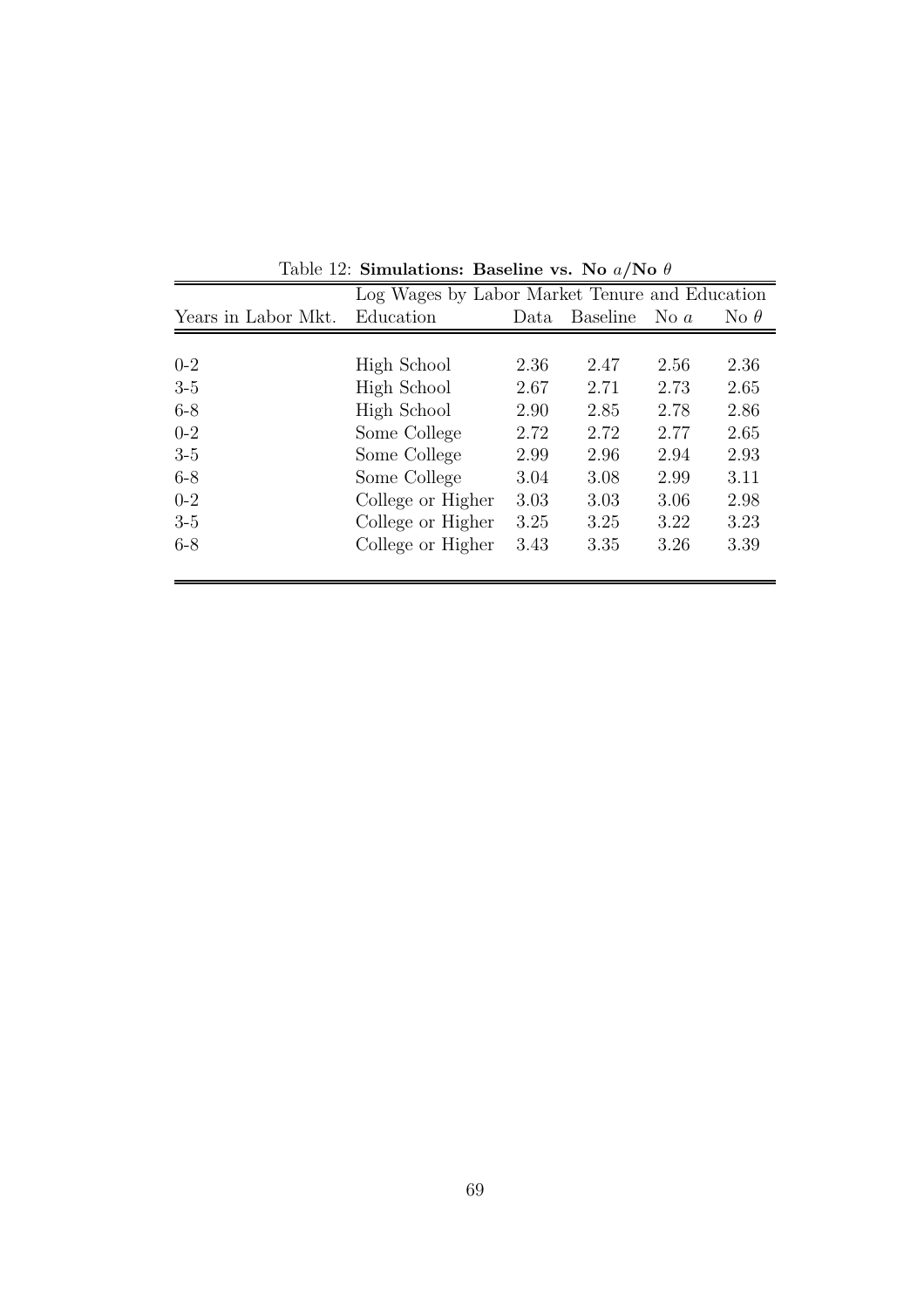|                     | Log Wages by Labor Market Tenure and Education |      |                 |             |             |  |  |
|---------------------|------------------------------------------------|------|-----------------|-------------|-------------|--|--|
| Years in Labor Mkt. | Education                                      | Data | <b>Baseline</b> | No $\alpha$ | No $\theta$ |  |  |
|                     |                                                |      |                 |             |             |  |  |
| $0 - 2$             | High School                                    | 2.36 | 2.47            | 2.56        | 2.36        |  |  |
| $3-5$               | High School                                    | 2.67 | 2.71            | 2.73        | 2.65        |  |  |
| $6 - 8$             | High School                                    | 2.90 | 2.85            | 2.78        | 2.86        |  |  |
| $0 - 2$             | Some College                                   | 2.72 | 2.72            | 2.77        | 2.65        |  |  |
| $3-5$               | Some College                                   | 2.99 | 2.96            | 2.94        | 2.93        |  |  |
| $6 - 8$             | Some College                                   | 3.04 | 3.08            | 2.99        | 3.11        |  |  |
| $0-2$               | College or Higher                              | 3.03 | 3.03            | 3.06        | 2.98        |  |  |
| $3-5$               | College or Higher                              | 3.25 | 3.25            | 3.22        | 3.23        |  |  |
| $6 - 8$             | College or Higher                              | 3.43 | 3.35            | 3.26        | 3.39        |  |  |
|                     |                                                |      |                 |             |             |  |  |

Table 12: Simulations: Baseline vs. No  $a/N$ o  $\theta$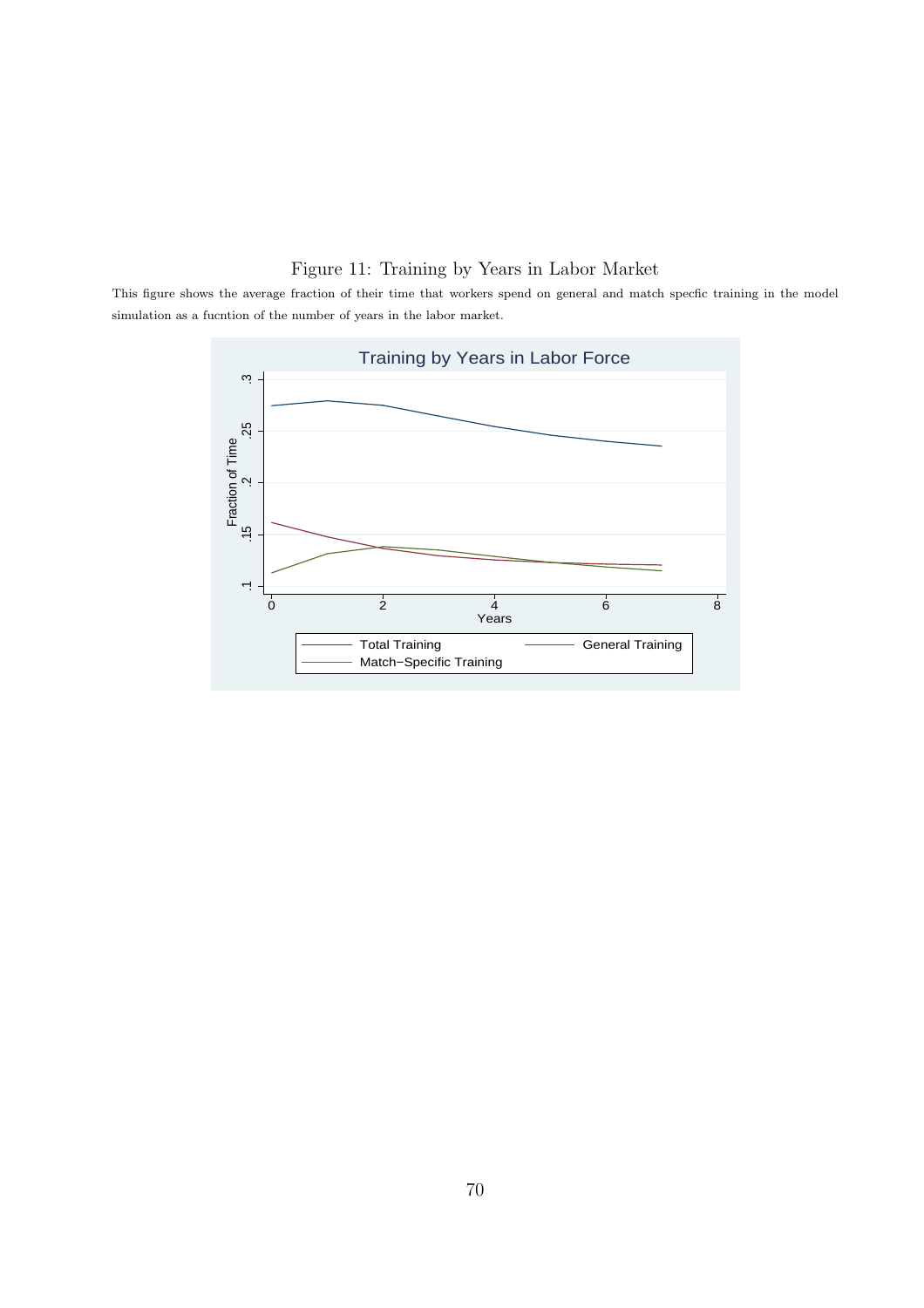## Figure 11: Training by Years in Labor Market

This figure shows the average fraction of their time that workers spend on general and match specfic training in the model simulation as a fucntion of the number of years in the labor market.

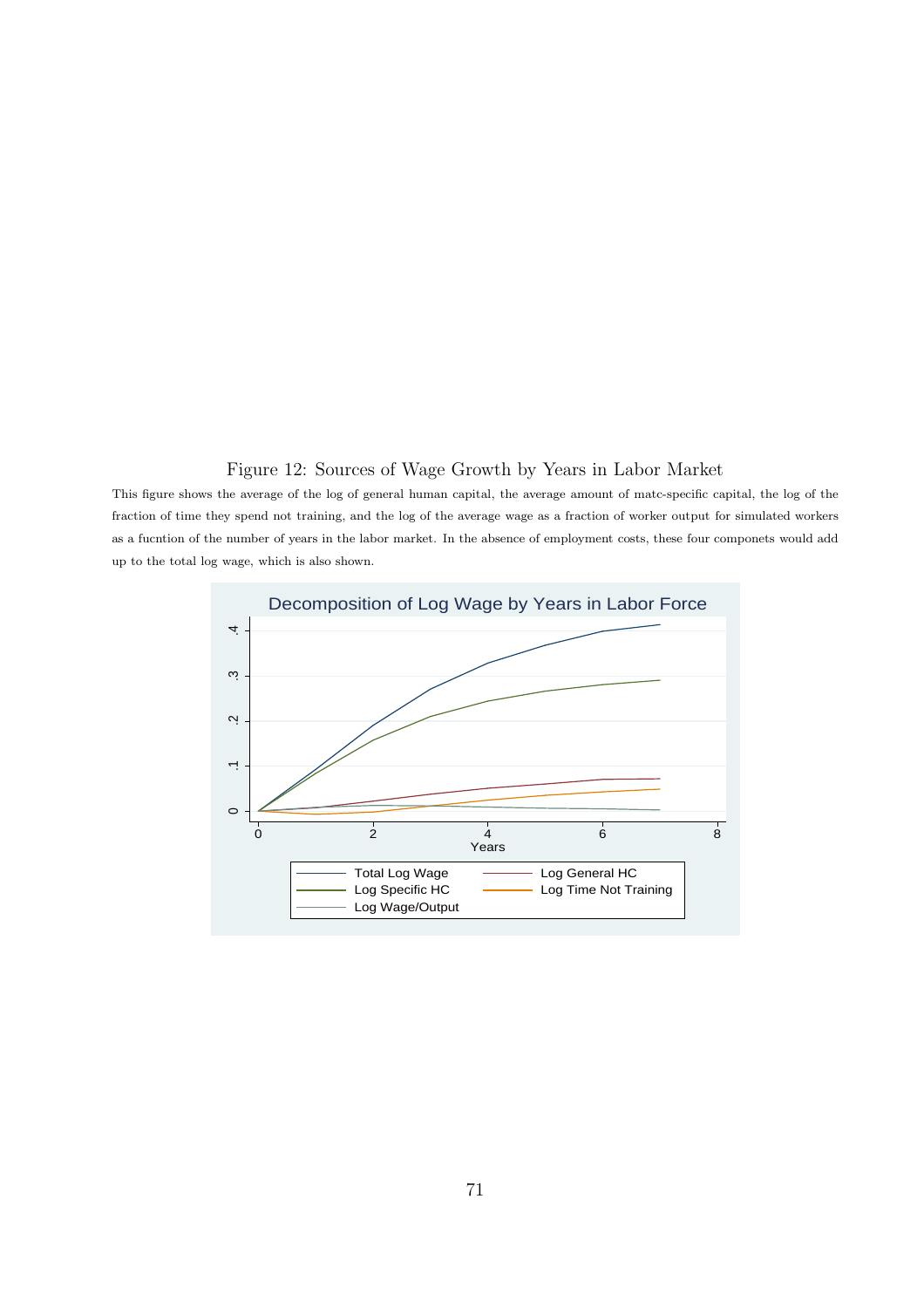#### <span id="page-70-0"></span>Figure 12: Sources of Wage Growth by Years in Labor Market

This figure shows the average of the log of general human capital, the average amount of matc-specific capital, the log of the fraction of time they spend not training, and the log of the average wage as a fraction of worker output for simulated workers as a fucntion of the number of years in the labor market. In the absence of employment costs, these four componets would add up to the total log wage, which is also shown.

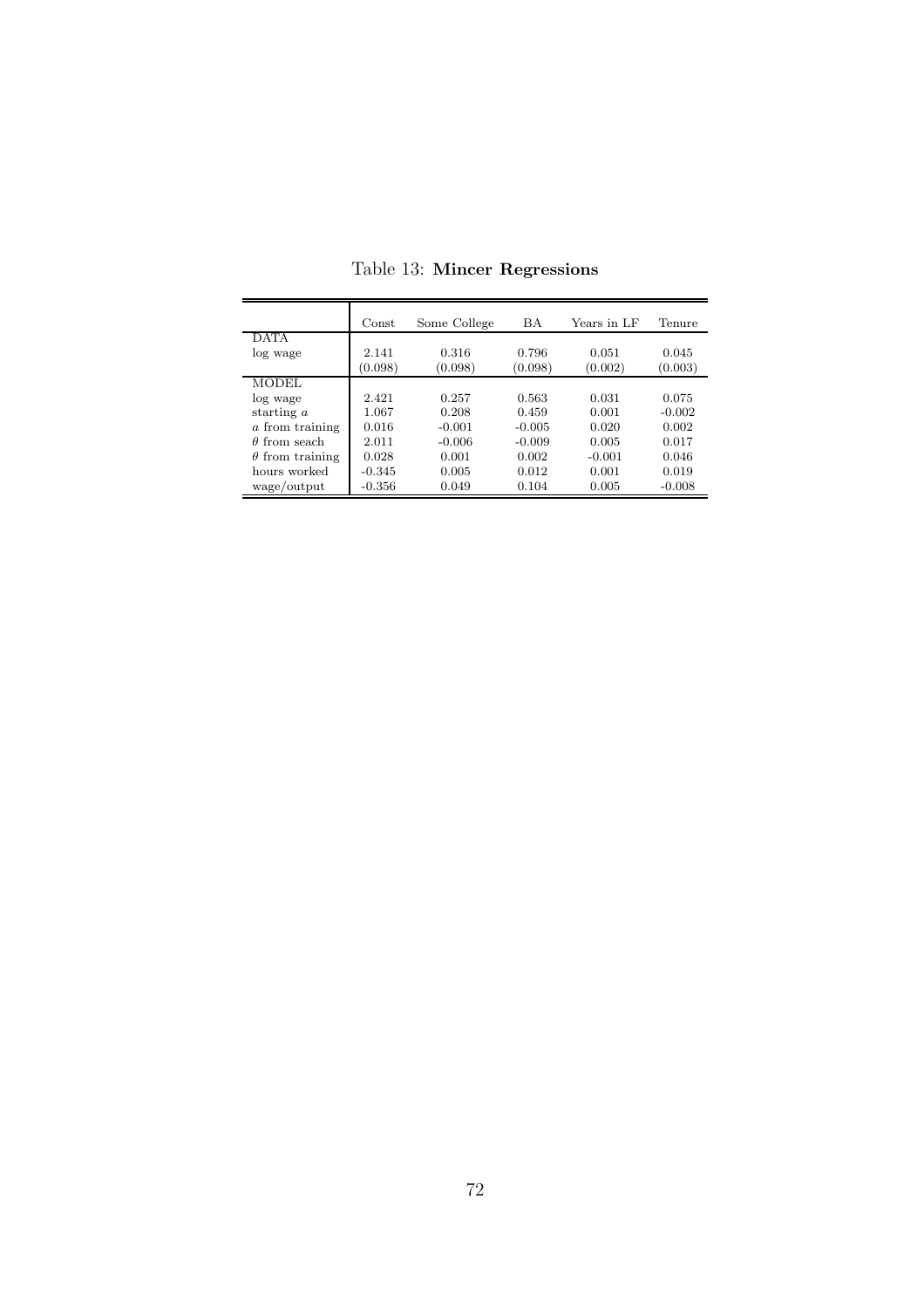|                        | Const    | Some College | <b>BA</b> | Years in LF | Tenure   |
|------------------------|----------|--------------|-----------|-------------|----------|
| <b>DATA</b>            |          |              |           |             |          |
| log wage               | 2.141    | 0.316        | 0.796     | 0.051       | 0.045    |
|                        | (0.098)  | (0.098)      | (0.098)   | (0.002)     | (0.003)  |
| <b>MODEL</b>           |          |              |           |             |          |
| log wage               | 2.421    | 0.257        | 0.563     | 0.031       | 0.075    |
| starting $a$           | 1.067    | 0.208        | 0.459     | 0.001       | $-0.002$ |
| a from training        | 0.016    | $-0.001$     | $-0.005$  | 0.020       | 0.002    |
| $\theta$ from seach    | 2.011    | $-0.006$     | $-0.009$  | 0.005       | 0.017    |
| $\theta$ from training | 0.028    | 0.001        | 0.002     | $-0.001$    | 0.046    |
| hours worked           | $-0.345$ | 0.005        | 0.012     | 0.001       | 0.019    |
| wage/output            | $-0.356$ | 0.049        | 0.104     | 0.005       | $-0.008$ |

<span id="page-71-0"></span>Table 13: Mincer Regressions

 $\overline{a}$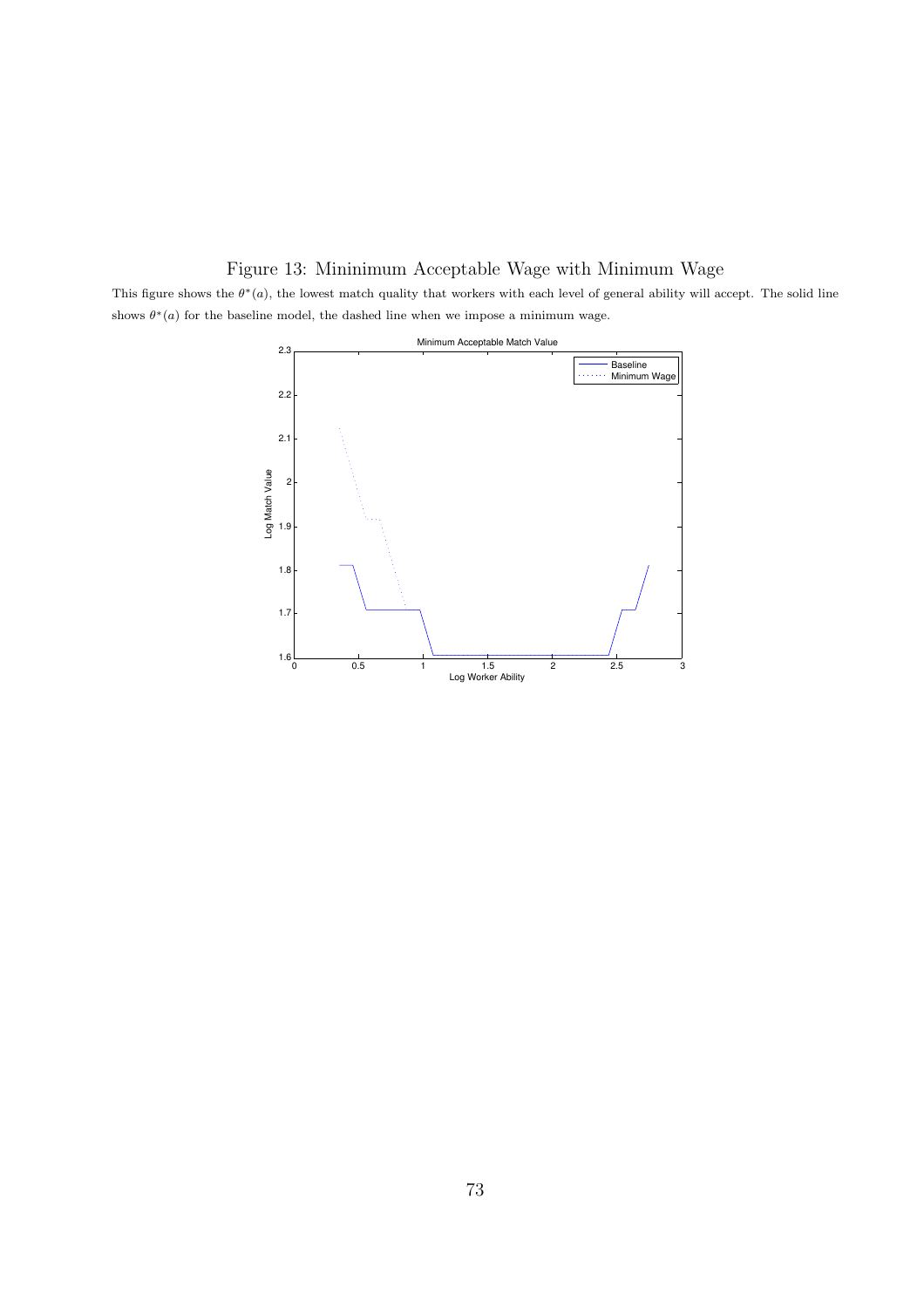## Figure 13: Mininimum Acceptable Wage with Minimum Wage

This figure shows the  $\theta^*(a)$ , the lowest match quality that workers with each level of general ability will accept. The solid line shows  $\theta^*(a)$  for the baseline model, the dashed line when we impose a minimum wage.